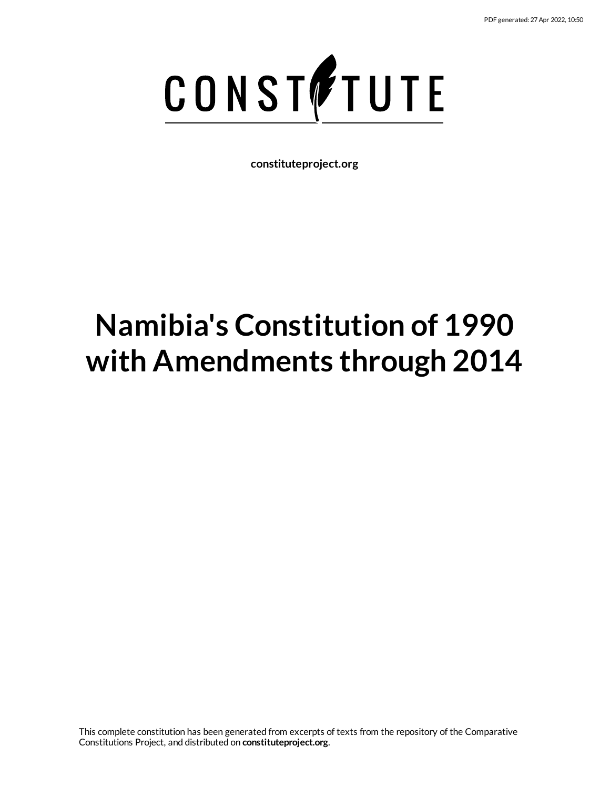

**constituteproject.org**

# **Namibia's Constitution of 1990 with Amendments through 2014**

This complete constitution has been generated from excerpts of texts from the repository of the Comparative Constitutions Project, and distributed on **constituteproject.org**.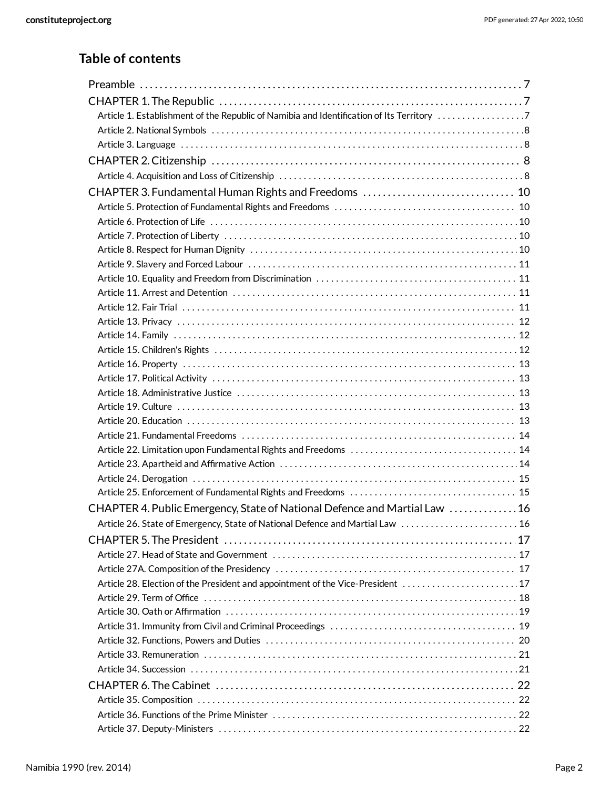### **Table of contents**

| Article 1. Establishment of the Republic of Namibia and Identification of Its Territory 7 |  |
|-------------------------------------------------------------------------------------------|--|
|                                                                                           |  |
|                                                                                           |  |
|                                                                                           |  |
|                                                                                           |  |
|                                                                                           |  |
|                                                                                           |  |
|                                                                                           |  |
|                                                                                           |  |
|                                                                                           |  |
|                                                                                           |  |
|                                                                                           |  |
|                                                                                           |  |
|                                                                                           |  |
|                                                                                           |  |
|                                                                                           |  |
|                                                                                           |  |
|                                                                                           |  |
|                                                                                           |  |
|                                                                                           |  |
|                                                                                           |  |
|                                                                                           |  |
|                                                                                           |  |
|                                                                                           |  |
|                                                                                           |  |
|                                                                                           |  |
|                                                                                           |  |
| CHAPTER 4. Public Emergency, State of National Defence and Martial Law 16                 |  |
| Article 26. State of Emergency, State of National Defence and Martial Law  16             |  |
|                                                                                           |  |
|                                                                                           |  |
|                                                                                           |  |
| Article 28. Election of the President and appointment of the Vice-President  17           |  |
|                                                                                           |  |
|                                                                                           |  |
|                                                                                           |  |
|                                                                                           |  |
|                                                                                           |  |
|                                                                                           |  |
|                                                                                           |  |
|                                                                                           |  |
|                                                                                           |  |
|                                                                                           |  |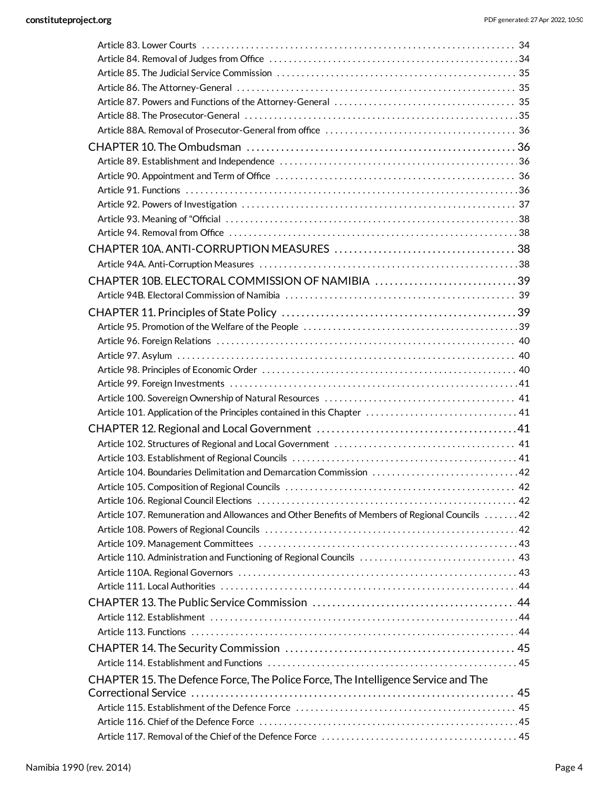| CHAPTER 10B. ELECTORAL COMMISSION OF NAMIBIA 39                                                |  |
|------------------------------------------------------------------------------------------------|--|
|                                                                                                |  |
|                                                                                                |  |
|                                                                                                |  |
|                                                                                                |  |
|                                                                                                |  |
|                                                                                                |  |
|                                                                                                |  |
|                                                                                                |  |
|                                                                                                |  |
| Article 101. Application of the Principles contained in this Chapter  41                       |  |
|                                                                                                |  |
|                                                                                                |  |
|                                                                                                |  |
| Article 104. Boundaries Delimitation and Demarcation Commission 42                             |  |
|                                                                                                |  |
|                                                                                                |  |
| Article 107. Remuneration and Allowances and Other Benefits of Members of Regional Councils 42 |  |
|                                                                                                |  |
|                                                                                                |  |
|                                                                                                |  |
|                                                                                                |  |
|                                                                                                |  |
|                                                                                                |  |
|                                                                                                |  |
|                                                                                                |  |
|                                                                                                |  |
|                                                                                                |  |
| CHAPTER 15. The Defence Force, The Police Force, The Intelligence Service and The              |  |
|                                                                                                |  |
|                                                                                                |  |
|                                                                                                |  |
|                                                                                                |  |
|                                                                                                |  |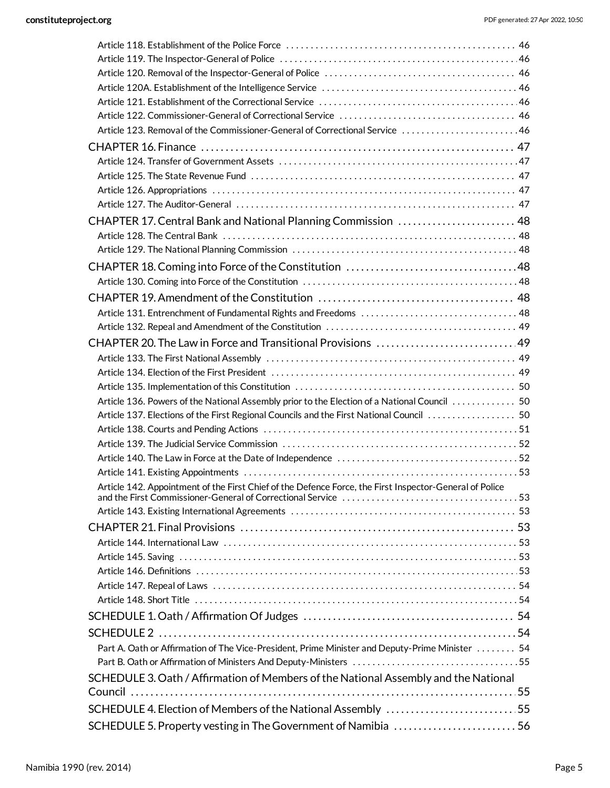| Article 123. Removal of the Commissioner-General of Correctional Service 46                             |  |
|---------------------------------------------------------------------------------------------------------|--|
|                                                                                                         |  |
|                                                                                                         |  |
|                                                                                                         |  |
|                                                                                                         |  |
|                                                                                                         |  |
| CHAPTER 17. Central Bank and National Planning Commission  48                                           |  |
|                                                                                                         |  |
|                                                                                                         |  |
|                                                                                                         |  |
|                                                                                                         |  |
|                                                                                                         |  |
|                                                                                                         |  |
| Article 131. Entrenchment of Fundamental Rights and Freedoms  48                                        |  |
|                                                                                                         |  |
|                                                                                                         |  |
|                                                                                                         |  |
|                                                                                                         |  |
|                                                                                                         |  |
| Article 136. Powers of the National Assembly prior to the Election of a National Council  50            |  |
| Article 137. Elections of the First Regional Councils and the First National Council  50                |  |
|                                                                                                         |  |
|                                                                                                         |  |
|                                                                                                         |  |
|                                                                                                         |  |
| Article 142. Appointment of the First Chief of the Defence Force, the First Inspector-General of Police |  |
|                                                                                                         |  |
|                                                                                                         |  |
|                                                                                                         |  |
|                                                                                                         |  |
|                                                                                                         |  |
|                                                                                                         |  |
|                                                                                                         |  |
|                                                                                                         |  |
|                                                                                                         |  |
| Part A. Oath or Affirmation of The Vice-President, Prime Minister and Deputy-Prime Minister  54         |  |
| Part B. Oath or Affirmation of Ministers And Deputy-Ministers 55                                        |  |
| SCHEDULE 3. Oath / Affirmation of Members of the National Assembly and the National                     |  |
|                                                                                                         |  |
| SCHEDULE 4. Election of Members of the National Assembly 55                                             |  |
|                                                                                                         |  |
| SCHEDULE 5. Property vesting in The Government of Namibia 56                                            |  |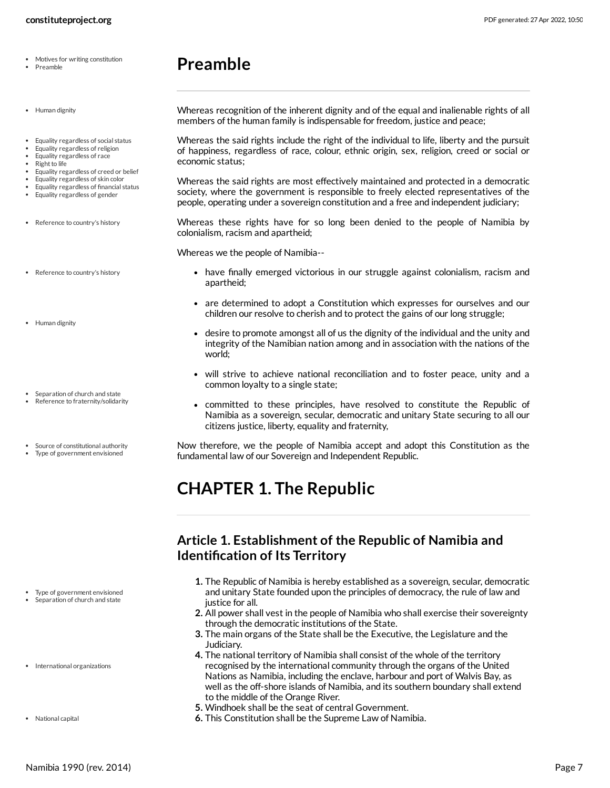- Motives for writing constitution
- Preamble

### <span id="page-6-0"></span>**Preamble**

#### • Human dignity

- Equality regardless of social status
- Equality regardless of religion Equality regardless of race
- Right to life
- Equality regardless of creed or belief
- Equality regardless of skin color
- Equality regardless of financial status
- Equality regardless of gender
- Reference to country's history
- Reference to country's history
- Human dignity
- Separation of church and state
- Reference to fraternity/solidarity
- Source of constitutional authority
- Type of government envisioned

- Type of government envisioned
- Separation of church and state
- International organizations
- National capital

<span id="page-6-4"></span>Whereas recognition of the inherent dignity and of the equal and inalienable rights of all members of the human family is indispensable for freedom, justice and peace;

<span id="page-6-3"></span>Whereas the said rights include the right of the individual to life, liberty and the pursuit of happiness, regardless of race, colour, ethnic origin, sex, religion, creed or social or economic status;

Whereas the said rights are most effectively maintained and protected in a democratic society, where the government is responsible to freely elected representatives of the people, operating under a sovereign constitution and a free and independent judiciary;

<span id="page-6-5"></span>Whereas these rights have for so long been denied to the people of Namibia by colonialism, racism and apartheid;

Whereas we the people of Namibia--

- have finally emerged victorious in our struggle against colonialism, racism and apartheid;
- are determined to adopt a Constitution which expresses for ourselves and our children our resolve to cherish and to protect the gains of our long struggle;
- desire to promote amongst all of us the dignity of the individual and the unity and integrity of the Namibian nation among and in association with the nations of the world;
- will strive to achieve national reconciliation and to foster peace, unity and a common loyalty to a single state;
- <span id="page-6-6"></span>committed to these principles, have resolved to constitute the Republic of Namibia as a sovereign, secular, democratic and unitary State securing to all our citizens justice, liberty, equality and fraternity,

<span id="page-6-7"></span>Now therefore, we the people of Namibia accept and adopt this Constitution as the fundamental law of our Sovereign and Independent Republic.

### <span id="page-6-1"></span>**CHAPTER 1. The Republic**

#### <span id="page-6-2"></span>**Article 1. Establishment of the Republic of Namibia and Identification of Its Territory**

- **1.** The Republic of Namibia is hereby established as a sovereign, secular, democratic and unitary State founded upon the principles of democracy, the rule of law and justice for all.
- **2.** All power shall vest in the people of Namibia who shall exercise their sovereignty through the democratic institutions of the State.
- **3.** The main organs of the State shall be the Executive, the Legislature and the Judiciary.
- **4.** The national territory of Namibia shall consist of the whole of the territory recognised by the international community through the organs of the United Nations as Namibia, including the enclave, harbour and port of Walvis Bay, as well as the off-shore islands of Namibia, and its southern boundary shall extend to the middle of the Orange River.
- **5.** Windhoek shall be the seat of central Government.
- **6.** This Constitution shall be the Supreme Law of Namibia.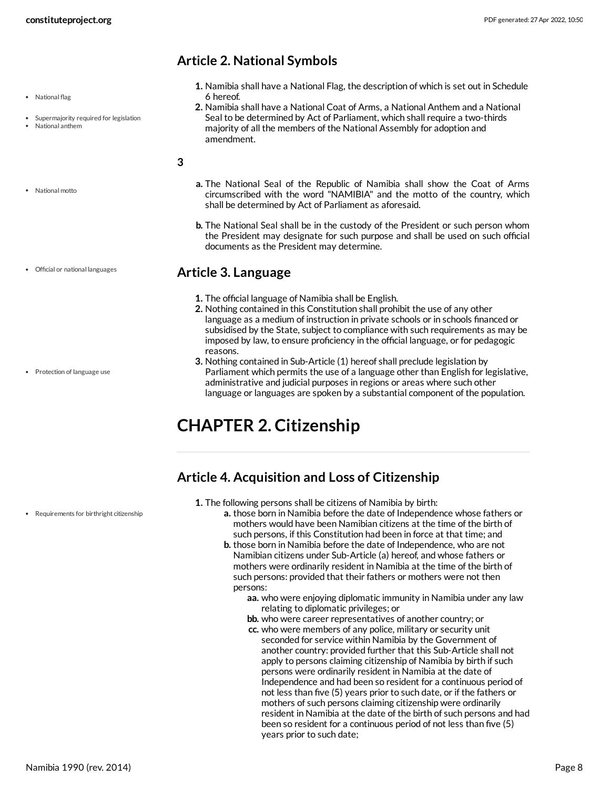#### <span id="page-7-0"></span>**Article 2. National Symbols**

- National flag
- Supermajority required for legislation National anthem
- **1.** Namibia shall have a National Flag, the description of which is set out in Schedule 6 hereof.
- **2.** Namibia shall have a National Coat of Arms, a National Anthem and a National Seal to be determined by Act of Parliament, which shall require a two-thirds majority of all the members of the National Assembly for adoption and amendment.

#### **3**

- <span id="page-7-4"></span>**a.** The National Seal of the Republic of Namibia shall show the Coat of Arms circumscribed with the word "NAMIBIA" and the motto of the country, which shall be determined by Act of Parliament as aforesaid.
- **b.** The National Seal shall be in the custody of the President or such person whom the President may designate for such purpose and shall be used on such official documents as the President may determine.

#### <span id="page-7-1"></span>**Article 3. Language**

- **1.** The official language of Namibia shall be English.
- **2.** Nothing contained in this Constitution shall prohibit the use of any other language as a medium of instruction in private schools or in schools financed or subsidised by the State, subject to compliance with such requirements as may be imposed by law, to ensure proficiency in the official language, or for pedagogic reasons.
- **3.** Nothing contained in Sub-Article (1) hereof shall preclude legislation by Parliament which permits the use of a language other than English for legislative, administrative and judicial purposes in regions or areas where such other language or languages are spoken by a substantial component of the population.

# <span id="page-7-2"></span>**CHAPTER 2. Citizenship**

### <span id="page-7-3"></span>**Article 4. Acquisition and Loss of Citizenship**

- **1.** The following persons shall be citizens of Namibia by birth:
	- **a.** those born in Namibia before the date of Independence whose fathers or mothers would have been Namibian citizens at the time of the birth of such persons, if this Constitution had been in force at that time; and
	- **b.** those born in Namibia before the date of Independence, who are not Namibian citizens under Sub-Article (a) hereof, and whose fathers or mothers were ordinarily resident in Namibia at the time of the birth of such persons: provided that their fathers or mothers were not then persons:
		- **aa.** who were enjoying diplomatic immunity in Namibia under any law relating to diplomatic privileges; or
		- **bb.** who were career representatives of another country; or
		- **cc.** who were members of any police, military or security unit seconded for service within Namibia by the Government of another country: provided further that this Sub-Article shall not apply to persons claiming citizenship of Namibia by birth if such persons were ordinarily resident in Namibia at the date of Independence and had been so resident for a continuous period of not less than five (5) years prior to such date, or if the fathers or mothers of such persons claiming citizenship were ordinarily resident in Namibia at the date of the birth of such persons and had been so resident for a continuous period of not less than five (5) years prior to such date;

National motto

Official or national languages

• Protection of language use

Requirements for birthright citizenship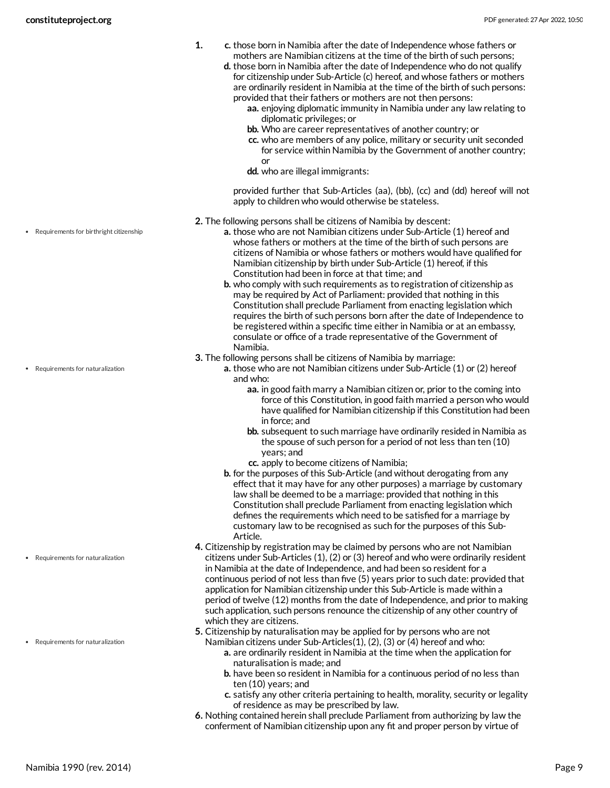- **1. c.** those born in Namibia after the date of Independence whose fathers or mothers are Namibian citizens at the time of the birth of such persons;
	- **d.** those born in Namibia after the date of Independence who do not qualify for citizenship under Sub-Article (c) hereof, and whose fathers or mothers are ordinarily resident in Namibia at the time of the birth of such persons: provided that their fathers or mothers are not then persons:
		- **aa.** enjoying diplomatic immunity in Namibia under any law relating to diplomatic privileges; or
		- **bb.** Who are career representatives of another country; or
		- **cc.** who are members of any police, military or security unit seconded for service within Namibia by the Government of another country; or
		- **dd.** who are illegal immigrants:

provided further that Sub-Articles (aa), (bb), (cc) and (dd) hereof will not apply to children who would otherwise be stateless.

- **2.** The following persons shall be citizens of Namibia by descent:
	- **a.** those who are not Namibian citizens under Sub-Article (1) hereof and whose fathers or mothers at the time of the birth of such persons are citizens of Namibia or whose fathers or mothers would have qualified for Namibian citizenship by birth under Sub-Article (1) hereof, if this Constitution had been in force at that time; and
	- **b.** who comply with such requirements as to registration of citizenship as may be required by Act of Parliament: provided that nothing in this Constitution shall preclude Parliament from enacting legislation which requires the birth of such persons born after the date of Independence to be registered within a specific time either in Namibia or at an embassy, consulate or office of a trade representative of the Government of Namibia.
- **3.** The following persons shall be citizens of Namibia by marriage:
	- **a.** those who are not Namibian citizens under Sub-Article (1) or (2) hereof and who:
		- **aa.** in good faith marry a Namibian citizen or, prior to the coming into force of this Constitution, in good faith married a person who would have qualified for Namibian citizenship if this Constitution had been in force; and
		- **bb.** subsequent to such marriage have ordinarily resided in Namibia as the spouse of such person for a period of not less than ten (10) years; and
		- **cc.** apply to become citizens of Namibia;
		- **b.** for the purposes of this Sub-Article (and without derogating from any effect that it may have for any other purposes) a marriage by customary law shall be deemed to be a marriage: provided that nothing in this Constitution shall preclude Parliament from enacting legislation which defines the requirements which need to be satisfied for a marriage by customary law to be recognised as such for the purposes of this Sub-Article.
- **4.** Citizenship by registration may be claimed by persons who are not Namibian citizens under Sub-Articles (1), (2) or (3) hereof and who were ordinarily resident in Namibia at the date of Independence, and had been so resident for a continuous period of not less than five (5) years prior to such date: provided that application for Namibian citizenship under this Sub-Article is made within a period of twelve (12) months from the date of Independence, and prior to making such application, such persons renounce the citizenship of any other country of which they are citizens.
- **5.** Citizenship by naturalisation may be applied for by persons who are not Namibian citizens under Sub-Articles(1), (2), (3) or (4) hereof and who:
	- **a.** are ordinarily resident in Namibia at the time when the application for naturalisation is made; and
	- **b.** have been so resident in Namibia for a continuous period of no less than ten (10) years; and
	- **c.** satisfy any other criteria pertaining to health, morality, security or legality of residence as may be prescribed by law.
- **6.** Nothing contained herein shall preclude Parliament from authorizing by law the conferment of Namibian citizenship upon any fit and proper person by virtue of

Requirements for birthright citizenship

• Requirements for naturalization

• Requirements for naturalization

Requirements for naturalization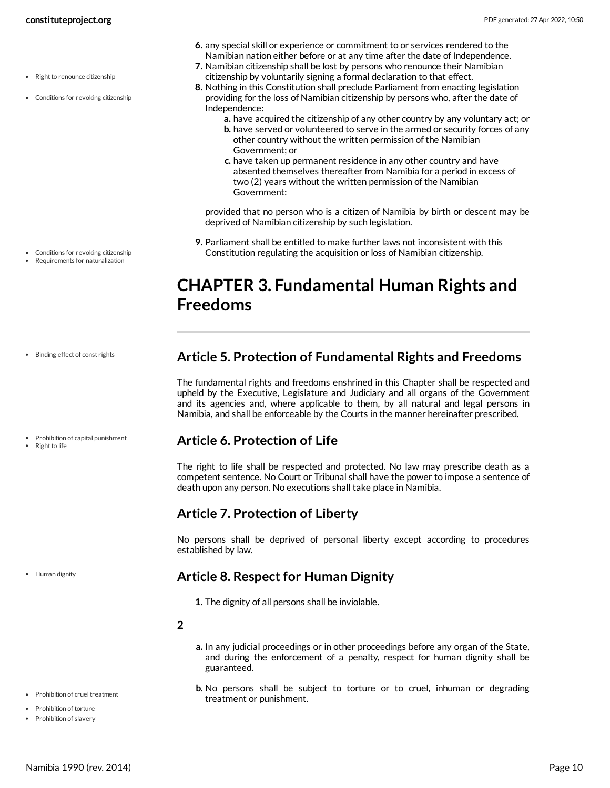Conditions for revoking citizenship

- Conditions for revoking citizenship
- Requirements for naturalization

Binding effect of const rights

- Prohibition of capital punishment
- Right to life

• Human dignity

- <span id="page-9-4"></span>**Article 8. Respect for Human Dignity**
	- **1.** The dignity of all persons shall be inviolable.
- **2**
- <span id="page-9-6"></span>**a.** In any judicial proceedings or in other proceedings before any organ of the State, and during the enforcement of a penalty, respect for human dignity shall be guaranteed.
- <span id="page-9-5"></span>**b.** No persons shall be subject to torture or to cruel, inhuman or degrading treatment or punishment.
- **6.** any special skill or experience or commitment to or services rendered to the Namibian nation either before or at any time after the date of Independence.
- **7.** Namibian citizenship shall be lost by persons who renounce their Namibian citizenship by voluntarily signing a formal declaration to that effect.
- **8.** Nothing in this Constitution shall preclude Parliament from enacting legislation providing for the loss of Namibian citizenship by persons who, after the date of Independence:
	- **a.** have acquired the citizenship of any other country by any voluntary act; or
	- **b.** have served or volunteered to serve in the armed or security forces of any other country without the written permission of the Namibian Government; or
	- **c.** have taken up permanent residence in any other country and have absented themselves thereafter from Namibia for a period in excess of two (2) years without the written permission of the Namibian Government:

provided that no person who is a citizen of Namibia by birth or descent may be deprived of Namibian citizenship by such legislation.

**9.** Parliament shall be entitled to make further laws not inconsistent with this Constitution regulating the acquisition or loss of Namibian citizenship.

# <span id="page-9-0"></span>**CHAPTER 3. Fundamental Human Rights and Freedoms**

#### <span id="page-9-1"></span>**Article 5. Protection of Fundamental Rights and Freedoms**

The fundamental rights and freedoms enshrined in this Chapter shall be respected and upheld by the Executive, Legislature and Judiciary and all organs of the Government and its agencies and, where applicable to them, by all natural and legal persons in Namibia, and shall be enforceable by the Courts in the manner hereinafter prescribed.

#### <span id="page-9-2"></span>**Article 6. Protection of Life**

The right to life shall be respected and protected. No law may prescribe death as a competent sentence. No Court or Tribunal shall have the power to impose a sentence of death upon any person. No executions shall take place in Namibia.

#### <span id="page-9-3"></span>**Article 7. Protection of Liberty**

No persons shall be deprived of personal liberty except according to procedures established by law.

• Prohibition of cruel treatment • Prohibition of torture • Prohibition of slavery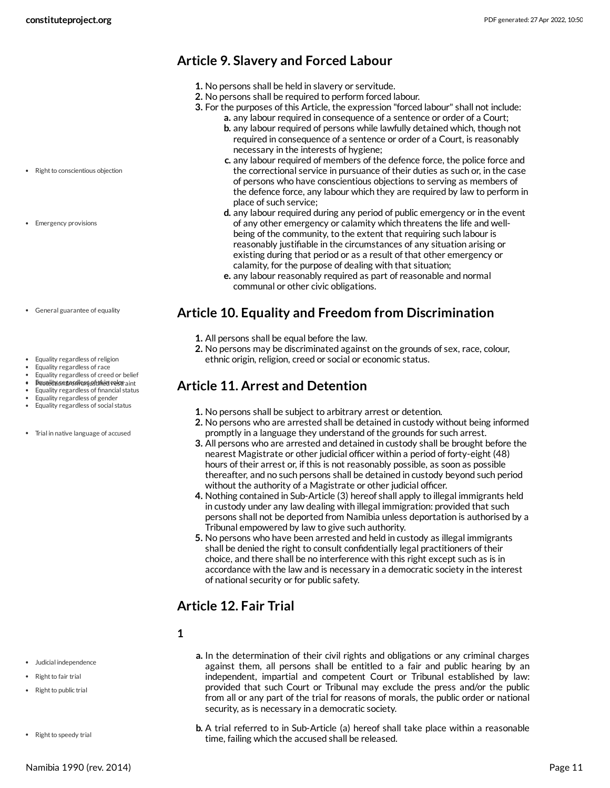#### <span id="page-10-0"></span>**Article 9. Slavery and Forced Labour**

- **1.** No persons shall be held in slavery or servitude.
- **2.** No persons shall be required to perform forced labour.
- **3.** For the purposes of this Article, the expression "forced labour" shall not include: **a.** any labour required in consequence of a sentence or order of a Court;
	- **b.** any labour required of persons while lawfully detained which, though not required in consequence of a sentence or order of a Court, is reasonably necessary in the interests of hygiene;
	- **c.** any labour required of members of the defence force, the police force and the correctional service in pursuance of their duties as such or, in the case of persons who have conscientious objections to serving as members of the defence force, any labour which they are required by law to perform in place of such service;
	- **d.** any labour required during any period of public emergency or in the event of any other emergency or calamity which threatens the life and wellbeing of the community, to the extent that requiring such labour is reasonably justifiable in the circumstances of any situation arising or existing during that period or as a result of that other emergency or calamity, for the purpose of dealing with that situation;
	- **e.** any labour reasonably required as part of reasonable and normal communal or other civic obligations.

#### <span id="page-10-1"></span>**Article 10. Equality and Freedom from Discrimination**

- **1.** All persons shall be equal before the law.
- **2.** No persons may be discriminated against on the grounds of sex, race, colour, ethnic origin, religion, creed or social or economic status.

#### <span id="page-10-2"></span>**Article 11. Arrest and Detention**

- **1.** No persons shall be subject to arbitrary arrest or detention.
- **2.** No persons who are arrested shall be detained in custody without being informed promptly in a language they understand of the grounds for such arrest.
- **3.** All persons who are arrested and detained in custody shall be brought before the nearest Magistrate or other judicial officer within a period of forty-eight (48) hours of their arrest or, if this is not reasonably possible, as soon as possible thereafter, and no such persons shall be detained in custody beyond such period without the authority of a Magistrate or other judicial officer.
- **4.** Nothing contained in Sub-Article (3) hereof shall apply to illegal immigrants held in custody under any law dealing with illegal immigration: provided that such persons shall not be deported from Namibia unless deportation is authorised by a Tribunal empowered by law to give such authority.
- **5.** No persons who have been arrested and held in custody as illegal immigrants shall be denied the right to consult confidentially legal practitioners of their choice, and there shall be no interference with this right except such as is in accordance with the law and is necessary in a democratic society in the interest of national security or for public safety.

### <span id="page-10-3"></span>**Article 12. Fair Trial**

#### **1**

- Judicial independence
- Right to fair trial
- Right to public trial
- <span id="page-10-4"></span>**a.** In the determination of their civil rights and obligations or any criminal charges against them, all persons shall be entitled to a fair and public hearing by an independent, impartial and competent Court or Tribunal established by law: provided that such Court or Tribunal may exclude the press and/or the public from all or any part of the trial for reasons of morals, the public order or national security, as is necessary in a democratic society.
- **b.** A trial referred to in Sub-Article (a) hereof shall take place within a reasonable time, failing which the accused shall be released.
- Right to conscientious objection
- Emergency provisions
- General guarantee of equality
- Equality regardless of religion
- Equality regardless of race
- Equality regardless of creed or belief  $\mathbf{a}$  . Protelity or geordless of the independent
- Equality regardless of financial status
- Equality regardless of gender
- Equality regardless of social status
- Trial in native language of accused

• Right to speedy trial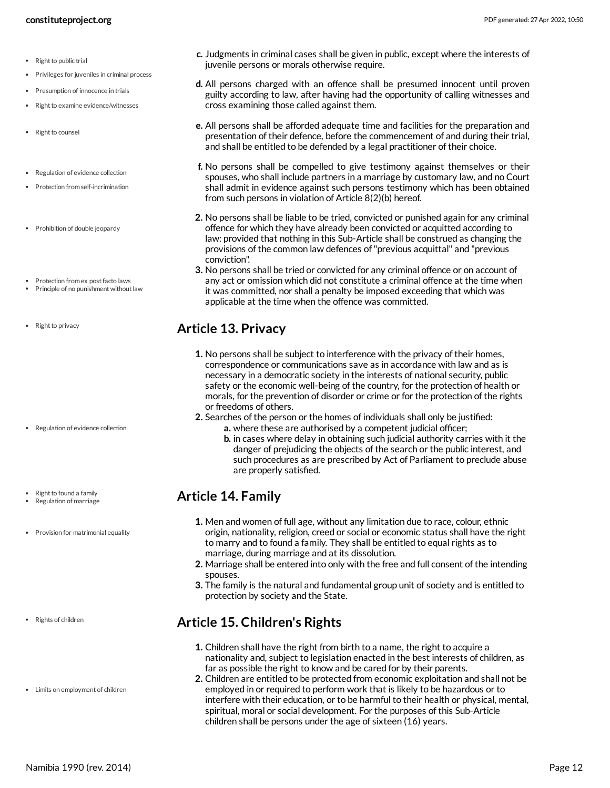- Right to public trial
- Privileges for juveniles in criminal process
- Presumption of innocence in trials
- Right to examine evidence/witnesses
- Right to counsel
- Regulation of evidence collection
- Protection from self-incrimination
- Prohibition of double jeopardy
- Protection from ex post facto laws
- Principle of no punishment without law
- Right to privacy

- Regulation of evidence collection
- Right to found a family Regulation of marriage
- Provision for matrimonial equality

- Rights of children
- Limits on employment of children
- **c.** Judgments in criminal cases shall be given in public, except where the interests of juvenile persons or morals otherwise require.
- **d.** All persons charged with an offence shall be presumed innocent until proven guilty according to law, after having had the opportunity of calling witnesses and cross examining those called against them.
- **e.** All persons shall be afforded adequate time and facilities for the preparation and presentation of their defence, before the commencement of and during their trial, and shall be entitled to be defended by a legal practitioner of their choice.
- **f.** No persons shall be compelled to give testimony against themselves or their spouses, who shall include partners in a marriage by customary law, and no Court shall admit in evidence against such persons testimony which has been obtained from such persons in violation of Article 8(2)(b) hereof.
- **2.** No persons shall be liable to be tried, convicted or punished again for any criminal offence for which they have already been convicted or acquitted according to law: provided that nothing in this Sub-Article shall be construed as changing the provisions of the common law defences of"previous acquittal" and "previous conviction".
- **3.** No persons shall be tried or convicted for any criminal offence or on account of any act or omission which did not constitute a criminal offence at the time when it was committed, nor shall a penalty be imposed exceeding that which was applicable at the time when the offence was committed.

### <span id="page-11-0"></span>**Article 13. Privacy**

- **1.** No persons shall be subject to interference with the privacy of their homes, correspondence or communications save as in accordance with law and as is necessary in a democratic society in the interests of national security, public safety or the economic well-being of the country, for the protection of health or morals, for the prevention of disorder or crime or for the protection of the rights or freedoms of others.
- **2.** Searches of the person or the homes of individuals shall only be justified:
	- **a.** where these are authorised by a competent judicial officer;
	- **b.** in cases where delay in obtaining such judicial authority carries with it the danger of prejudicing the objects of the search or the public interest, and such procedures as are prescribed by Act of Parliament to preclude abuse are properly satisfied.

### <span id="page-11-1"></span>**Article 14. Family**

- **1.** Men and women of full age, without any limitation due to race, colour, ethnic origin, nationality, religion, creed or social or economic status shall have the right to marry and to found a family. They shall be entitled to equal rights as to marriage, during marriage and at its dissolution.
- **2.** Marriage shall be entered into only with the free and full consent of the intending spouses.
- **3.** The family is the natural and fundamental group unit of society and is entitled to protection by society and the State.

### <span id="page-11-2"></span>**Article 15. Children's Rights**

- **1.** Children shall have the right from birth to a name, the right to acquire a nationality and, subject to legislation enacted in the best interests of children, as far as possible the right to know and be cared for by their parents.
- **2.** Children are entitled to be protected from economic exploitation and shall not be employed in or required to perform work that is likely to be hazardous or to interfere with their education, or to be harmful to their health or physical, mental, spiritual, moral or social development. For the purposes of this Sub-Article children shall be persons under the age of sixteen (16) years.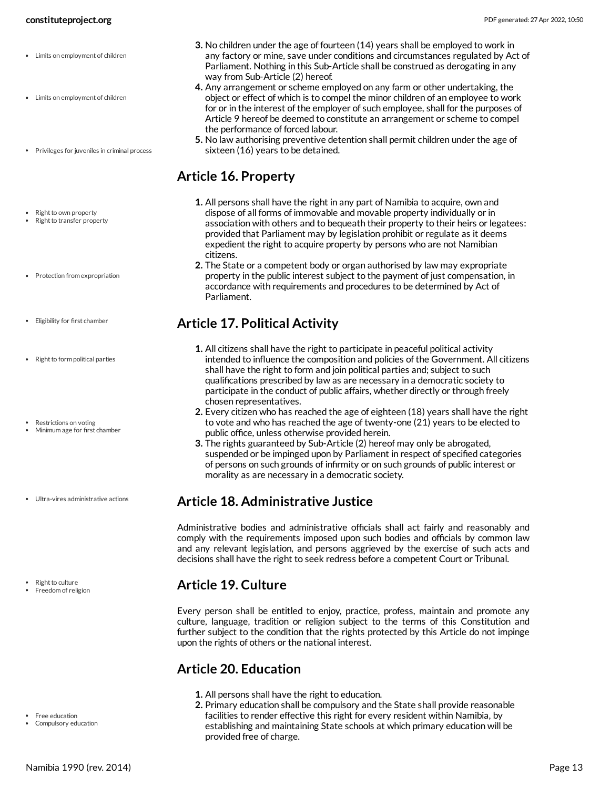- Limits on employment of children
- Limits on employment of children
- Privileges for juveniles in criminal process
- Right to own property Right to transfer property
- Protection from expropriation
- Eligibility for first chamber
- Right to form political parties
- Restrictions on voting
- Minimum age for first chamber
- Ultra-vires administrative actions
- Right to culture
- Freedom of religion

- Free education
- Compulsory education
- **3.** No children under the age of fourteen (14) years shall be employed to work in any factory or mine, save under conditions and circumstances regulated by Act of Parliament. Nothing in this Sub-Article shall be construed as derogating in any way from Sub-Article (2) hereof.
- **4.** Any arrangement or scheme employed on any farm or other undertaking, the object or effect of which is to compel the minor children of an employee to work for or in the interest of the employer of such employee, shall for the purposes of Article 9 hereof be deemed to constitute an arrangement or scheme to compel the performance of forced labour.
- **5.** No law authorising preventive detention shall permit children under the age of sixteen (16) years to be detained.

### <span id="page-12-0"></span>**Article 16. Property**

- **1.** All persons shall have the right in any part of Namibia to acquire, own and dispose of all forms of immovable and movable property individually or in association with others and to bequeath their property to their heirs or legatees: provided that Parliament may by legislation prohibit or regulate as it deems expedient the right to acquire property by persons who are not Namibian citizens.
- **2.** The State or a competent body or organ authorised by law may expropriate property in the public interest subject to the payment of just compensation, in accordance with requirements and procedures to be determined by Act of Parliament.

### <span id="page-12-1"></span>**Article 17. Political Activity**

- **1.** All citizens shall have the right to participate in peaceful political activity intended to influence the composition and policies of the Government. All citizens shall have the right to form and join political parties and; subject to such qualifications prescribed by law as are necessary in a democratic society to participate in the conduct of public affairs, whether directly or through freely chosen representatives.
- **2.** Every citizen who has reached the age of eighteen (18) years shall have the right to vote and who has reached the age of twenty-one (21) years to be elected to public office, unless otherwise provided herein.
- **3.** The rights guaranteed by Sub-Article (2) hereof may only be abrogated, suspended or be impinged upon by Parliament in respect of specified categories of persons on such grounds of infirmity or on such grounds of public interest or morality as are necessary in a democratic society.

### <span id="page-12-2"></span>**Article 18. Administrative Justice**

Administrative bodies and administrative officials shall act fairly and reasonably and comply with the requirements imposed upon such bodies and officials by common law and any relevant legislation, and persons aggrieved by the exercise of such acts and decisions shall have the right to seek redress before a competent Court or Tribunal.

### <span id="page-12-3"></span>**Article 19. Culture**

Every person shall be entitled to enjoy, practice, profess, maintain and promote any culture, language, tradition or religion subject to the terms of this Constitution and further subject to the condition that the rights protected by this Article do not impinge upon the rights of others or the national interest.

### <span id="page-12-4"></span>**Article 20. Education**

- **1.** All persons shall have the right to education.
- **2.** Primary education shall be compulsory and the State shall provide reasonable facilities to render effective this right for every resident within Namibia, by establishing and maintaining State schools at which primary education will be provided free of charge.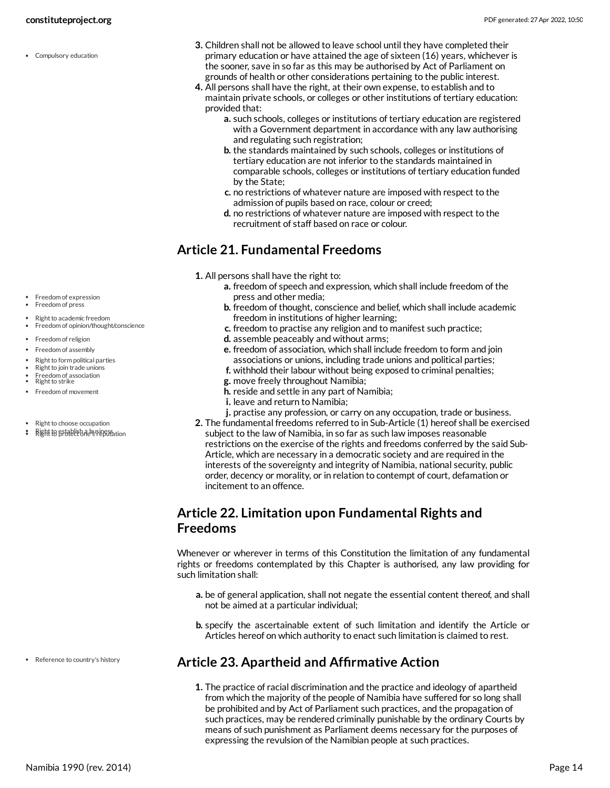Compulsory education

- **3.** Children shall not be allowed to leave school until they have completed their primary education or have attained the age of sixteen (16) years, whichever is the sooner, save in so far as this may be authorised by Act of Parliament on grounds of health or other considerations pertaining to the public interest.
- **4.** All persons shall have the right, at their own expense, to establish and to maintain private schools, or colleges or other institutions of tertiary education: provided that:
	- **a.** such schools, colleges or institutions of tertiary education are registered with a Government department in accordance with any law authorising and regulating such registration;
	- **b.** the standards maintained by such schools, colleges or institutions of tertiary education are not inferior to the standards maintained in comparable schools, colleges or institutions of tertiary education funded by the State;
	- **c.** no restrictions of whatever nature are imposed with respect to the admission of pupils based on race, colour or creed;
	- **d.** no restrictions of whatever nature are imposed with respect to the recruitment of staff based on race or colour.

#### <span id="page-13-0"></span>**Article 21. Fundamental Freedoms**

- **1.** All persons shall have the right to:
	- **a.** freedom of speech and expression, which shall include freedom of the press and other media;
	- **b.** freedom of thought, conscience and belief, which shall include academic freedom in institutions of higher learning;
	- **c.** freedom to practise any religion and to manifest such practice;
	- **d.** assemble peaceably and without arms;
	- **e.** freedom of association, which shall include freedom to form and join associations or unions, including trade unions and political parties;
	- **f.** withhold their labour without being exposed to criminal penalties;
	- **g.** move freely throughout Namibia;
	- **h.** reside and settle in any part of Namibia;
	- **i.** leave and return to Namibia;
	- **j.** practise any profession, or carry on any occupation, trade or business.
- **2.** The fundamental freedoms referred to in Sub-Article (1) hereof shall be exercised subject to the law of Namibia, in so far as such law imposes reasonable restrictions on the exercise of the rights and freedoms conferred by the said Sub-Article, which are necessary in a democratic society and are required in the interests of the sovereignty and integrity of Namibia, national security, public order, decency or morality, or in relation to contempt of court, defamation or incitement to an offence.

#### <span id="page-13-1"></span>**Article 22. Limitation upon Fundamental Rights and Freedoms**

Whenever or wherever in terms of this Constitution the limitation of any fundamental rights or freedoms contemplated by this Chapter is authorised, any law providing for such limitation shall:

- **a.** be of general application, shall not negate the essential content thereof, and shall not be aimed at a particular individual;
- **b.** specify the ascertainable extent of such limitation and identify the Article or Articles hereof on which authority to enact such limitation is claimed to rest.

#### <span id="page-13-2"></span>**Article 23. Apartheid and Affirmative Action**

**1.** The practice of racial discrimination and the practice and ideology of apartheid from which the majority of the people of Namibia have suffered for so long shall be prohibited and by Act of Parliament such practices, and the propagation of such practices, may be rendered criminally punishable by the ordinary Courts by means of such punishment as Parliament deems necessary for the purposes of expressing the revulsion of the Namibian people at such practices.

- Freedom of expression
- Freedom of press
- Right to academic freedom Freedom of opinion/thought/conscience
- Freedom of religion
- Freedom of assembly
- Right to form political parties
- Right to join trade unions
- Freedom of association<br>Right to strike
- Freedom of movement
- 
- Right to choose occupation
- **Right to prodelish a business Right**

• Reference to country's history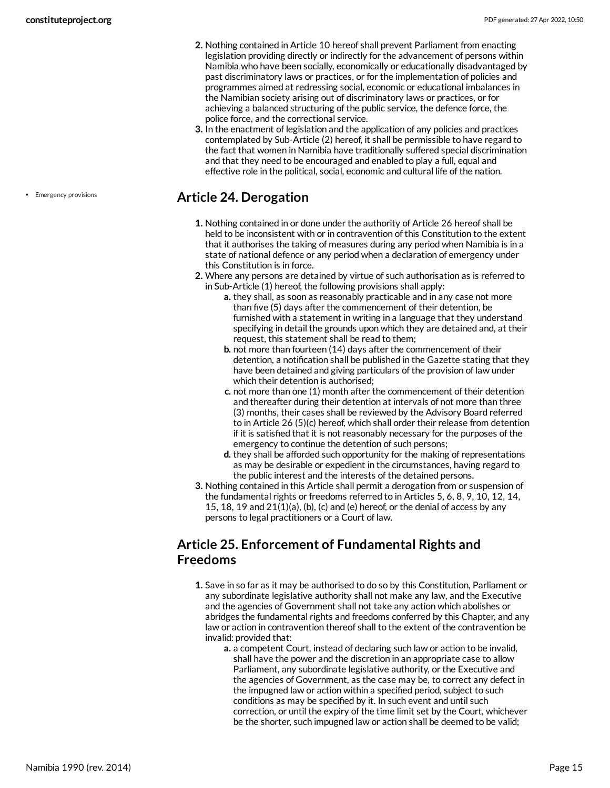- **2.** Nothing contained in Article 10 hereof shall prevent Parliament from enacting legislation providing directly or indirectly for the advancement of persons within Namibia who have been socially, economically or educationally disadvantaged by past discriminatory laws or practices, or for the implementation of policies and programmes aimed at redressing social, economic or educational imbalances in the Namibian society arising out of discriminatory laws or practices, or for achieving a balanced structuring of the public service, the defence force, the police force, and the correctional service.
- **3.** In the enactment of legislation and the application of any policies and practices contemplated by Sub-Article (2) hereof, it shall be permissible to have regard to the fact that women in Namibia have traditionally suffered special discrimination and that they need to be encouraged and enabled to play a full, equal and effective role in the political, social, economic and cultural life of the nation.

#### <span id="page-14-0"></span>**Article 24. Derogation**

- **1.** Nothing contained in or done under the authority of Article 26 hereof shall be held to be inconsistent with or in contravention of this Constitution to the extent that it authorises the taking of measures during any period when Namibia is in a state of national defence or any period when a declaration of emergency under this Constitution is in force.
- **2.** Where any persons are detained by virtue of such authorisation as is referred to in Sub-Article (1) hereof, the following provisions shall apply:
	- **a.** they shall, as soon as reasonably practicable and in any case not more than five (5) days after the commencement of their detention, be furnished with a statement in writing in a language that they understand specifying in detail the grounds upon which they are detained and, at their request, this statement shall be read to them;
	- **b.** not more than fourteen (14) days after the commencement of their detention, a notification shall be published in the Gazette stating that they have been detained and giving particulars of the provision of law under which their detention is authorised;
	- **c.** not more than one (1) month after the commencement of their detention and thereafter during their detention at intervals of not more than three (3) months, their cases shall be reviewed by the Advisory Board referred to in Article 26 (5)(c) hereof, which shall order their release from detention if it is satisfied that it is not reasonably necessary for the purposes of the emergency to continue the detention of such persons;
	- **d.** they shall be afforded such opportunity for the making of representations as may be desirable or expedient in the circumstances, having regard to the public interest and the interests of the detained persons.
- **3.** Nothing contained in this Article shall permit a derogation from or suspension of the fundamental rights or freedoms referred to in Articles 5, 6, 8, 9, 10, 12, 14, 15, 18, 19 and  $21(1)(a)$ , (b), (c) and (e) hereof, or the denial of access by any persons to legal practitioners or a Court of law.

### <span id="page-14-1"></span>**Article 25. Enforcement of Fundamental Rights and Freedoms**

- **1.** Save in so far as it may be authorised to do so by this Constitution, Parliament or any subordinate legislative authority shall not make any law, and the Executive and the agencies of Government shall not take any action which abolishes or abridges the fundamental rights and freedoms conferred by this Chapter, and any law or action in contravention thereof shall to the extent of the contravention be invalid: provided that:
	- **a.** a competent Court, instead of declaring such law or action to be invalid, shall have the power and the discretion in an appropriate case to allow Parliament, any subordinate legislative authority, or the Executive and the agencies of Government, as the case may be, to correct any defect in the impugned law or action within a specified period, subject to such conditions as may be specified by it. In such event and until such correction, or until the expiry of the time limit set by the Court, whichever be the shorter, such impugned law or action shall be deemed to be valid;

• Emergency provisions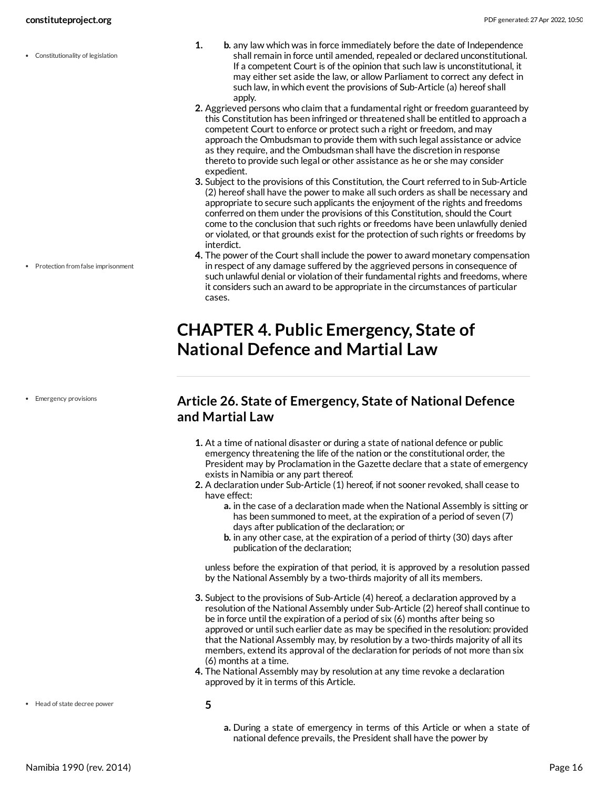Constitutionality of legislation

- **1. b.** any law which was in force immediately before the date of Independence shall remain in force until amended, repealed or declared unconstitutional. If a competent Court is of the opinion that such law is unconstitutional, it may either set aside the law, or allow Parliament to correct any defect in such law, in which event the provisions of Sub-Article (a) hereof shall apply
- **2.** Aggrieved persons who claim that a fundamental right or freedom guaranteed by this Constitution has been infringed or threatened shall be entitled to approach a competent Court to enforce or protect such a right or freedom, and may approach the Ombudsman to provide them with such legal assistance or advice as they require, and the Ombudsman shall have the discretion in response thereto to provide such legal or other assistance as he or she may consider expedient.
- **3.** Subject to the provisions of this Constitution, the Court referred to in Sub-Article (2) hereof shall have the power to make all such orders as shall be necessary and appropriate to secure such applicants the enjoyment of the rights and freedoms conferred on them under the provisions of this Constitution, should the Court come to the conclusion that such rights or freedoms have been unlawfully denied or violated, or that grounds exist for the protection of such rights or freedoms by interdict.
- **4.** The power of the Court shall include the power to award monetary compensation in respect of any damage suffered by the aggrieved persons in consequence of such unlawful denial or violation of their fundamental rights and freedoms, where it considers such an award to be appropriate in the circumstances of particular cases.

# <span id="page-15-0"></span>**CHAPTER 4. Public Emergency, State of National Defence and Martial Law**

• Emergency provisions

Protection from false imprisonment

#### <span id="page-15-1"></span>**Article 26. State of Emergency, State of National Defence and Martial Law**

- **1.** At a time of national disaster or during a state of national defence or public emergency threatening the life of the nation or the constitutional order, the President may by Proclamation in the Gazette declare that a state of emergency exists in Namibia or any part thereof.
- **2.** A declaration under Sub-Article (1) hereof, if not sooner revoked, shall cease to have effect:
	- **a.** in the case of a declaration made when the National Assembly is sitting or has been summoned to meet, at the expiration of a period of seven (7) days after publication of the declaration; or
	- **b.** in any other case, at the expiration of a period of thirty (30) days after publication of the declaration;

unless before the expiration of that period, it is approved by a resolution passed by the National Assembly by a two-thirds majority of all its members.

- **3.** Subject to the provisions of Sub-Article (4) hereof, a declaration approved by a resolution of the National Assembly under Sub-Article (2) hereof shall continue to be in force until the expiration of a period of six (6) months after being so approved or until such earlier date as may be specified in the resolution: provided that the National Assembly may, by resolution by a two-thirds majority of all its members, extend its approval of the declaration for periods of not more than six (6) months at a time.
- **4.** The National Assembly may by resolution at any time revoke a declaration approved by it in terms of this Article.

Head of state decree power

- <span id="page-15-3"></span>**5**
- <span id="page-15-2"></span>**a.** During a state of emergency in terms of this Article or when a state of national defence prevails, the President shall have the power by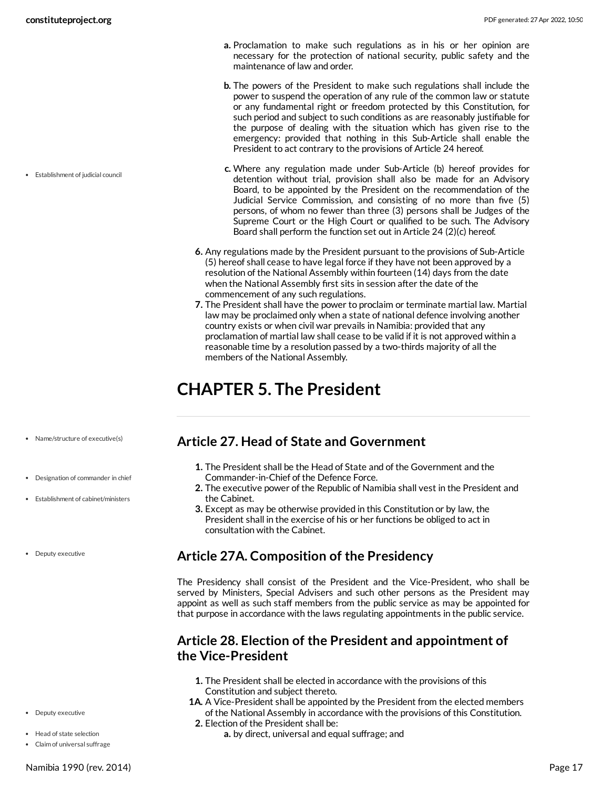Establishment of judicial council

- **a.** Proclamation to make such regulations as in his or her opinion are necessary for the protection of national security, public safety and the maintenance of law and order.
- **b.** The powers of the President to make such regulations shall include the power to suspend the operation of any rule of the common law or statute or any fundamental right or freedom protected by this Constitution, for such period and subject to such conditions as are reasonably justifiable for the purpose of dealing with the situation which has given rise to the emergency: provided that nothing in this Sub-Article shall enable the President to act contrary to the provisions of Article 24 hereof.
- **c.** Where any regulation made under Sub-Article (b) hereof provides for detention without trial, provision shall also be made for an Advisory Board, to be appointed by the President on the recommendation of the Judicial Service Commission, and consisting of no more than five (5) persons, of whom no fewer than three (3) persons shall be Judges of the Supreme Court or the High Court or qualified to be such. The Advisory Board shall perform the function set out in Article 24 (2)(c) hereof.
- **6.** Any regulations made by the President pursuant to the provisions of Sub-Article (5) hereof shall cease to have legal force if they have not been approved by a resolution of the National Assembly within fourteen (14) days from the date when the National Assembly first sits in session after the date of the commencement of any such regulations.
- **7.** The President shall have the power to proclaim or terminate martial law. Martial law may be proclaimed only when a state of national defence involving another country exists or when civil war prevails in Namibia: provided that any proclamation of martial law shall cease to be valid if it is not approved within a reasonable time by a resolution passed by a two-thirds majority of all the members of the National Assembly.

# <span id="page-16-0"></span>**CHAPTER 5. The President**

- Name/structure of executive(s)
- Designation of commander in chief
- Establishment of cabinet/ministers
- Deputy executive
- 

- Deputy executive
- Head of state selection
- Claim of universal suffrage

#### <span id="page-16-1"></span>**Article 27. Head of State and Government**

- **1.** The President shall be the Head of State and of the Government and the Commander-in-Chief of the Defence Force.
- **2.** The executive power of the Republic of Namibia shall vest in the President and the Cabinet.
- **3.** Except as may be otherwise provided in this Constitution or by law, the President shall in the exercise of his or her functions be obliged to act in consultation with the Cabinet.

#### <span id="page-16-2"></span>**Article 27A. Composition of the Presidency**

The Presidency shall consist of the President and the Vice-President, who shall be served by Ministers, Special Advisers and such other persons as the President may appoint as well as such staff members from the public service as may be appointed for that purpose in accordance with the laws regulating appointments in the public service.

#### <span id="page-16-3"></span>**Article 28. Election of the President and appointment of the Vice-President**

- **1.** The President shall be elected in accordance with the provisions of this Constitution and subject thereto.
- **1A.** A Vice-President shall be appointed by the President from the elected members of the National Assembly in accordance with the provisions of this Constitution. **2.** Election of the President shall be:
	- **a.** by direct, universal and equal suffrage; and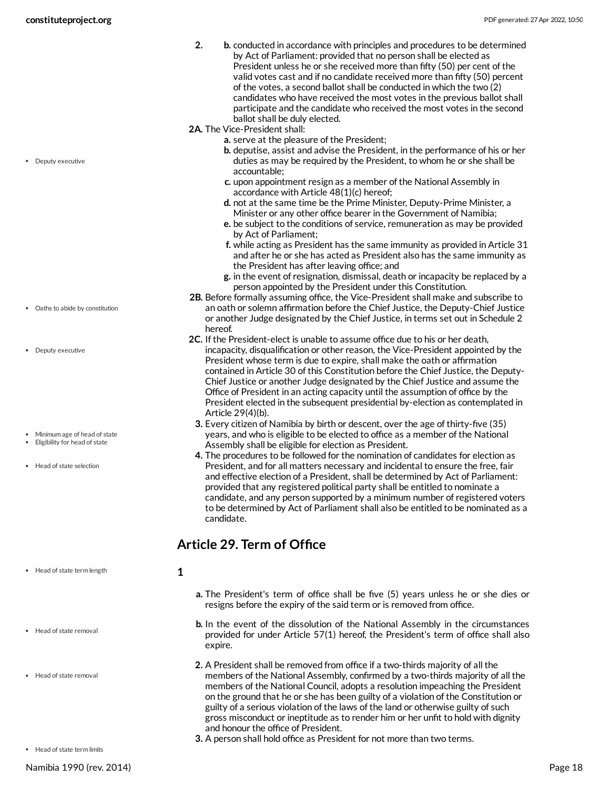• Deputy executive

Oaths to abide by constitution

Minimum age of head of state Eligibility for head of state

Head of state selection

• Deputy executive

**2. b.** conducted in accordance with principles and procedures to be determined by Act of Parliament: provided that no person shall be elected as President unless he or she received more than fifty (50) per cent of the valid votes cast and if no candidate received more than fifty (50) percent of the votes, a second ballot shall be conducted in which the two (2) candidates who have received the most votes in the previous ballot shall participate and the candidate who received the most votes in the second ballot shall be duly elected.

**2A.** The Vice-President shall:

- **a.** serve at the pleasure of the President;
	- **b.** deputise, assist and advise the President, in the performance of his or her duties as may be required by the President, to whom he or she shall be accountable;
	- **c.** upon appointment resign as a member of the National Assembly in accordance with Article 48(1)(c) hereof;
	- **d.** not at the same time be the Prime Minister, Deputy-Prime Minister, a Minister or any other office bearer in the Government of Namibia;
	- **e.** be subject to the conditions of service, remuneration as may be provided by Act of Parliament;
	- **f.** while acting as President has the same immunity as provided in Article 31 and after he or she has acted as President also has the same immunity as the President has after leaving office; and
	- **g.** in the event of resignation, dismissal, death or incapacity be replaced by a person appointed by the President under this Constitution.
- **2B.** Before formally assuming office, the Vice-President shall make and subscribe to an oath or solemn affirmation before the Chief Justice, the Deputy-Chief Justice or another Judge designated by the Chief Justice, in terms set out in Schedule 2 hereof.
- **2C.** If the President-elect is unable to assume office due to his or her death, incapacity, disqualification or other reason, the Vice-President appointed by the President whose term is due to expire, shall make the oath or affirmation contained in Article 30 of this Constitution before the Chief Justice, the Deputy-Chief Justice or another Judge designated by the Chief Justice and assume the Office of President in an acting capacity until the assumption of office by the President elected in the subsequent presidential by-election as contemplated in Article 29(4)(b).
- **3.** Every citizen of Namibia by birth or descent, over the age of thirty-five (35) years, and who is eligible to be elected to office as a member of the National Assembly shall be eligible for election as President.
- **4.** The procedures to be followed for the nomination of candidates for election as President, and for all matters necessary and incidental to ensure the free, fair and effective election of a President, shall be determined by Act of Parliament: provided that any registered political party shall be entitled to nominate a candidate, and any person supported by a minimum number of registered voters to be determined by Act of Parliament shall also be entitled to be nominated as a candidate.

#### <span id="page-17-0"></span>**Article 29. Term of Office**

- Head of state term length
- Head of state removal
- Head of state removal
- Head of state term limits

#### <span id="page-17-2"></span>**1**

- <span id="page-17-1"></span>**a.** The President's term of office shall be five (5) years unless he or she dies or resigns before the expiry of the said term or is removed from office.
- **b.** In the event of the dissolution of the National Assembly in the circumstances provided for under Article 57(1) hereof, the President's term of office shall also expire.
- **2.** A President shall be removed from office if a two-thirds majority of all the members of the National Assembly, confirmed by a two-thirds majority of all the members of the National Council, adopts a resolution impeaching the President on the ground that he or she has been guilty of a violation of the Constitution or guilty of a serious violation of the laws of the land or otherwise guilty of such gross misconduct or ineptitude as to render him or her unfit to hold with dignity and honour the office of President.
- **3.** A person shall hold office as President for not more than two terms.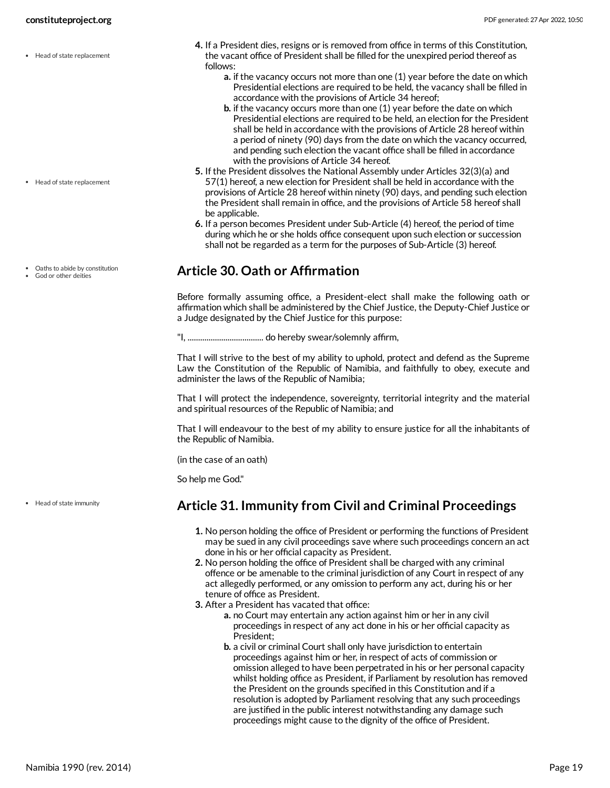• Head of state replacement

- Head of state replacement
- Oaths to abide by constitution
- God or other deities
- **4.** If a President dies, resigns or is removed from office in terms of this Constitution, the vacant office of President shall be filled for the unexpired period thereof as follows:
	- **a.** if the vacancy occurs not more than one (1) year before the date on which Presidential elections are required to be held, the vacancy shall be filled in accordance with the provisions of Article 34 hereof;
	- **b.** if the vacancy occurs more than one (1) year before the date on which Presidential elections are required to be held, an election for the President shall be held in accordance with the provisions of Article 28 hereof within a period of ninety (90) days from the date on which the vacancy occurred, and pending such election the vacant office shall be filled in accordance with the provisions of Article 34 hereof.
- **5.** If the President dissolves the National Assembly under Articles 32(3)(a) and 57(1) hereof, a new election for President shall be held in accordance with the provisions of Article 28 hereof within ninety (90) days, and pending such election the President shall remain in office, and the provisions of Article 58 hereof shall be applicable.
- **6.** If a person becomes President under Sub-Article (4) hereof, the period of time during which he or she holds office consequent upon such election or succession shall not be regarded as a term for the purposes of Sub-Article (3) hereof.

#### <span id="page-18-0"></span>**Article 30. Oath or Affirmation**

Before formally assuming office, a President-elect shall make the following oath or affirmation which shall be administered by the Chief Justice, the Deputy-Chief Justice or a Judge designated by the Chief Justice for this purpose:

"I, .................................... do hereby swear/solemnly affirm,

That I will strive to the best of my ability to uphold, protect and defend as the Supreme Law the Constitution of the Republic of Namibia, and faithfully to obey, execute and administer the laws of the Republic of Namibia;

That I will protect the independence, sovereignty, territorial integrity and the material and spiritual resources of the Republic of Namibia; and

That I will endeavour to the best of my ability to ensure justice for all the inhabitants of the Republic of Namibia.

(in the case of an oath)

So help me God."

Head of state immunity

#### <span id="page-18-1"></span>**Article 31. Immunity from Civil and Criminal Proceedings**

- **1.** No person holding the office of President or performing the functions of President may be sued in any civil proceedings save where such proceedings concern an act done in his or her official capacity as President.
- **2.** No person holding the office of President shall be charged with any criminal offence or be amenable to the criminal jurisdiction of any Court in respect of any act allegedly performed, or any omission to perform any act, during his or her tenure of office as President.
- **3.** After a President has vacated that office:
	- **a.** no Court may entertain any action against him or her in any civil proceedings in respect of any act done in his or her official capacity as President;
	- **b.** a civil or criminal Court shall only have jurisdiction to entertain proceedings against him or her, in respect of acts of commission or omission alleged to have been perpetrated in his or her personal capacity whilst holding office as President, if Parliament by resolution has removed the President on the grounds specified in this Constitution and if a resolution is adopted by Parliament resolving that any such proceedings are justified in the public interest notwithstanding any damage such proceedings might cause to the dignity of the office of President.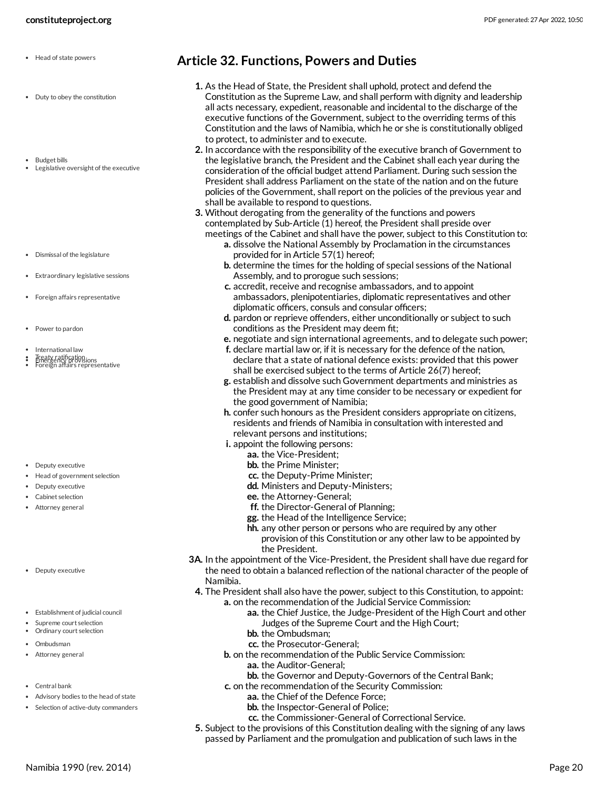- Head of state powers
- Duty to obey the constitution
- Budget bills Legislative oversight of the executive

- Dismissal of the legislature
- Extraordinary legislative sessions
- Foreign affairs representative
- Power to pardon
- International law
- Treaty ratification Foreign affairs representative Emergency provisions

- Deputy executive
- Head of government selection
- Deputy executive
- Cabinet selection
- Attorney general
- Deputy executive
- Establishment of judicial council
- Supreme court selection
- Ordinary court selection
- Ombudsman
- Attorney general
- Central bank
- Advisory bodies to the head of state
- Selection of active-duty commanders

#### <span id="page-19-0"></span>**Article 32. Functions, Powers and Duties**

- **1.** As the Head of State, the President shall uphold, protect and defend the Constitution as the Supreme Law, and shall perform with dignity and leadership all acts necessary, expedient, reasonable and incidental to the discharge of the executive functions of the Government, subject to the overriding terms of this Constitution and the laws of Namibia, which he or she is constitutionally obliged to protect, to administer and to execute.
- **2.** In accordance with the responsibility of the executive branch of Government to the legislative branch, the President and the Cabinet shall each year during the consideration of the official budget attend Parliament. During such session the President shall address Parliament on the state of the nation and on the future policies of the Government, shall report on the policies of the previous year and shall be available to respond to questions.
- **3.** Without derogating from the generality of the functions and powers contemplated by Sub-Article (1) hereof, the President shall preside over meetings of the Cabinet and shall have the power, subject to this Constitution to:
	- **a.** dissolve the National Assembly by Proclamation in the circumstances provided for in Article 57(1) hereof;
	- **b.** determine the times for the holding of special sessions of the National Assembly, and to prorogue such sessions;
	- **c.** accredit, receive and recognise ambassadors, and to appoint ambassadors, plenipotentiaries, diplomatic representatives and other diplomatic officers, consuls and consular officers;
	- **d.** pardon or reprieve offenders, either unconditionally or subject to such conditions as the President may deem fit;
	- **e.** negotiate and sign international agreements, and to delegate such power;
	- **f.** declare martial law or, if it is necessary for the defence of the nation, declare that a state of national defence exists: provided that this power shall be exercised subject to the terms of Article 26(7) hereof;
	- **g.** establish and dissolve such Government departments and ministries as the President may at any time consider to be necessary or expedient for the good government of Namibia;
	- **h.** confer such honours as the President considers appropriate on citizens, residents and friends of Namibia in consultation with interested and relevant persons and institutions;
	- **i.** appoint the following persons:
		- **aa.** the Vice-President;
			- **bb.** the Prime Minister;
			- **cc.** the Deputy-Prime Minister;
			- **dd.** Ministers and Deputy-Ministers;
			- **ee.** the Attorney-General;
			- **ff.** the Director-General of Planning;
			- **gg.** the Head of the Intelligence Service;
			- **hh.** any other person or persons who are required by any other provision of this Constitution or any other law to be appointed by the President.
- **3A.** In the appointment of the Vice-President, the President shall have due regard for the need to obtain a balanced reflection of the national character of the people of Namibia.
- **4.** The President shall also have the power, subject to this Constitution, to appoint: **a.** on the recommendation of the Judicial Service Commission:
	- **aa.** the Chief Justice, the Judge-President of the High Court and other Judges of the Supreme Court and the High Court;
	- **bb.** the Ombudsman;
	- **cc.** the Prosecutor-General;
	- **b.** on the recommendation of the Public Service Commission:
	- **aa.** the Auditor-General;
	- **bb.** the Governor and Deputy-Governors of the Central Bank;
	- **c.** on the recommendation of the Security Commission:
		- **aa.** the Chief of the Defence Force;
		- **bb.** the Inspector-General of Police;
		- **cc.** the Commissioner-General of Correctional Service.
- **5.** Subject to the provisions of this Constitution dealing with the signing of any laws passed by Parliament and the promulgation and publication of such laws in the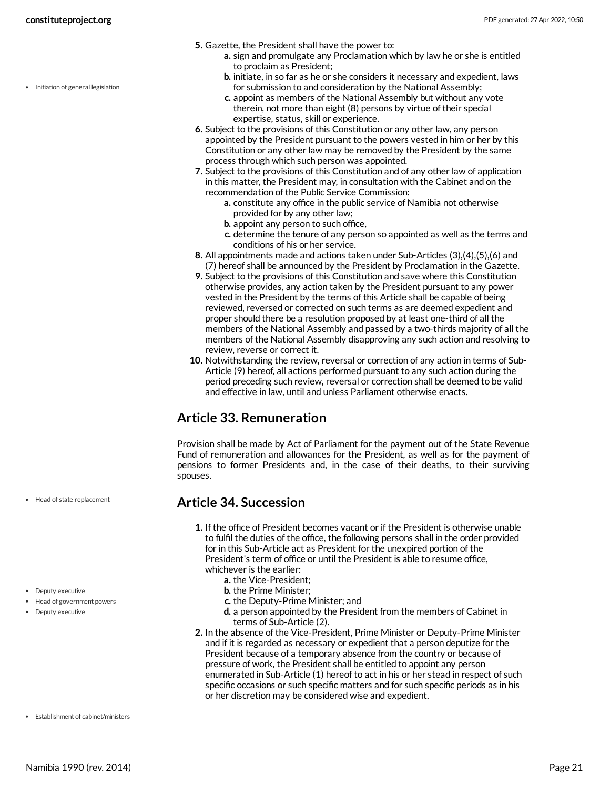• Initiation of general legislation

- **5.** Gazette, the President shall have the power to:
	- **a.** sign and promulgate any Proclamation which by law he or she is entitled to proclaim as President;
	- **b.** initiate, in so far as he or she considers it necessary and expedient, laws for submission to and consideration by the National Assembly;
	- **c.** appoint as members of the National Assembly but without any vote therein, not more than eight (8) persons by virtue of their special expertise, status, skill or experience.
- **6.** Subject to the provisions of this Constitution or any other law, any person appointed by the President pursuant to the powers vested in him or her by this Constitution or any other law may be removed by the President by the same process through which such person was appointed.
- **7.** Subject to the provisions of this Constitution and of any other law of application in this matter, the President may, in consultation with the Cabinet and on the recommendation of the Public Service Commission:
	- **a.** constitute any office in the public service of Namibia not otherwise provided for by any other law;
	- **b.** appoint any person to such office,
	- **c.** determine the tenure of any person so appointed as well as the terms and conditions of his or her service.
- **8.** All appointments made and actions taken under Sub-Articles (3),(4),(5),(6) and (7) hereof shall be announced by the President by Proclamation in the Gazette.
- **9.** Subject to the provisions of this Constitution and save where this Constitution otherwise provides, any action taken by the President pursuant to any power vested in the President by the terms of this Article shall be capable of being reviewed, reversed or corrected on such terms as are deemed expedient and proper should there be a resolution proposed by at least one-third of all the members of the National Assembly and passed by a two-thirds majority of all the members of the National Assembly disapproving any such action and resolving to review, reverse or correct it.
- **10.** Notwithstanding the review, reversal or correction of any action in terms of Sub-Article (9) hereof, all actions performed pursuant to any such action during the period preceding such review, reversal or correction shall be deemed to be valid and effective in law, until and unless Parliament otherwise enacts.

### <span id="page-20-0"></span>**Article 33. Remuneration**

Provision shall be made by Act of Parliament for the payment out of the State Revenue Fund of remuneration and allowances for the President, as well as for the payment of pensions to former Presidents and, in the case of their deaths, to their surviving spouses.

#### <span id="page-20-1"></span>**Article 34. Succession**

- **1.** If the office of President becomes vacant or if the President is otherwise unable to fulfil the duties of the office, the following persons shall in the order provided for in this Sub-Article act as President for the unexpired portion of the President's term of office or until the President is able to resume office, whichever is the earlier:
	- **a.** the Vice-President;
	- **b.** the Prime Minister;
	- **c.** the Deputy-Prime Minister; and
	- **d.** a person appointed by the President from the members of Cabinet in terms of Sub-Article (2).
- <span id="page-20-2"></span>**2.** In the absence of the Vice-President, Prime Minister or Deputy-Prime Minister and if it is regarded as necessary or expedient that a person deputize for the President because of a temporary absence from the country or because of pressure of work, the President shall be entitled to appoint any person enumerated in Sub-Article (1) hereof to act in his or her stead in respect of such specific occasions or such specific matters and for such specific periods as in his or her discretion may be considered wise and expedient.

• Head of state replacement

- Deputy executive
- Head of government powers
- Deputy executive

Establishment of cabinet/ministers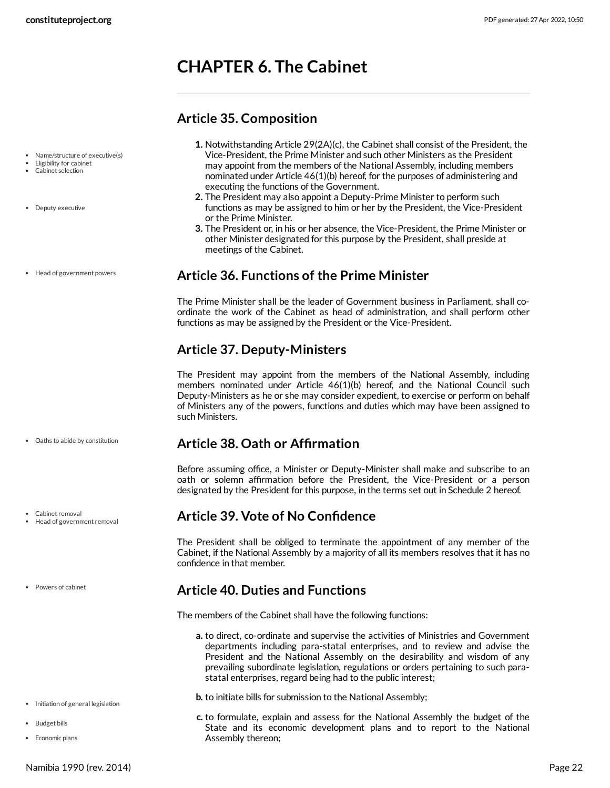### <span id="page-21-0"></span>**CHAPTER 6. The Cabinet**

#### <span id="page-21-1"></span>**Article 35. Composition**

- Name/structure of executive(s)
- Eligibility for cabinet Cabinet selection
- 
- Deputy executive
- Head of government powers

Oaths to abide by constitution

Cabinet removal Head of government removal

Powers of cabinet

**1.** Notwithstanding Article 29(2A)(c), the Cabinet shall consist of the President, the Vice-President, the Prime Minister and such other Ministers as the President may appoint from the members of the National Assembly, including members nominated under Article 46(1)(b) hereof, for the purposes of administering and executing the functions of the Government.

- **2.** The President may also appoint a Deputy-Prime Minister to perform such functions as may be assigned to him or her by the President, the Vice-President or the Prime Minister.
- **3.** The President or, in his or her absence, the Vice-President, the Prime Minister or other Minister designated for this purpose by the President, shall preside at meetings of the Cabinet.

#### <span id="page-21-2"></span>**Article 36. Functions of the Prime Minister**

The Prime Minister shall be the leader of Government business in Parliament, shall coordinate the work of the Cabinet as head of administration, and shall perform other functions as may be assigned by the President or the Vice-President.

#### <span id="page-21-3"></span>**Article 37. Deputy-Ministers**

The President may appoint from the members of the National Assembly, including members nominated under Article 46(1)(b) hereof, and the National Council such Deputy-Ministers as he or she may consider expedient, to exercise or perform on behalf of Ministers any of the powers, functions and duties which may have been assigned to such Ministers.

#### <span id="page-21-4"></span>**Article 38. Oath or Affirmation**

Before assuming office, a Minister or Deputy-Minister shall make and subscribe to an oath or solemn affirmation before the President, the Vice-President or a person designated by the President for this purpose, in the terms set out in Schedule 2 hereof.

#### <span id="page-21-5"></span>**Article 39. Vote of No Confidence**

The President shall be obliged to terminate the appointment of any member of the Cabinet, if the National Assembly by a majority of all its members resolves that it has no confidence in that member.

#### <span id="page-21-6"></span>**Article 40. Duties and Functions**

<span id="page-21-7"></span>The members of the Cabinet shall have the following functions:

- **a.** to direct, co-ordinate and supervise the activities of Ministries and Government departments including para-statal enterprises, and to review and advise the President and the National Assembly on the desirability and wisdom of any prevailing subordinate legislation, regulations or orders pertaining to such parastatal enterprises, regard being had to the public interest;
- **b.** to initiate bills for submission to the National Assembly;
- **c.** to formulate, explain and assess for the National Assembly the budget of the State and its economic development plans and to report to the National Assembly thereon;
- Initiation of general legislation
- Budget bills
- Economic plans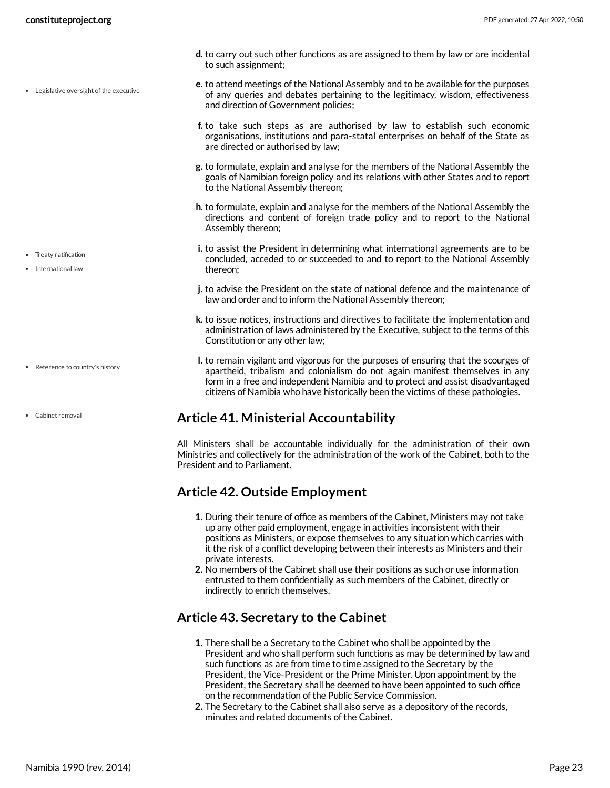Legislative oversight of the executive

• Treaty ratification • International law

- Reference to country's history
- Cabinet removal
- **d.** to carry out such other functions as are assigned to them by law or are incidental to such assignment;
- **e.** to attend meetings of the National Assembly and to be available for the purposes of any queries and debates pertaining to the legitimacy, wisdom, effectiveness and direction of Government policies;
- **f.** to take such steps as are authorised by law to establish such economic organisations, institutions and para-statal enterprises on behalf of the State as are directed or authorised by law;
- **g.** to formulate, explain and analyse for the members of the National Assembly the goals of Namibian foreign policy and its relations with other States and to report to the National Assembly thereon;
- **h.** to formulate, explain and analyse for the members of the National Assembly the directions and content of foreign trade policy and to report to the National Assembly thereon;
- **i.** to assist the President in determining what international agreements are to be concluded, acceded to or succeeded to and to report to the National Assembly thereon;
- **j.** to advise the President on the state of national defence and the maintenance of law and order and to inform the National Assembly thereon;
- **k.** to issue notices, instructions and directives to facilitate the implementation and administration of laws administered by the Executive, subject to the terms of this Constitution or any other law;
- **l.** to remain vigilant and vigorous for the purposes of ensuring that the scourges of apartheid, tribalism and colonialism do not again manifest themselves in any form in a free and independent Namibia and to protect and assist disadvantaged citizens of Namibia who have historically been the victims of these pathologies.

#### <span id="page-22-0"></span>**Article 41. Ministerial Accountability**

All Ministers shall be accountable individually for the administration of their own Ministries and collectively for the administration of the work of the Cabinet, both to the President and to Parliament.

#### <span id="page-22-1"></span>**Article 42. Outside Employment**

- **1.** During their tenure of office as members of the Cabinet, Ministers may not take up any other paid employment, engage in activities inconsistent with their positions as Ministers, or expose themselves to any situation which carries with it the risk of a conflict developing between their interests as Ministers and their private interests.
- **2.** No members of the Cabinet shall use their positions as such or use information entrusted to them confidentially as such members of the Cabinet, directly or indirectly to enrich themselves.

#### <span id="page-22-2"></span>**Article 43. Secretary to the Cabinet**

- **1.** There shall be a Secretary to the Cabinet who shall be appointed by the President and who shall perform such functions as may be determined by law and such functions as are from time to time assigned to the Secretary by the President, the Vice-President or the Prime Minister. Upon appointment by the President, the Secretary shall be deemed to have been appointed to such office on the recommendation of the Public Service Commission.
- **2.** The Secretary to the Cabinet shall also serve as a depository of the records, minutes and related documents of the Cabinet.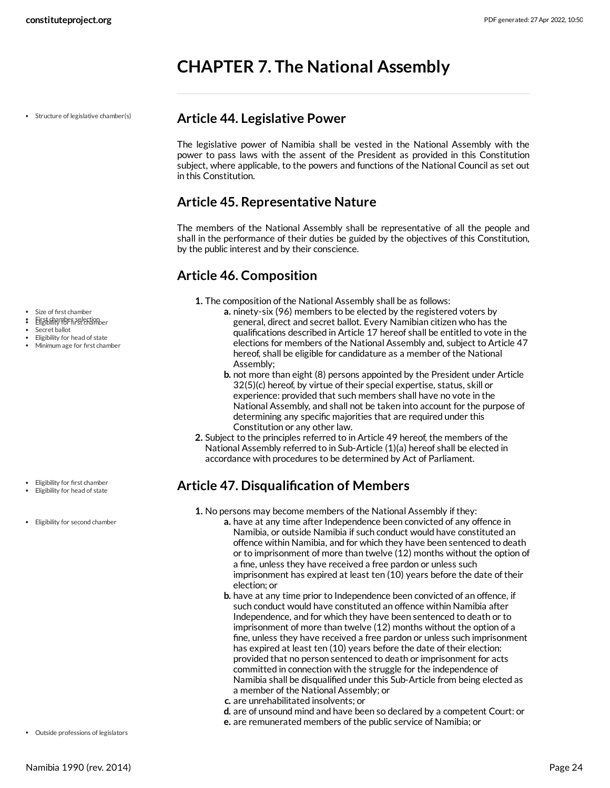### <span id="page-23-0"></span>**CHAPTER 7. The National Assembly**

• Structure of legislative chamber(s)

#### <span id="page-23-1"></span>**Article 44. Legislative Power**

The legislative power of Namibia shall be vested in the National Assembly with the power to pass laws with the assent of the President as provided in this Constitution subject, where applicable, to the powers and functions of the National Council as set out in this Constitution.

#### <span id="page-23-2"></span>**Article 45. Representative Nature**

The members of the National Assembly shall be representative of all the people and shall in the performance of their duties be guided by the objectives of this Constitution, by the public interest and by their conscience.

#### <span id="page-23-3"></span>**Article 46. Composition**

**1.** The composition of the National Assembly shall be as follows:

- **a.** ninety-six (96) members to be elected by the registered voters by general, direct and secret ballot. Every Namibian citizen who has the qualifications described in Article 17 hereof shall be entitled to vote in the elections for members of the National Assembly and, subject to Article 47 hereof, shall be eligible for candidature as a member of the National Assembly;
- **b.** not more than eight (8) persons appointed by the President under Article 32(5)(c) hereof, by virtue of their special expertise, status, skill or experience: provided that such members shall have no vote in the National Assembly, and shall not be taken into account for the purpose of determining any specific majorities that are required under this Constitution or any other law.
- **2.** Subject to the principles referred to in Article 49 hereof, the members of the National Assembly referred to in Sub-Article (1)(a) hereof shall be elected in accordance with procedures to be determined by Act of Parliament.

### <span id="page-23-4"></span>**Article 47. Disqualification of Members**

**1.** No persons may become members of the National Assembly if they:

- **a.** have at any time after Independence been convicted of any offence in Namibia, or outside Namibia if such conduct would have constituted an offence within Namibia, and for which they have been sentenced to death or to imprisonment of more than twelve (12) months without the option of a fine, unless they have received a free pardon or unless such imprisonment has expired at least ten (10) years before the date of their election; or
- **b.** have at any time prior to Independence been convicted of an offence, if such conduct would have constituted an offence within Namibia after Independence, and for which they have been sentenced to death or to imprisonment of more than twelve (12) months without the option of a fine, unless they have received a free pardon or unless such imprisonment has expired at least ten (10) years before the date of their election: provided that no person sentenced to death or imprisonment for acts committed in connection with the struggle for the independence of Namibia shall be disqualified under this Sub-Article from being elected as a member of the National Assembly; or
- **c.** are unrehabilitated insolvents; or
- **d.** are of unsound mind and have been so declared by a competent Court: or
- **e.** are remunerated members of the public service of Namibia; or

- Size of first chamber
- : Eligibility riber selection ber
- Secret ballot
- Eligibility for head of state Minimum age for first chamber

- Eligibility for first chamber
- Eligibility for head of state
- Eligibility for second chamber

Outside professions of legislators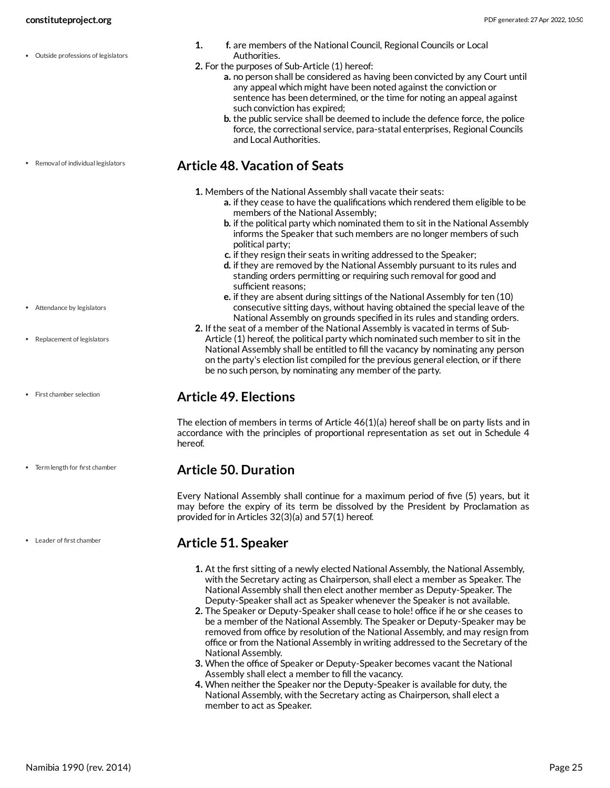Removal of individual legislators

- **1. f.** are members of the National Council, Regional Councils or Local Authorities.
- **2.** For the purposes of Sub-Article (1) hereof:
	- **a.** no person shall be considered as having been convicted by any Court until any appeal which might have been noted against the conviction or sentence has been determined, or the time for noting an appeal against such conviction has expired;
	- **b.** the public service shall be deemed to include the defence force, the police force, the correctional service, para-statal enterprises, Regional Councils and Local Authorities.

#### <span id="page-24-0"></span>**Article 48. Vacation of Seats**

- **1.** Members of the National Assembly shall vacate their seats:
	- **a.** if they cease to have the qualifications which rendered them eligible to be members of the National Assembly;
	- **b.** if the political party which nominated them to sit in the National Assembly informs the Speaker that such members are no longer members of such political party;
	- **c.** if they resign their seats in writing addressed to the Speaker;
	- **d.** if they are removed by the National Assembly pursuant to its rules and standing orders permitting or requiring such removal for good and sufficient reasons;
	- **e.** if they are absent during sittings of the National Assembly for ten (10) consecutive sitting days, without having obtained the special leave of the National Assembly on grounds specified in its rules and standing orders.
- **2.** If the seat of a member of the National Assembly is vacated in terms of Sub-Article (1) hereof, the political party which nominated such member to sit in the National Assembly shall be entitled to fill the vacancy by nominating any person on the party's election list compiled for the previous general election, or if there be no such person, by nominating any member of the party.

#### <span id="page-24-1"></span>**Article 49. Elections**

The election of members in terms of Article 46(1)(a) hereof shall be on party lists and in accordance with the principles of proportional representation as set out in Schedule 4 hereof.

#### <span id="page-24-2"></span>**Article 50. Duration**

Every National Assembly shall continue for a maximum period of five (5) years, but it may before the expiry of its term be dissolved by the President by Proclamation as provided for in Articles 32(3)(a) and 57(1) hereof.

#### <span id="page-24-3"></span>**Article 51. Speaker**

- **1.** At the first sitting of a newly elected National Assembly, the National Assembly, with the Secretary acting as Chairperson, shall elect a member as Speaker. The National Assembly shall then elect another member as Deputy-Speaker. The Deputy-Speaker shall act as Speaker whenever the Speaker is not available.
- **2.** The Speaker or Deputy-Speaker shall cease to hole! office if he or she ceases to be a member of the National Assembly. The Speaker or Deputy-Speaker may be removed from office by resolution of the National Assembly, and may resign from office or from the National Assembly in writing addressed to the Secretary of the National Assembly.
- **3.** When the office of Speaker or Deputy-Speaker becomes vacant the National Assembly shall elect a member to fill the vacancy.
- **4.** When neither the Speaker nor the Deputy-Speaker is available for duty, the National Assembly, with the Secretary acting as Chairperson, shall elect a member to act as Speaker.

Attendance by legislators

- Replacement of legislators
- First chamber selection

Term length for first chamber

Leader of first chamber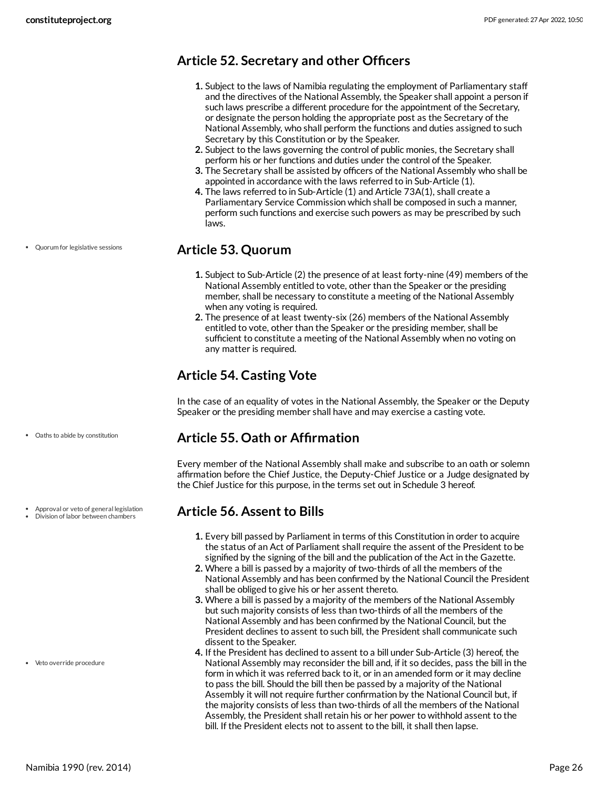#### <span id="page-25-0"></span>**Article 52. Secretary and other Officers**

- **1.** Subject to the laws of Namibia regulating the employment of Parliamentary staff and the directives of the National Assembly, the Speaker shall appoint a person if such laws prescribe a different procedure for the appointment of the Secretary, or designate the person holding the appropriate post as the Secretary of the National Assembly, who shall perform the functions and duties assigned to such Secretary by this Constitution or by the Speaker.
- **2.** Subject to the laws governing the control of public monies, the Secretary shall perform his or her functions and duties under the control of the Speaker.
- **3.** The Secretary shall be assisted by officers of the National Assembly who shall be appointed in accordance with the laws referred to in Sub-Article (1).
- **4.** The laws referred to in Sub-Article (1) and Article 73A(1), shall create a Parliamentary Service Commission which shall be composed in such a manner, perform such functions and exercise such powers as may be prescribed by such laws.

#### Quorum for legislative sessions

#### <span id="page-25-1"></span>**Article 53. Quorum**

- **1.** Subject to Sub-Article (2) the presence of at least forty-nine (49) members of the National Assembly entitled to vote, other than the Speaker or the presiding member, shall be necessary to constitute a meeting of the National Assembly when any voting is required.
- **2.** The presence of at least twenty-six (26) members of the National Assembly entitled to vote, other than the Speaker or the presiding member, shall be sufficient to constitute a meeting of the National Assembly when no voting on any matter is required.

#### <span id="page-25-2"></span>**Article 54. Casting Vote**

In the case of an equality of votes in the National Assembly, the Speaker or the Deputy Speaker or the presiding member shall have and may exercise a casting vote.

#### <span id="page-25-3"></span>**Article 55. Oath or Affirmation**

Every member of the National Assembly shall make and subscribe to an oath or solemn affirmation before the Chief Justice, the Deputy-Chief Justice or a Judge designated by the Chief Justice for this purpose, in the terms set out in Schedule 3 hereof.

#### <span id="page-25-4"></span>**Article 56. Assent to Bills**

- **1.** Every bill passed by Parliament in terms of this Constitution in order to acquire the status of an Act of Parliament shall require the assent of the President to be signified by the signing of the bill and the publication of the Act in the Gazette.
- **2.** Where a bill is passed by a majority of two-thirds of all the members of the National Assembly and has been confirmed by the National Council the President shall be obliged to give his or her assent thereto.
- **3.** Where a bill is passed by a majority of the members of the National Assembly but such majority consists of less than two-thirds of all the members of the National Assembly and has been confirmed by the National Council, but the President declines to assent to such bill, the President shall communicate such dissent to the Speaker.
- **4.** If the President has declined to assent to a bill under Sub-Article (3) hereof, the National Assembly may reconsider the bill and, if it so decides, pass the bill in the form in which it was referred back to it, or in an amended form or it may decline to pass the bill. Should the bill then be passed by a majority of the National Assembly it will not require further confirmation by the National Council but, if the majority consists of less than two-thirds of all the members of the National Assembly, the President shall retain his or her power to withhold assent to the bill. If the President elects not to assent to the bill, it shall then lapse.

Oaths to abide by constitution

Approval or veto of general legislation Division of labor between chambers

Veto override procedure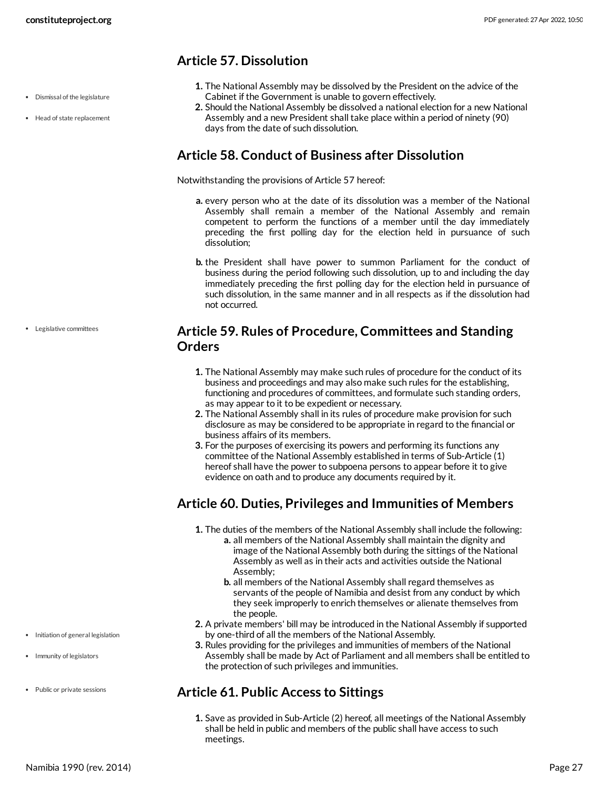#### <span id="page-26-0"></span>**Article 57. Dissolution**

- **1.** The National Assembly may be dissolved by the President on the advice of the Cabinet if the Government is unable to govern effectively.
- **2.** Should the National Assembly be dissolved a national election for a new National Assembly and a new President shall take place within a period of ninety (90) days from the date of such dissolution.

#### <span id="page-26-1"></span>**Article 58. Conduct of Business after Dissolution**

Notwithstanding the provisions of Article 57 hereof:

- **a.** every person who at the date of its dissolution was a member of the National Assembly shall remain a member of the National Assembly and remain competent to perform the functions of a member until the day immediately preceding the first polling day for the election held in pursuance of such dissolution;
- **b.** the President shall have power to summon Parliament for the conduct of business during the period following such dissolution, up to and including the day immediately preceding the first polling day for the election held in pursuance of such dissolution, in the same manner and in all respects as if the dissolution had not occurred.

#### <span id="page-26-2"></span>**Article 59. Rules of Procedure, Committees and Standing Orders**

- **1.** The National Assembly may make such rules of procedure for the conduct of its business and proceedings and may also make such rules for the establishing, functioning and procedures of committees, and formulate such standing orders, as may appear to it to be expedient or necessary.
- **2.** The National Assembly shall in its rules of procedure make provision for such disclosure as may be considered to be appropriate in regard to the financial or business affairs of its members.
- **3.** For the purposes of exercising its powers and performing its functions any committee of the National Assembly established in terms of Sub-Article (1) hereof shall have the power to subpoena persons to appear before it to give evidence on oath and to produce any documents required by it.

#### <span id="page-26-3"></span>**Article 60. Duties, Privileges and Immunities of Members**

**1.** The duties of the members of the National Assembly shall include the following:

- **a.** all members of the National Assembly shall maintain the dignity and image of the National Assembly both during the sittings of the National Assembly as well as in their acts and activities outside the National Assembly;
- **b.** all members of the National Assembly shall regard themselves as servants of the people of Namibia and desist from any conduct by which they seek improperly to enrich themselves or alienate themselves from the people.
- **2.** A private members' bill may be introduced in the National Assembly if supported by one-third of all the members of the National Assembly.
- **3.** Rules providing for the privileges and immunities of members of the National Assembly shall be made by Act of Parliament and all members shall be entitled to the protection of such privileges and immunities.

### <span id="page-26-4"></span>**Article 61. Public Access to Sittings**

**1.** Save as provided in Sub-Article (2) hereof, all meetings of the National Assembly shall be held in public and members of the public shall have access to such meetings.

- Dismissal of the legislature
- Head of state replacement

Legislative committees

- Initiation of general legislation
- Immunity of legislators
- Public or private sessions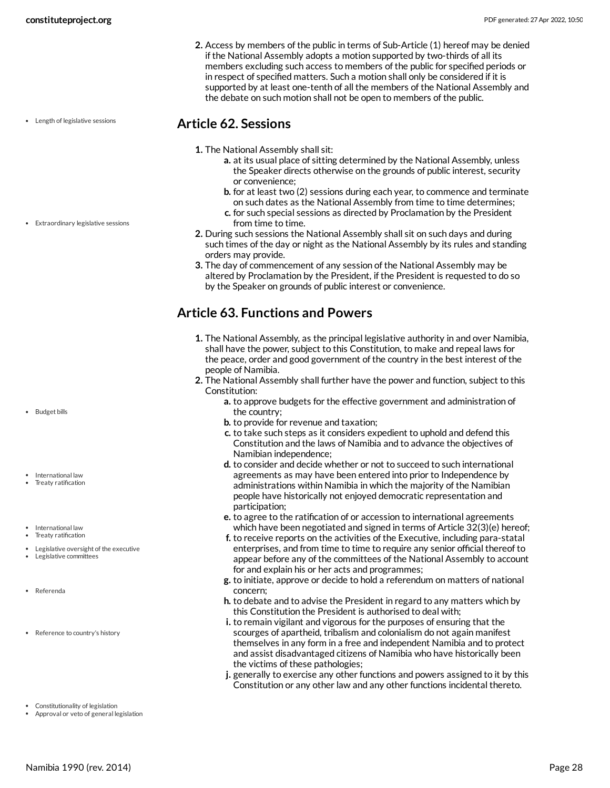**2.** Access by members of the public in terms of Sub-Article (1) hereof may be denied if the National Assembly adopts a motion supported by two-thirds of all its members excluding such access to members of the public for specified periods or in respect of specified matters. Such a motion shall only be considered if it is supported by at least one-tenth of all the members of the National Assembly and the debate on such motion shall not be open to members of the public.

Length of legislative sessions

Extraordinary legislative sessions

• Budget bills

- International law Treaty ratification
- 
- International law Treaty ratification
- Legislative oversight of the executive Legislative committees
- Referenda
- Reference to country's history
- Constitutionality of legislation
- <span id="page-27-2"></span>Approval or veto of general legislation
- <span id="page-27-0"></span>**Article 62. Sessions**
	- **1.** The National Assembly shall sit:
		- **a.** at its usual place of sitting determined by the National Assembly, unless the Speaker directs otherwise on the grounds of public interest, security or convenience;
		- **b.** for at least two (2) sessions during each year, to commence and terminate on such dates as the National Assembly from time to time determines;
		- **c.** for such special sessions as directed by Proclamation by the President from time to time.
	- **2.** During such sessions the National Assembly shall sit on such days and during such times of the day or night as the National Assembly by its rules and standing orders may provide.
	- **3.** The day of commencement of any session of the National Assembly may be altered by Proclamation by the President, if the President is requested to do so by the Speaker on grounds of public interest or convenience.

#### <span id="page-27-1"></span>**Article 63. Functions and Powers**

- **1.** The National Assembly, as the principal legislative authority in and over Namibia, shall have the power, subject to this Constitution, to make and repeal laws for the peace, order and good government of the country in the best interest of the people of Namibia.
- **2.** The National Assembly shall further have the power and function, subject to this Constitution:
	- **a.** to approve budgets for the effective government and administration of the country;
	- **b.** to provide for revenue and taxation;
	- **c.** to take such steps as it considers expedient to uphold and defend this Constitution and the laws of Namibia and to advance the objectives of Namibian independence;
	- **d.** to consider and decide whether or not to succeed to such international agreements as may have been entered into prior to Independence by administrations within Namibia in which the majority of the Namibian people have historically not enjoyed democratic representation and participation;
	- **e.** to agree to the ratification of or accession to international agreements which have been negotiated and signed in terms of Article 32(3)(e) hereof;
	- **f.** to receive reports on the activities of the Executive, including para-statal enterprises, and from time to time to require any senior official thereof to appear before any of the committees of the National Assembly to account for and explain his or her acts and programmes;
	- **g.** to initiate, approve or decide to hold a referendum on matters of national concern;
	- **h.** to debate and to advise the President in regard to any matters which by this Constitution the President is authorised to deal with;
	- **i.** to remain vigilant and vigorous for the purposes of ensuring that the scourges of apartheid, tribalism and colonialism do not again manifest themselves in any form in a free and independent Namibia and to protect and assist disadvantaged citizens of Namibia who have historically been the victims of these pathologies;
	- **j.** generally to exercise any other functions and powers assigned to it by this Constitution or any other law and any other functions incidental thereto.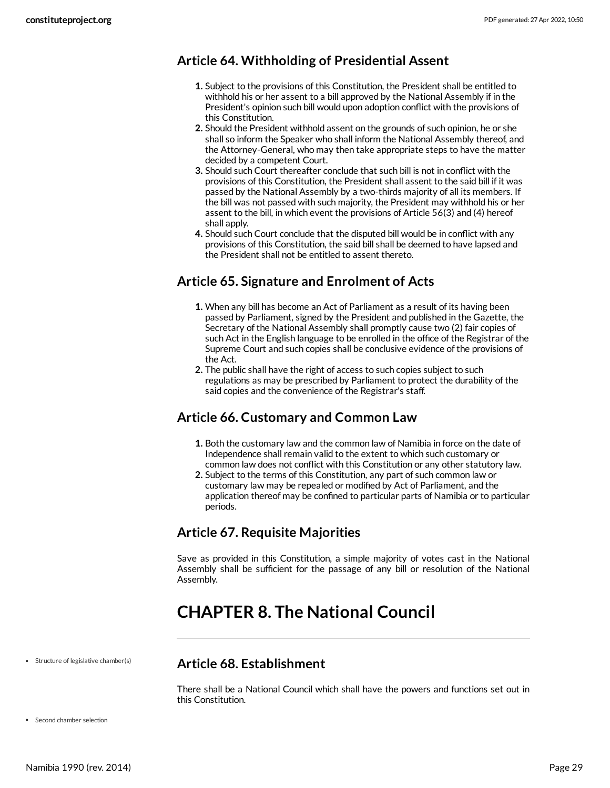#### <span id="page-28-0"></span>**Article 64. Withholding of Presidential Assent**

- **1.** Subject to the provisions of this Constitution, the President shall be entitled to withhold his or her assent to a bill approved by the National Assembly if in the President's opinion such bill would upon adoption conflict with the provisions of this Constitution.
- **2.** Should the President withhold assent on the grounds of such opinion, he or she shall so inform the Speaker who shall inform the National Assembly thereof, and the Attorney-General, who may then take appropriate steps to have the matter decided by a competent Court.
- **3.** Should such Court thereafter conclude that such bill is not in conflict with the provisions of this Constitution, the President shall assent to the said bill if it was passed by the National Assembly by a two-thirds majority of all its members. If the bill was not passed with such majority, the President may withhold his or her assent to the bill, in which event the provisions of Article 56(3) and (4) hereof shall apply.
- **4.** Should such Court conclude that the disputed bill would be in conflict with any provisions of this Constitution, the said bill shall be deemed to have lapsed and the President shall not be entitled to assent thereto.

### <span id="page-28-1"></span>**Article 65. Signature and Enrolment of Acts**

- **1.** When any bill has become an Act of Parliament as a result of its having been passed by Parliament, signed by the President and published in the Gazette, the Secretary of the National Assembly shall promptly cause two (2) fair copies of such Act in the English language to be enrolled in the office of the Registrar of the Supreme Court and such copies shall be conclusive evidence of the provisions of the Act.
- **2.** The public shall have the right of access to such copies subject to such regulations as may be prescribed by Parliament to protect the durability of the said copies and the convenience of the Registrar's staff.

### <span id="page-28-2"></span>**Article 66. Customary and Common Law**

- **1.** Both the customary law and the common law of Namibia in force on the date of Independence shall remain valid to the extent to which such customary or common law does not conflict with this Constitution or any other statutory law.
- **2.** Subject to the terms of this Constitution, any part of such common law or customary law may be repealed or modified by Act of Parliament, and the application thereof may be confined to particular parts of Namibia or to particular periods.

### <span id="page-28-3"></span>**Article 67. Requisite Majorities**

Save as provided in this Constitution, a simple majority of votes cast in the National Assembly shall be sufficient for the passage of any bill or resolution of the National Assembly.

# <span id="page-28-4"></span>**CHAPTER 8. The National Council**

• Structure of legislative chamber(s)

#### <span id="page-28-5"></span>**Article 68. Establishment**

<span id="page-28-6"></span>There shall be a National Council which shall have the powers and functions set out in this Constitution.

• Second chamber selection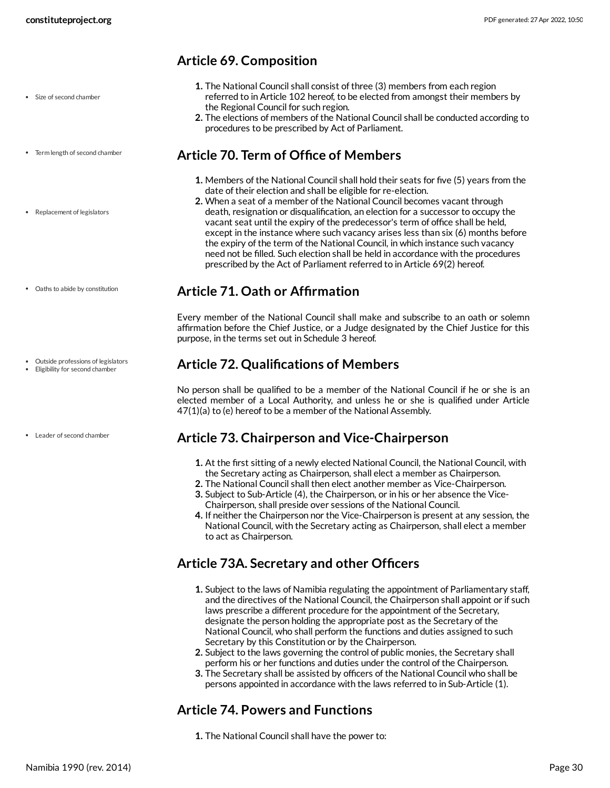#### <span id="page-29-0"></span>**Article 69. Composition**

- Size of second chamber
- Term length of second chamber
- Replacement of legislators
- Oaths to abide by constitution
- Outside professions of legislators Eligibility for second chamber
- Leader of second chamber

- **1.** The National Council shall consist of three (3) members from each region referred to in Article 102 hereof, to be elected from amongst their members by the Regional Council for such region.
- **2.** The elections of members of the National Council shall be conducted according to procedures to be prescribed by Act of Parliament.

#### <span id="page-29-1"></span>**Article 70. Term of Office of Members**

- **1.** Members of the National Council shall hold their seats for five (5) years from the date of their election and shall be eligible for re-election.
- **2.** When a seat of a member of the National Council becomes vacant through death, resignation or disqualification, an election for a successor to occupy the vacant seat until the expiry of the predecessor's term of office shall be held, except in the instance where such vacancy arises less than six (6) months before the expiry of the term of the National Council, in which instance such vacancy need not be filled. Such election shall be held in accordance with the procedures prescribed by the Act of Parliament referred to in Article 69(2) hereof.

#### <span id="page-29-2"></span>**Article 71. Oath or Affirmation**

Every member of the National Council shall make and subscribe to an oath or solemn affirmation before the Chief Justice, or a Judge designated by the Chief Justice for this purpose, in the terms set out in Schedule 3 hereof.

#### <span id="page-29-3"></span>**Article 72. Qualifications of Members**

No person shall be qualified to be a member of the National Council if he or she is an elected member of a Local Authority, and unless he or she is qualified under Article 47(1)(a) to (e) hereof to be a member of the National Assembly.

#### <span id="page-29-4"></span>**Article 73. Chairperson and Vice-Chairperson**

- **1.** At the first sitting of a newly elected National Council, the National Council, with the Secretary acting as Chairperson, shall elect a member as Chairperson.
- **2.** The National Council shall then elect another member as Vice-Chairperson.
- **3.** Subject to Sub-Article (4), the Chairperson, or in his or her absence the Vice-Chairperson, shall preside over sessions of the National Council.
- **4.** If neither the Chairperson nor the Vice-Chairperson is present at any session, the National Council, with the Secretary acting as Chairperson, shall elect a member to act as Chairperson.

#### <span id="page-29-5"></span>**Article 73A. Secretary and other Officers**

- **1.** Subject to the laws of Namibia regulating the appointment of Parliamentary staff, and the directives of the National Council, the Chairperson shall appoint or if such laws prescribe a different procedure for the appointment of the Secretary, designate the person holding the appropriate post as the Secretary of the National Council, who shall perform the functions and duties assigned to such Secretary by this Constitution or by the Chairperson.
- **2.** Subject to the laws governing the control of public monies, the Secretary shall perform his or her functions and duties under the control of the Chairperson.
- **3.** The Secretary shall be assisted by officers of the National Council who shall be persons appointed in accordance with the laws referred to in Sub-Article (1).

### <span id="page-29-6"></span>**Article 74. Powers and Functions**

**1.** The National Council shall have the power to: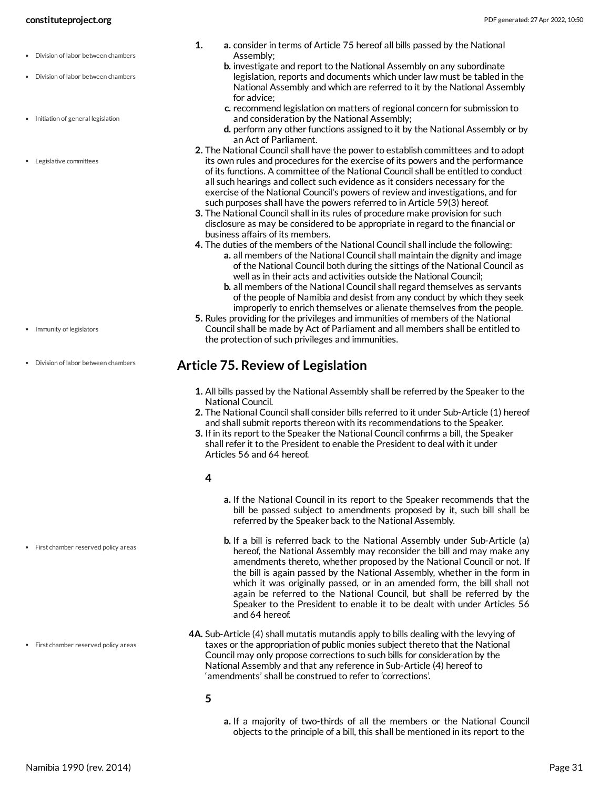#### **constituteproject.org** PDF generated: 27 Apr 2022, 10:50

- Division of labor between chambers
- Division of labor between chambers
- Initiation of general legislation
- Legislative committees

- Immunity of legislators
- Division of labor between chambers

• First chamber reserved policy areas

First chamber reserved policy areas

- **1. a.** consider in terms of Article 75 hereof all bills passed by the National Assembly;
	- **b.** investigate and report to the National Assembly on any subordinate legislation, reports and documents which under law must be tabled in the National Assembly and which are referred to it by the National Assembly for advice;
	- **c.** recommend legislation on matters of regional concern for submission to and consideration by the National Assembly;
	- **d.** perform any other functions assigned to it by the National Assembly or by an Act of Parliament.
- **2.** The National Council shall have the power to establish committees and to adopt its own rules and procedures for the exercise of its powers and the performance of its functions. A committee of the National Council shall be entitled to conduct all such hearings and collect such evidence as it considers necessary for the exercise of the National Council's powers of review and investigations, and for such purposes shall have the powers referred to in Article 59(3) hereof.
- **3.** The National Council shall in its rules of procedure make provision for such disclosure as may be considered to be appropriate in regard to the financial or business affairs of its members.
- **4.** The duties of the members of the National Council shall include the following: **a.** all members of the National Council shall maintain the dignity and image of the National Council both during the sittings of the National Council as well as in their acts and activities outside the National Council;
	- **b.** all members of the National Council shall regard themselves as servants of the people of Namibia and desist from any conduct by which they seek improperly to enrich themselves or alienate themselves from the people.
- **5.** Rules providing for the privileges and immunities of members of the National Council shall be made by Act of Parliament and all members shall be entitled to the protection of such privileges and immunities.

#### <span id="page-30-0"></span>**Article 75. Review of Legislation**

- **1.** All bills passed by the National Assembly shall be referred by the Speaker to the National Council.
- **2.** The National Council shall consider bills referred to it under Sub-Article (1) hereof and shall submit reports thereon with its recommendations to the Speaker.
- **3.** If in its report to the Speaker the National Council confirms a bill, the Speaker shall refer it to the President to enable the President to deal with it under Articles 56 and 64 hereof.

#### **4**

- <span id="page-30-1"></span>**a.** If the National Council in its report to the Speaker recommends that the bill be passed subject to amendments proposed by it, such bill shall be referred by the Speaker back to the National Assembly.
- **b.** If a bill is referred back to the National Assembly under Sub-Article (a) hereof, the National Assembly may reconsider the bill and may make any amendments thereto, whether proposed by the National Council or not. If the bill is again passed by the National Assembly, whether in the form in which it was originally passed, or in an amended form, the bill shall not again be referred to the National Council, but shall be referred by the Speaker to the President to enable it to be dealt with under Articles 56 and 64 hereof.
- **4A.** Sub-Article (4) shall mutatis mutandis apply to bills dealing with the levying of taxes or the appropriation of public monies subject thereto that the National Council may only propose corrections to such bills for consideration by the National Assembly and that any reference in Sub-Article (4) hereof to 'amendments' shall be construed to refer to 'corrections'.
	- **5**
- **a.** If a majority of two-thirds of all the members or the National Council objects to the principle of a bill, this shall be mentioned in its report to the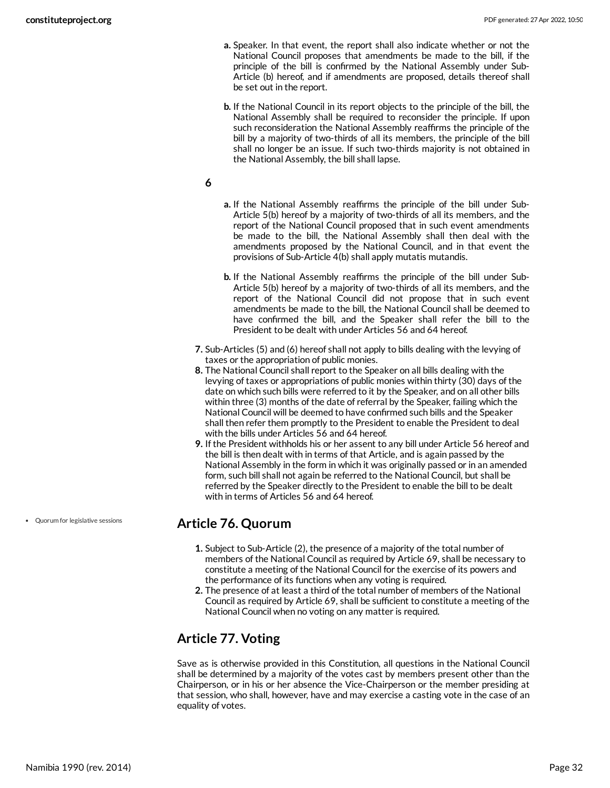- **a.** Speaker. In that event, the report shall also indicate whether or not the National Council proposes that amendments be made to the bill, if the principle of the bill is confirmed by the National Assembly under Sub-Article (b) hereof, and if amendments are proposed, details thereof shall be set out in the report.
- **b.** If the National Council in its report objects to the principle of the bill, the National Assembly shall be required to reconsider the principle. If upon such reconsideration the National Assembly reaffirms the principle of the bill by a majority of two-thirds of all its members, the principle of the bill shall no longer be an issue. If such two-thirds majority is not obtained in the National Assembly, the bill shall lapse.

#### **6**

- **a.** If the National Assembly reaffirms the principle of the bill under Sub-Article 5(b) hereof by a majority of two-thirds of all its members, and the report of the National Council proposed that in such event amendments be made to the bill, the National Assembly shall then deal with the amendments proposed by the National Council, and in that event the provisions of Sub-Article 4(b) shall apply mutatis mutandis.
- **b.** If the National Assembly reaffirms the principle of the bill under Sub-Article 5(b) hereof by a majority of two-thirds of all its members, and the report of the National Council did not propose that in such event amendments be made to the bill, the National Council shall be deemed to have confirmed the bill, and the Speaker shall refer the bill to the President to be dealt with under Articles 56 and 64 hereof.
- **7.** Sub-Articles (5) and (6) hereof shall not apply to bills dealing with the levying of taxes or the appropriation of public monies.
- **8.** The National Council shall report to the Speaker on all bills dealing with the levying of taxes or appropriations of public monies within thirty (30) days of the date on which such bills were referred to it by the Speaker, and on all other bills within three (3) months of the date of referral by the Speaker, failing which the National Council will be deemed to have confirmed such bills and the Speaker shall then refer them promptly to the President to enable the President to deal with the bills under Articles 56 and 64 hereof.
- **9.** If the President withholds his or her assent to any bill under Article 56 hereof and the bill is then dealt with in terms of that Article, and is again passed by the National Assembly in the form in which it was originally passed or in an amended form, such bill shall not again be referred to the National Council, but shall be referred by the Speaker directly to the President to enable the bill to be dealt with in terms of Articles 56 and 64 hereof.

#### <span id="page-31-0"></span>**Article 76. Quorum**

- **1.** Subject to Sub-Article (2), the presence of a majority of the total number of members of the National Council as required by Article 69, shall be necessary to constitute a meeting of the National Council for the exercise of its powers and the performance of its functions when any voting is required.
- **2.** The presence of at least a third of the total number of members of the National Council as required by Article 69, shall be sufficient to constitute a meeting of the National Council when no voting on any matter is required.

### <span id="page-31-1"></span>**Article 77. Voting**

Save as is otherwise provided in this Constitution, all questions in the National Council shall be determined by a majority of the votes cast by members present other than the Chairperson, or in his or her absence the Vice-Chairperson or the member presiding at that session, who shall, however, have and may exercise a casting vote in the case of an equality of votes.

Quorum for legislative sessions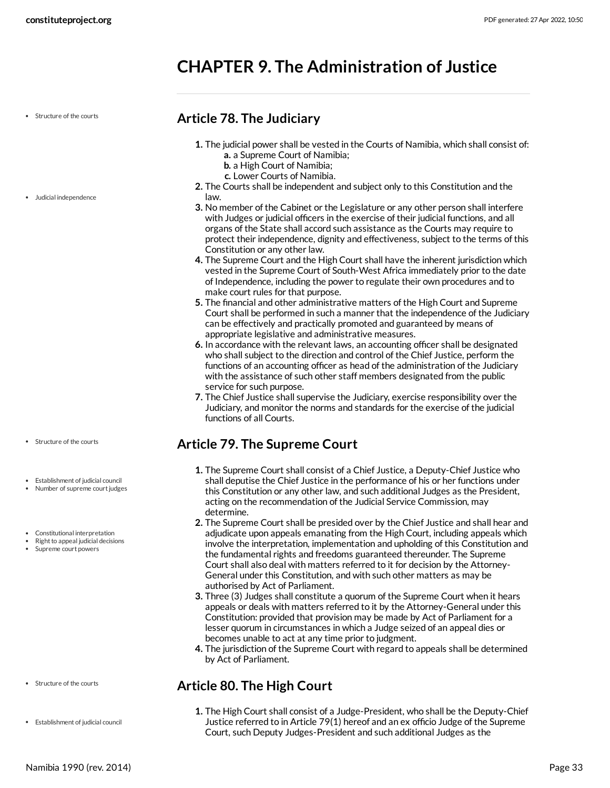### <span id="page-32-0"></span>**CHAPTER 9. The Administration of Justice**

Structure of the courts

#### <span id="page-32-1"></span>**Article 78. The Judiciary**

- **1.** The judicial power shall be vested in the Courts of Namibia, which shall consist of: **a.** a Supreme Court of Namibia;
	- **b.** a High Court of Namibia;
	- **c.** Lower Courts of Namibia.
- **2.** The Courts shall be independent and subject only to this Constitution and the law.
- **3.** No member of the Cabinet or the Legislature or any other person shall interfere with Judges or judicial officers in the exercise of their judicial functions, and all organs of the State shall accord such assistance as the Courts may require to protect their independence, dignity and effectiveness, subject to the terms of this Constitution or any other law.
- **4.** The Supreme Court and the High Court shall have the inherent jurisdiction which vested in the Supreme Court of South-West Africa immediately prior to the date of Independence, including the power to regulate their own procedures and to make court rules for that purpose.
- **5.** The financial and other administrative matters of the High Court and Supreme Court shall be performed in such a manner that the independence of the Judiciary can be effectively and practically promoted and guaranteed by means of appropriate legislative and administrative measures.
- **6.** In accordance with the relevant laws, an accounting officer shall be designated who shall subject to the direction and control of the Chief Justice, perform the functions of an accounting officer as head of the administration of the Judiciary with the assistance of such other staff members designated from the public service for such purpose.
- **7.** The Chief Justice shall supervise the Judiciary, exercise responsibility over the Judiciary, and monitor the norms and standards for the exercise of the judicial functions of all Courts.

### <span id="page-32-2"></span>**Article 79. The Supreme Court**

- **1.** The Supreme Court shall consist of a Chief Justice, a Deputy-Chief Justice who shall deputise the Chief Justice in the performance of his or her functions under this Constitution or any other law, and such additional Judges as the President, acting on the recommendation of the Judicial Service Commission, may determine.
- **2.** The Supreme Court shall be presided over by the Chief Justice and shall hear and adjudicate upon appeals emanating from the High Court, including appeals which involve the interpretation, implementation and upholding of this Constitution and the fundamental rights and freedoms guaranteed thereunder. The Supreme Court shall also deal with matters referred to it for decision by the Attorney-General under this Constitution, and with such other matters as may be authorised by Act of Parliament.
- **3.** Three (3) Judges shall constitute a quorum of the Supreme Court when it hears appeals or deals with matters referred to it by the Attorney-General under this Constitution: provided that provision may be made by Act of Parliament for a lesser quorum in circumstances in which a Judge seized of an appeal dies or becomes unable to act at any time prior to judgment.
- **4.** The jurisdiction of the Supreme Court with regard to appeals shall be determined by Act of Parliament.

### <span id="page-32-3"></span>**Article 80. The High Court**

**1.** The High Court shall consist of a Judge-President, who shall be the Deputy-Chief Justice referred to in Article 79(1) hereof and an ex officio Judge of the Supreme Court, such Deputy Judges-President and such additional Judges as the

Judicial independence

- Structure of the courts
- Establishment of judicial council
- Number of supreme court judges
- Constitutional interpretation
- Right to appeal judicial decisions
- Supreme court powers

- Structure of the courts
- Establishment of judicial council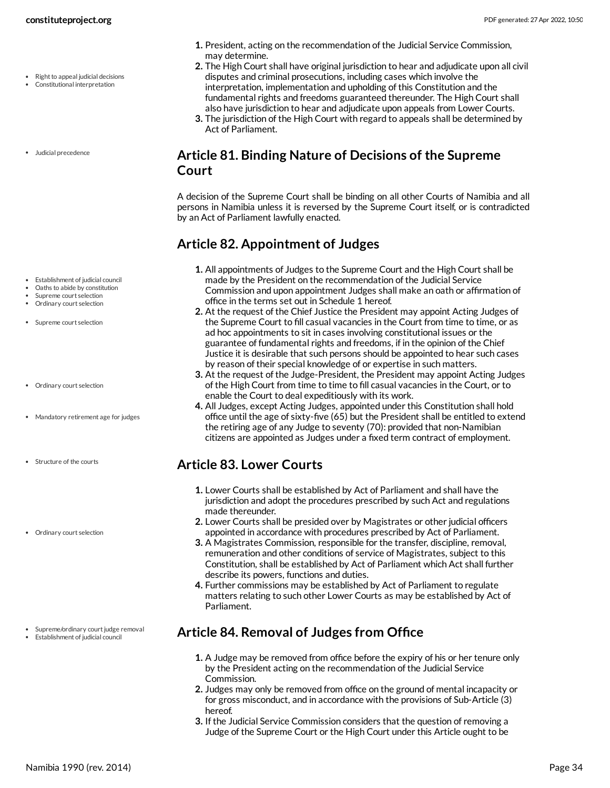- Right to appeal judicial decisions
- Constitutional interpretation
- Judicial precedence

- Establishment of judicial council
- Oaths to abide by constitution
- Supreme court selection
- Ordinary court selection
- Supreme court selection
- Ordinary court selection
- Mandatory retirement age for judges
- Structure of the courts
- Ordinary court selection

Supreme/ordinary court judge removal Establishment of judicial council

- **1.** President, acting on the recommendation of the Judicial Service Commission, may determine.
- **2.** The High Court shall have original jurisdiction to hear and adjudicate upon all civil disputes and criminal prosecutions, including cases which involve the interpretation, implementation and upholding of this Constitution and the fundamental rights and freedoms guaranteed thereunder. The High Court shall also have jurisdiction to hear and adjudicate upon appeals from Lower Courts.
- **3.** The jurisdiction of the High Court with regard to appeals shall be determined by Act of Parliament.

#### <span id="page-33-0"></span>**Article 81. Binding Nature of Decisions of the Supreme Court**

A decision of the Supreme Court shall be binding on all other Courts of Namibia and all persons in Namibia unless it is reversed by the Supreme Court itself, or is contradicted by an Act of Parliament lawfully enacted.

#### <span id="page-33-1"></span>**Article 82. Appointment of Judges**

- **1.** All appointments of Judges to the Supreme Court and the High Court shall be made by the President on the recommendation of the Judicial Service Commission and upon appointment Judges shall make an oath or affirmation of office in the terms set out in Schedule 1 hereof.
- **2.** At the request of the Chief Justice the President may appoint Acting Judges of the Supreme Court to fill casual vacancies in the Court from time to time, or as ad hoc appointments to sit in cases involving constitutional issues or the guarantee of fundamental rights and freedoms, if in the opinion of the Chief Justice it is desirable that such persons should be appointed to hear such cases by reason of their special knowledge of or expertise in such matters.
- **3.** At the request of the Judge-President, the President may appoint Acting Judges of the High Court from time to time to fill casual vacancies in the Court, or to enable the Court to deal expeditiously with its work.
- **4.** All Judges, except Acting Judges, appointed under this Constitution shall hold office until the age of sixty-five (65) but the President shall be entitled to extend the retiring age of any Judge to seventy (70): provided that non-Namibian citizens are appointed as Judges under a fixed term contract of employment.

#### <span id="page-33-2"></span>**Article 83. Lower Courts**

- **1.** Lower Courts shall be established by Act of Parliament and shall have the jurisdiction and adopt the procedures prescribed by such Act and regulations made thereunder.
- **2.** Lower Courts shall be presided over by Magistrates or other judicial officers appointed in accordance with procedures prescribed by Act of Parliament.
- **3.** A Magistrates Commission, responsible for the transfer, discipline, removal, remuneration and other conditions of service of Magistrates, subject to this Constitution, shall be established by Act of Parliament which Act shall further describe its powers, functions and duties.
- **4.** Further commissions may be established by Act of Parliament to regulate matters relating to such other Lower Courts as may be established by Act of Parliament.

#### <span id="page-33-3"></span>**Article 84. Removal of Judges from Office**

- **1.** A Judge may be removed from office before the expiry of his or her tenure only by the President acting on the recommendation of the Judicial Service Commission.
- **2.** Judges may only be removed from office on the ground of mental incapacity or for gross misconduct, and in accordance with the provisions of Sub-Article (3) hereof.
- **3.** If the Judicial Service Commission considers that the question of removing a Judge of the Supreme Court or the High Court under this Article ought to be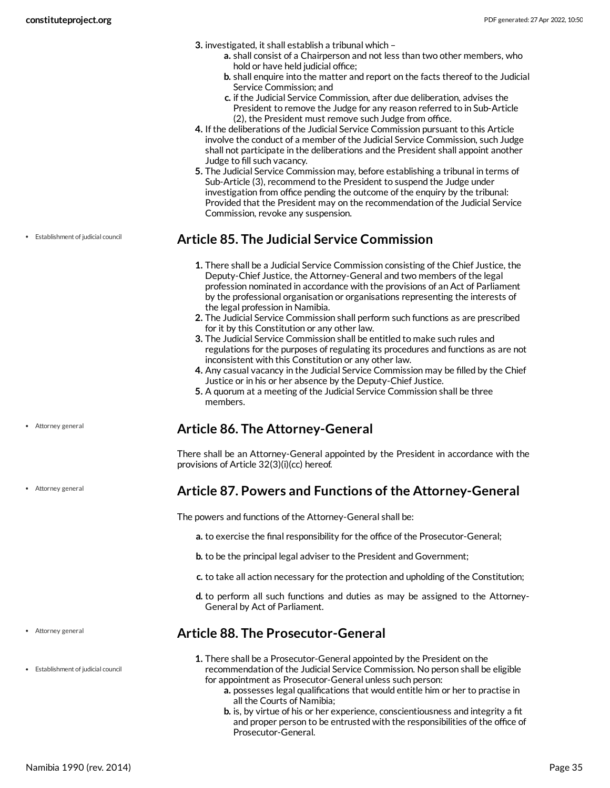Establishment of judicial council

- **3.** investigated, it shall establish a tribunal which
	- **a.** shall consist of a Chairperson and not less than two other members, who hold or have held judicial office;
	- **b.** shall enquire into the matter and report on the facts thereof to the Judicial Service Commission; and
	- **c.** if the Judicial Service Commission, after due deliberation, advises the President to remove the Judge for any reason referred to in Sub-Article (2), the President must remove such Judge from office.
- **4.** If the deliberations of the Judicial Service Commission pursuant to this Article involve the conduct of a member of the Judicial Service Commission, such Judge shall not participate in the deliberations and the President shall appoint another Judge to fill such vacancy.
- **5.** The Judicial Service Commission may, before establishing a tribunal in terms of Sub-Article (3), recommend to the President to suspend the Judge under investigation from office pending the outcome of the enquiry by the tribunal: Provided that the President may on the recommendation of the Judicial Service Commission, revoke any suspension.

#### <span id="page-34-0"></span>**Article 85. The Judicial Service Commission**

- **1.** There shall be a Judicial Service Commission consisting of the Chief Justice, the Deputy-Chief Justice, the Attorney-General and two members of the legal profession nominated in accordance with the provisions of an Act of Parliament by the professional organisation or organisations representing the interests of the legal profession in Namibia.
- **2.** The Judicial Service Commission shall perform such functions as are prescribed for it by this Constitution or any other law.
- **3.** The Judicial Service Commission shall be entitled to make such rules and regulations for the purposes of regulating its procedures and functions as are not inconsistent with this Constitution or any other law.
- **4.** Any casual vacancy in the Judicial Service Commission may be filled by the Chief Justice or in his or her absence by the Deputy-Chief Justice.
- **5.** A quorum at a meeting of the Judicial Service Commission shall be three members.

#### <span id="page-34-1"></span>**Article 86. The Attorney-General**

There shall be an Attorney-General appointed by the President in accordance with the provisions of Article 32(3)(i)(cc) hereof.

#### <span id="page-34-2"></span>**Article 87. Powers and Functions of the Attorney-General**

The powers and functions of the Attorney-General shall be:

**a.** to exercise the final responsibility for the office of the Prosecutor-General;

**b.** to be the principal legal adviser to the President and Government;

- **c.** to take all action necessary for the protection and upholding of the Constitution;
- **d.** to perform all such functions and duties as may be assigned to the Attorney-General by Act of Parliament.

#### <span id="page-34-3"></span>**Article 88. The Prosecutor-General**

- **1.** There shall be a Prosecutor-General appointed by the President on the recommendation of the Judicial Service Commission. No person shall be eligible for appointment as Prosecutor-General unless such person:
	- **a.** possesses legal qualifications that would entitle him or her to practise in all the Courts of Namibia;
	- **b.** is, by virtue of his or her experience, conscientiousness and integrity a fit and proper person to be entrusted with the responsibilities of the office of Prosecutor-General.

Attorney general

Attorney general

Attorney general

Establishment of judicial council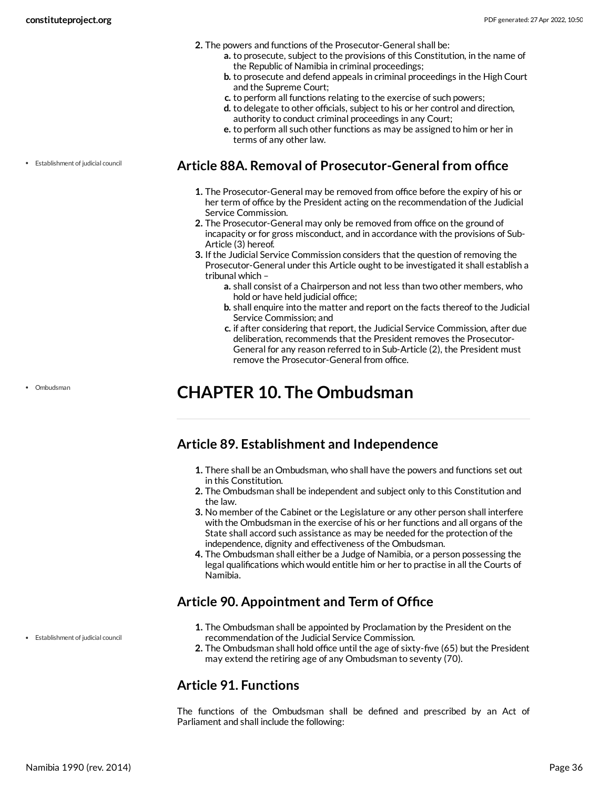Establishment of judicial council

Ombudsman

- **2.** The powers and functions of the Prosecutor-General shall be:
	- **a.** to prosecute, subject to the provisions of this Constitution, in the name of the Republic of Namibia in criminal proceedings;
	- **b.** to prosecute and defend appeals in criminal proceedings in the High Court and the Supreme Court;
	- **c.** to perform all functions relating to the exercise of such powers;
	- **d.** to delegate to other officials, subject to his or her control and direction, authority to conduct criminal proceedings in any Court;
	- **e.** to perform all such other functions as may be assigned to him or her in terms of any other law.

#### <span id="page-35-0"></span>**Article 88A. Removal of Prosecutor-General from office**

- **1.** The Prosecutor-General may be removed from office before the expiry of his or her term of office by the President acting on the recommendation of the Judicial Service Commission.
- **2.** The Prosecutor-General may only be removed from office on the ground of incapacity or for gross misconduct, and in accordance with the provisions of Sub-Article (3) hereof.
- **3.** If the Judicial Service Commission considers that the question of removing the Prosecutor-General under this Article ought to be investigated it shall establish a tribunal which –
	- **a.** shall consist of a Chairperson and not less than two other members, who hold or have held judicial office;
	- **b.** shall enquire into the matter and report on the facts thereof to the Judicial Service Commission; and
	- **c.** if after considering that report, the Judicial Service Commission, after due deliberation, recommends that the President removes the Prosecutor-General for any reason referred to in Sub-Article (2), the President must remove the Prosecutor-General from office.

# <span id="page-35-1"></span>**CHAPTER 10. The Ombudsman**

#### <span id="page-35-2"></span>**Article 89. Establishment and Independence**

- **1.** There shall be an Ombudsman, who shall have the powers and functions set out in this Constitution.
- **2.** The Ombudsman shall be independent and subject only to this Constitution and the law.
- **3.** No member of the Cabinet or the Legislature or any other person shall interfere with the Ombudsman in the exercise of his or her functions and all organs of the State shall accord such assistance as may be needed for the protection of the independence, dignity and effectiveness of the Ombudsman.
- **4.** The Ombudsman shall either be a Judge of Namibia, or a person possessing the legal qualifications which would entitle him or her to practise in all the Courts of Namibia.

#### <span id="page-35-3"></span>**Article 90. Appointment and Term of Office**

- **1.** The Ombudsman shall be appointed by Proclamation by the President on the recommendation of the Judicial Service Commission.
- **2.** The Ombudsman shall hold office until the age of sixty-five (65) but the President may extend the retiring age of any Ombudsman to seventy (70).

### <span id="page-35-4"></span>**Article 91. Functions**

The functions of the Ombudsman shall be defined and prescribed by an Act of Parliament and shall include the following:

#### Establishment of judicial council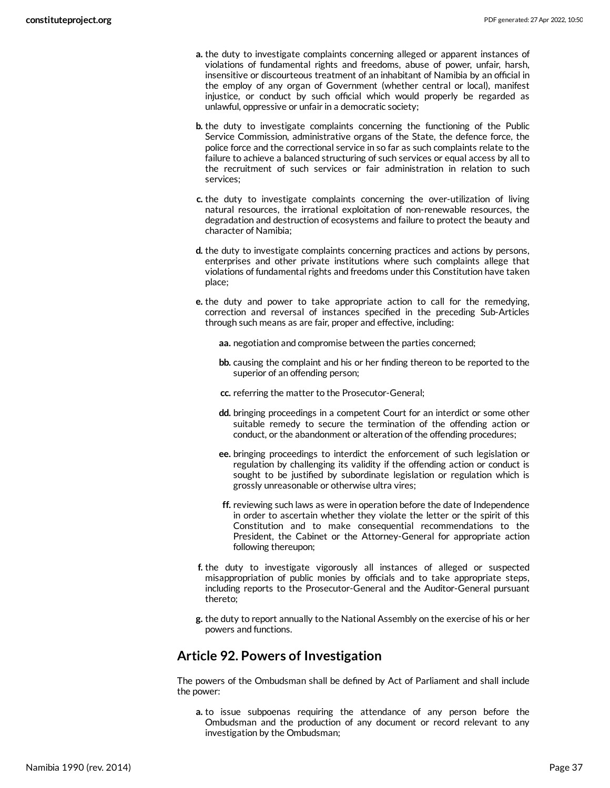- **a.** the duty to investigate complaints concerning alleged or apparent instances of violations of fundamental rights and freedoms, abuse of power, unfair, harsh, insensitive or discourteous treatment of an inhabitant of Namibia by an official in the employ of any organ of Government (whether central or local), manifest injustice, or conduct by such official which would properly be regarded as unlawful, oppressive or unfair in a democratic society;
- **b.** the duty to investigate complaints concerning the functioning of the Public Service Commission, administrative organs of the State, the defence force, the police force and the correctional service in so far as such complaints relate to the failure to achieve a balanced structuring of such services or equal access by all to the recruitment of such services or fair administration in relation to such services;
- **c.** the duty to investigate complaints concerning the over-utilization of living natural resources, the irrational exploitation of non-renewable resources, the degradation and destruction of ecosystems and failure to protect the beauty and character of Namibia;
- **d.** the duty to investigate complaints concerning practices and actions by persons, enterprises and other private institutions where such complaints allege that violations of fundamental rights and freedoms under this Constitution have taken place;
- **e.** the duty and power to take appropriate action to call for the remedying, correction and reversal of instances specified in the preceding Sub-Articles through such means as are fair, proper and effective, including:

**aa.** negotiation and compromise between the parties concerned;

- **bb.** causing the complaint and his or her finding thereon to be reported to the superior of an offending person;
- **cc.** referring the matter to the Prosecutor-General;
- **dd.** bringing proceedings in a competent Court for an interdict or some other suitable remedy to secure the termination of the offending action or conduct, or the abandonment or alteration of the offending procedures;
- **ee.** bringing proceedings to interdict the enforcement of such legislation or regulation by challenging its validity if the offending action or conduct is sought to be justified by subordinate legislation or regulation which is grossly unreasonable or otherwise ultra vires;
- **ff.** reviewing such laws as were in operation before the date of Independence in order to ascertain whether they violate the letter or the spirit of this Constitution and to make consequential recommendations to the President, the Cabinet or the Attorney-General for appropriate action following thereupon;
- **f.** the duty to investigate vigorously all instances of alleged or suspected misappropriation of public monies by officials and to take appropriate steps, including reports to the Prosecutor-General and the Auditor-General pursuant thereto;
- **g.** the duty to report annually to the National Assembly on the exercise of his or her powers and functions.

#### <span id="page-36-0"></span>**Article 92. Powers of Investigation**

The powers of the Ombudsman shall be defined by Act of Parliament and shall include the power:

**a.** to issue subpoenas requiring the attendance of any person before the Ombudsman and the production of any document or record relevant to any investigation by the Ombudsman;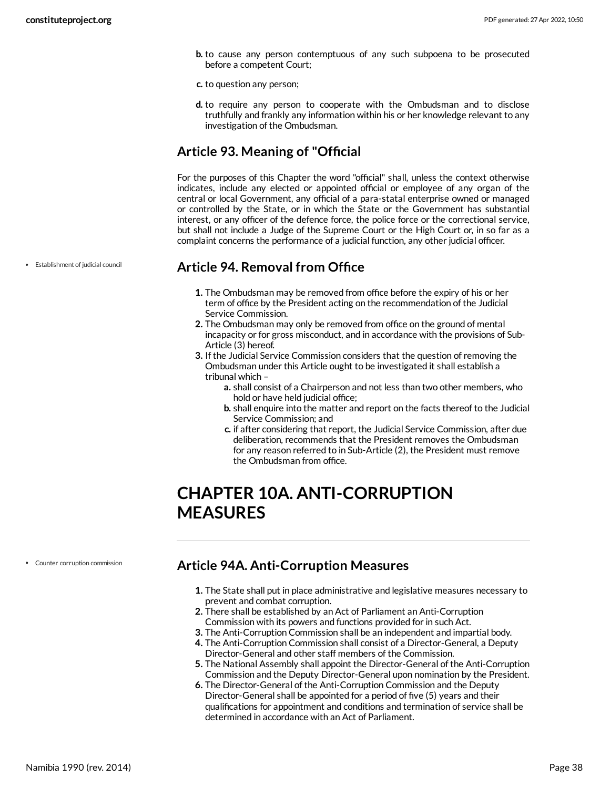- **b.** to cause any person contemptuous of any such subpoena to be prosecuted before a competent Court;
- **c.** to question any person;
- **d.** to require any person to cooperate with the Ombudsman and to disclose truthfully and frankly any information within his or her knowledge relevant to any investigation of the Ombudsman.

#### <span id="page-37-0"></span>**Article 93. Meaning of "Official**

For the purposes of this Chapter the word "official" shall, unless the context otherwise indicates, include any elected or appointed official or employee of any organ of the central or local Government, any official of a para-statal enterprise owned or managed or controlled by the State, or in which the State or the Government has substantial interest, or any officer of the defence force, the police force or the correctional service, but shall not include a Judge of the Supreme Court or the High Court or, in so far as a complaint concerns the performance of a judicial function, any other judicial officer.

#### <span id="page-37-1"></span>**Article 94. Removal from Office**

- **1.** The Ombudsman may be removed from office before the expiry of his or her term of office by the President acting on the recommendation of the Judicial Service Commission.
- **2.** The Ombudsman may only be removed from office on the ground of mental incapacity or for gross misconduct, and in accordance with the provisions of Sub-Article (3) hereof.
- **3.** If the Judicial Service Commission considers that the question of removing the Ombudsman under this Article ought to be investigated it shall establish a tribunal which –
	- **a.** shall consist of a Chairperson and not less than two other members, who hold or have held judicial office;
	- **b.** shall enquire into the matter and report on the facts thereof to the Judicial Service Commission; and
	- **c.** if after considering that report, the Judicial Service Commission, after due deliberation, recommends that the President removes the Ombudsman for any reason referred to in Sub-Article (2), the President must remove the Ombudsman from office.

## <span id="page-37-2"></span>**CHAPTER 10A. ANTI-CORRUPTION MEASURES**

Counter corruption commission

#### <span id="page-37-3"></span>**Article 94A. Anti-Corruption Measures**

- **1.** The State shall put in place administrative and legislative measures necessary to prevent and combat corruption.
- **2.** There shall be established by an Act of Parliament an Anti-Corruption Commission with its powers and functions provided for in such Act.
- **3.** The Anti-Corruption Commission shall be an independent and impartial body.
- **4.** The Anti-Corruption Commission shall consist of a Director-General, a Deputy Director-General and other staff members of the Commission.
- **5.** The National Assembly shall appoint the Director-General of the Anti-Corruption Commission and the Deputy Director-General upon nomination by the President.
- **6.** The Director-General of the Anti-Corruption Commission and the Deputy Director-General shall be appointed for a period of five (5) years and their qualifications for appointment and conditions and termination of service shall be determined in accordance with an Act of Parliament.

Establishment of judicial council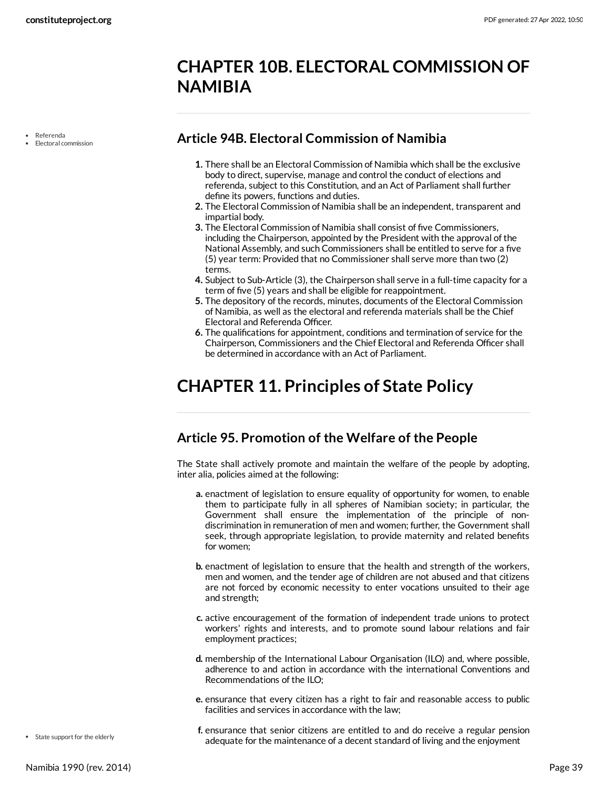### <span id="page-38-0"></span>**CHAPTER 10B. ELECTORAL COMMISSION OF NAMIBIA**

Referenda

Electoral commission

#### <span id="page-38-1"></span>**Article 94B. Electoral Commission of Namibia**

- **1.** There shall be an Electoral Commission of Namibia which shall be the exclusive body to direct, supervise, manage and control the conduct of elections and referenda, subject to this Constitution, and an Act of Parliament shall further define its powers, functions and duties.
- **2.** The Electoral Commission of Namibia shall be an independent, transparent and impartial body.
- **3.** The Electoral Commission of Namibia shall consist of five Commissioners, including the Chairperson, appointed by the President with the approval of the National Assembly, and such Commissioners shall be entitled to serve for a five (5) year term: Provided that no Commissioner shall serve more than two (2) terms.
- **4.** Subject to Sub-Article (3), the Chairperson shall serve in a full-time capacity for a term of five (5) years and shall be eligible for reappointment.
- **5.** The depository of the records, minutes, documents of the Electoral Commission of Namibia, as well as the electoral and referenda materials shall be the Chief Electoral and Referenda Officer.
- **6.** The qualifications for appointment, conditions and termination of service for the Chairperson, Commissioners and the Chief Electoral and Referenda Officer shall be determined in accordance with an Act of Parliament.

# <span id="page-38-2"></span>**CHAPTER 11. Principles of State Policy**

#### <span id="page-38-3"></span>**Article 95. Promotion of the Welfare of the People**

<span id="page-38-4"></span>The State shall actively promote and maintain the welfare of the people by adopting, inter alia, policies aimed at the following:

- **a.** enactment of legislation to ensure equality of opportunity for women, to enable them to participate fully in all spheres of Namibian society; in particular, the Government shall ensure the implementation of the principle of nondiscrimination in remuneration of men and women; further, the Government shall seek, through appropriate legislation, to provide maternity and related benefits for women;
- **b.** enactment of legislation to ensure that the health and strength of the workers, men and women, and the tender age of children are not abused and that citizens are not forced by economic necessity to enter vocations unsuited to their age and strength;
- **c.** active encouragement of the formation of independent trade unions to protect workers' rights and interests, and to promote sound labour relations and fair employment practices;
- **d.** membership of the International Labour Organisation (ILO) and, where possible, adherence to and action in accordance with the international Conventions and Recommendations of the ILO;
- **e.** ensurance that every citizen has a right to fair and reasonable access to public facilities and services in accordance with the law;
- **f.** ensurance that senior citizens are entitled to and do receive a regular pension adequate for the maintenance of a decent standard of living and the enjoyment
- State support for the elderly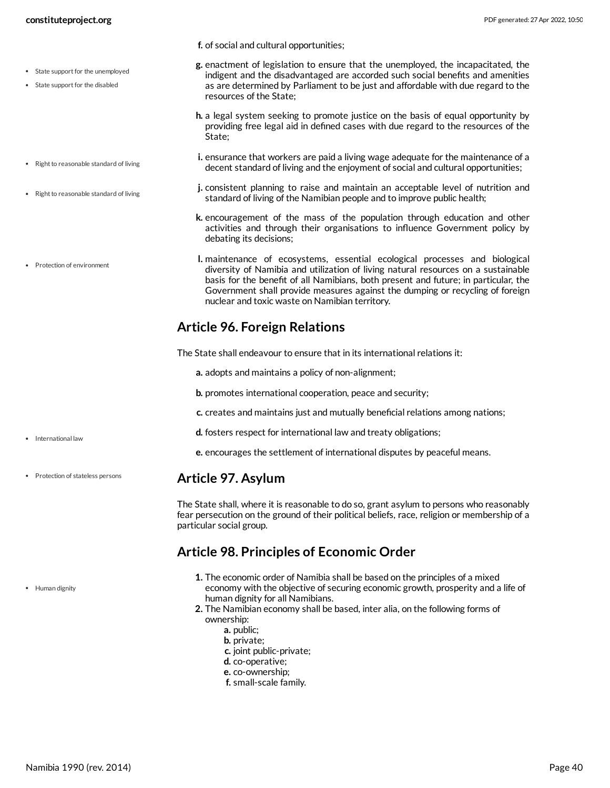- State support for the unemployed
- State support for the disabled
- Right to reasonable standard of living
- Right to reasonable standard of living
- Protection of environment
- **f.** of social and cultural opportunities;
- **g.** enactment of legislation to ensure that the unemployed, the incapacitated, the indigent and the disadvantaged are accorded such social benefits and amenities as are determined by Parliament to be just and affordable with due regard to the resources of the State;
- **h.** a legal system seeking to promote justice on the basis of equal opportunity by providing free legal aid in defined cases with due regard to the resources of the State;
- **i.** ensurance that workers are paid a living wage adequate for the maintenance of a decent standard of living and the enjoyment of social and cultural opportunities;
- **j.** consistent planning to raise and maintain an acceptable level of nutrition and standard of living of the Namibian people and to improve public health;
- **k.** encouragement of the mass of the population through education and other activities and through their organisations to influence Government policy by debating its decisions;
- **l.** maintenance of ecosystems, essential ecological processes and biological diversity of Namibia and utilization of living natural resources on a sustainable basis for the benefit of all Namibians, both present and future; in particular, the Government shall provide measures against the dumping or recycling of foreign nuclear and toxic waste on Namibian territory.

#### <span id="page-39-0"></span>**Article 96. Foreign Relations**

<span id="page-39-3"></span>The State shall endeavour to ensure that in its international relations it:

- **a.** adopts and maintains a policy of non-alignment;
- **b.** promotes international cooperation, peace and security;
- **c.** creates and maintains just and mutually beneficial relations among nations;
- **d.** fosters respect for international law and treaty obligations;
- **e.** encourages the settlement of international disputes by peaceful means.

#### <span id="page-39-1"></span>**Article 97. Asylum**

The State shall, where it is reasonable to do so, grant asylum to persons who reasonably fear persecution on the ground of their political beliefs, race, religion or membership of a particular social group.

#### <span id="page-39-2"></span>**Article 98. Principles of Economic Order**

- **1.** The economic order of Namibia shall be based on the principles of a mixed economy with the objective of securing economic growth, prosperity and a life of human dignity for all Namibians.
- **2.** The Namibian economy shall be based, inter alia, on the following forms of ownership:
	- **a.** public;
	- **b.** private;
	- **c.** joint public-private;
	- **d.** co-operative;
	- **e.** co-ownership;
	- **f.** small-scale family.

• Protection of stateless persons

• Human dignity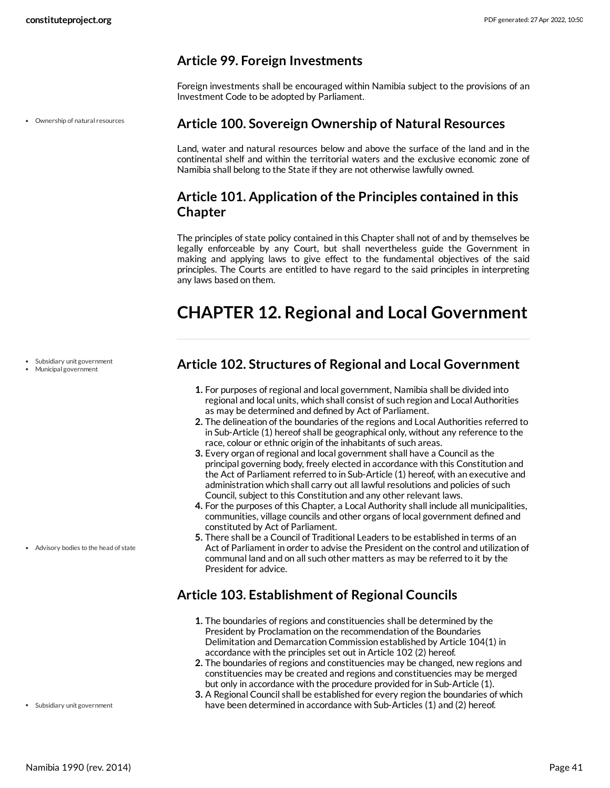#### <span id="page-40-0"></span>**Article 99. Foreign Investments**

Foreign investments shall be encouraged within Namibia subject to the provisions of an Investment Code to be adopted by Parliament.

Ownership of natural resources

#### <span id="page-40-1"></span>**Article 100. Sovereign Ownership of Natural Resources**

Land, water and natural resources below and above the surface of the land and in the continental shelf and within the territorial waters and the exclusive economic zone of Namibia shall belong to the State if they are not otherwise lawfully owned.

#### <span id="page-40-2"></span>**Article 101. Application of the Principles contained in this Chapter**

The principles of state policy contained in this Chapter shall not of and by themselves be legally enforceable by any Court, but shall nevertheless guide the Government in making and applying laws to give effect to the fundamental objectives of the said principles. The Courts are entitled to have regard to the said principles in interpreting any laws based on them.

### <span id="page-40-3"></span>**CHAPTER 12. Regional and Local Government**

- Subsidiary unit government
- Municipal government

- Advisory bodies to the head of state
- 

Subsidiary unit government

#### <span id="page-40-4"></span>**Article 102. Structures of Regional and Local Government**

- **1.** For purposes of regional and local government, Namibia shall be divided into regional and local units, which shall consist of such region and Local Authorities as may be determined and defined by Act of Parliament.
- **2.** The delineation of the boundaries of the regions and Local Authorities referred to in Sub-Article (1) hereof shall be geographical only, without any reference to the race, colour or ethnic origin of the inhabitants of such areas.
- **3.** Every organ of regional and local government shall have a Council as the principal governing body, freely elected in accordance with this Constitution and the Act of Parliament referred to in Sub-Article (1) hereof, with an executive and administration which shall carry out all lawful resolutions and policies of such Council, subject to this Constitution and any other relevant laws.
- **4.** For the purposes of this Chapter, a Local Authority shall include all municipalities, communities, village councils and other organs of local government defined and constituted by Act of Parliament.
- **5.** There shall be a Council of Traditional Leaders to be established in terms of an Act of Parliament in order to advise the President on the control and utilization of communal land and on all such other matters as may be referred to it by the President for advice.

#### <span id="page-40-5"></span>**Article 103. Establishment of Regional Councils**

- **1.** The boundaries of regions and constituencies shall be determined by the President by Proclamation on the recommendation of the Boundaries Delimitation and Demarcation Commission established by Article 104(1) in accordance with the principles set out in Article 102 (2) hereof.
- **2.** The boundaries of regions and constituencies may be changed, new regions and constituencies may be created and regions and constituencies may be merged but only in accordance with the procedure provided for in Sub-Article (1).
- **3.** A Regional Council shall be established for every region the boundaries of which have been determined in accordance with Sub-Articles (1) and (2) hereof.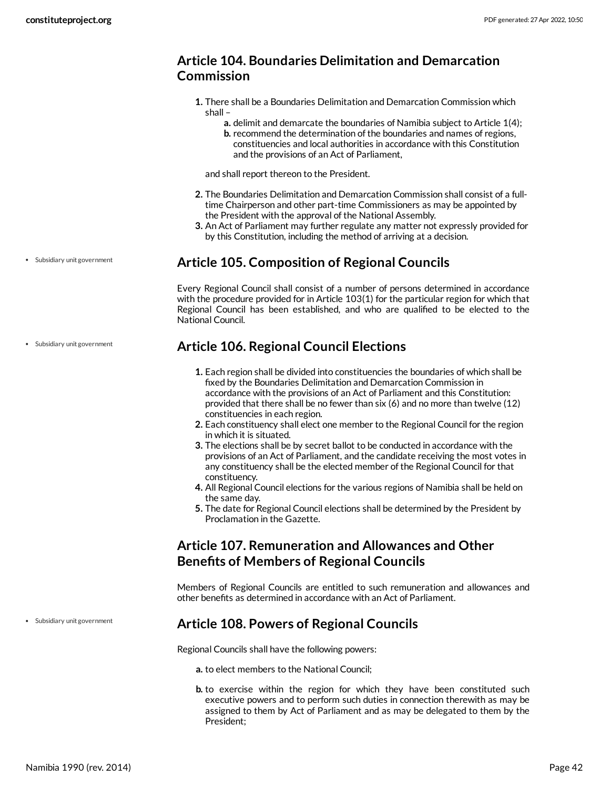#### <span id="page-41-0"></span>**Article 104. Boundaries Delimitation and Demarcation Commission**

- **1.** There shall be a Boundaries Delimitation and Demarcation Commission which shall –
	- **a.** delimit and demarcate the boundaries of Namibia subject to Article 1(4);
	- **b.** recommend the determination of the boundaries and names of regions, constituencies and local authorities in accordance with this Constitution and the provisions of an Act of Parliament,

and shall report thereon to the President.

- **2.** The Boundaries Delimitation and Demarcation Commission shall consist of a fulltime Chairperson and other part-time Commissioners as may be appointed by the President with the approval of the National Assembly.
- **3.** An Act of Parliament may further regulate any matter not expressly provided for by this Constitution, including the method of arriving at a decision.

### <span id="page-41-1"></span>**Article 105. Composition of Regional Councils**

Every Regional Council shall consist of a number of persons determined in accordance with the procedure provided for in Article 103(1) for the particular region for which that Regional Council has been established, and who are qualified to be elected to the National Council.

#### <span id="page-41-2"></span>**Article 106. Regional Council Elections**

- **1.** Each region shall be divided into constituencies the boundaries of which shall be fixed by the Boundaries Delimitation and Demarcation Commission in accordance with the provisions of an Act of Parliament and this Constitution: provided that there shall be no fewer than six (6) and no more than twelve (12) constituencies in each region.
- **2.** Each constituency shall elect one member to the Regional Council for the region in which it is situated.
- **3.** The elections shall be by secret ballot to be conducted in accordance with the provisions of an Act of Parliament, and the candidate receiving the most votes in any constituency shall be the elected member of the Regional Council for that constituency.
- **4.** All Regional Council elections for the various regions of Namibia shall be held on the same day.
- **5.** The date for Regional Council elections shall be determined by the President by Proclamation in the Gazette.

#### <span id="page-41-3"></span>**Article 107. Remuneration and Allowances and Other Benefits of Members of Regional Councils**

Members of Regional Councils are entitled to such remuneration and allowances and other benefits as determined in accordance with an Act of Parliament.

#### <span id="page-41-4"></span>**Article 108. Powers of Regional Councils**

Regional Councils shall have the following powers:

- **a.** to elect members to the National Council;
- **b.** to exercise within the region for which they have been constituted such executive powers and to perform such duties in connection therewith as may be assigned to them by Act of Parliament and as may be delegated to them by the President;

Subsidiary unit government

Subsidiary unit government

Subsidiary unit government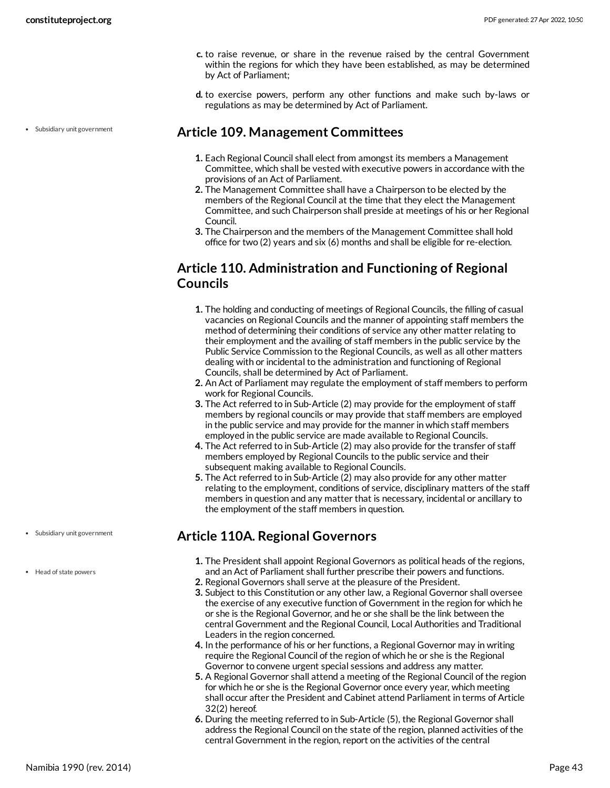- **c.** to raise revenue, or share in the revenue raised by the central Government within the regions for which they have been established, as may be determined by Act of Parliament;
- **d.** to exercise powers, perform any other functions and make such by-laws or regulations as may be determined by Act of Parliament.

#### <span id="page-42-0"></span>**Article 109. Management Committees**

- **1.** Each Regional Council shall elect from amongst its members a Management Committee, which shall be vested with executive powers in accordance with the provisions of an Act of Parliament.
- **2.** The Management Committee shall have a Chairperson to be elected by the members of the Regional Council at the time that they elect the Management Committee, and such Chairperson shall preside at meetings of his or her Regional Council.
- **3.** The Chairperson and the members of the Management Committee shall hold office for two (2) years and six (6) months and shall be eligible for re-election.

#### <span id="page-42-1"></span>**Article 110. Administration and Functioning of Regional Councils**

- **1.** The holding and conducting of meetings of Regional Councils, the filling of casual vacancies on Regional Councils and the manner of appointing staff members the method of determining their conditions of service any other matter relating to their employment and the availing of staff members in the public service by the Public Service Commission to the Regional Councils, as well as all other matters dealing with or incidental to the administration and functioning of Regional Councils, shall be determined by Act of Parliament.
- **2.** An Act of Parliament may regulate the employment of staff members to perform work for Regional Councils.
- **3.** The Act referred to in Sub-Article (2) may provide for the employment of staff members by regional councils or may provide that staff members are employed in the public service and may provide for the manner in which staff members employed in the public service are made available to Regional Councils.
- **4.** The Act referred to in Sub-Article (2) may also provide for the transfer of staff members employed by Regional Councils to the public service and their subsequent making available to Regional Councils.
- **5.** The Act referred to in Sub-Article (2) may also provide for any other matter relating to the employment, conditions of service, disciplinary matters of the staff members in question and any matter that is necessary, incidental or ancillary to the employment of the staff members in question.

#### <span id="page-42-2"></span>**Article 110A. Regional Governors**

- **1.** The President shall appoint Regional Governors as political heads of the regions, and an Act of Parliament shall further prescribe their powers and functions.
- **2.** Regional Governors shall serve at the pleasure of the President.
- **3.** Subject to this Constitution or any other law, a Regional Governor shall oversee the exercise of any executive function of Government in the region for which he or she is the Regional Governor, and he or she shall be the link between the central Government and the Regional Council, Local Authorities and Traditional Leaders in the region concerned.
- **4.** In the performance of his or her functions, a Regional Governor may in writing require the Regional Council of the region of which he or she is the Regional Governor to convene urgent special sessions and address any matter.
- **5.** A Regional Governor shall attend a meeting of the Regional Council of the region for which he or she is the Regional Governor once every year, which meeting shall occur after the President and Cabinet attend Parliament in terms of Article 32(2) hereof.
- **6.** During the meeting referred to in Sub-Article (5), the Regional Governor shall address the Regional Council on the state of the region, planned activities of the central Government in the region, report on the activities of the central

Subsidiary unit government

- Subsidiary unit government
- Head of state powers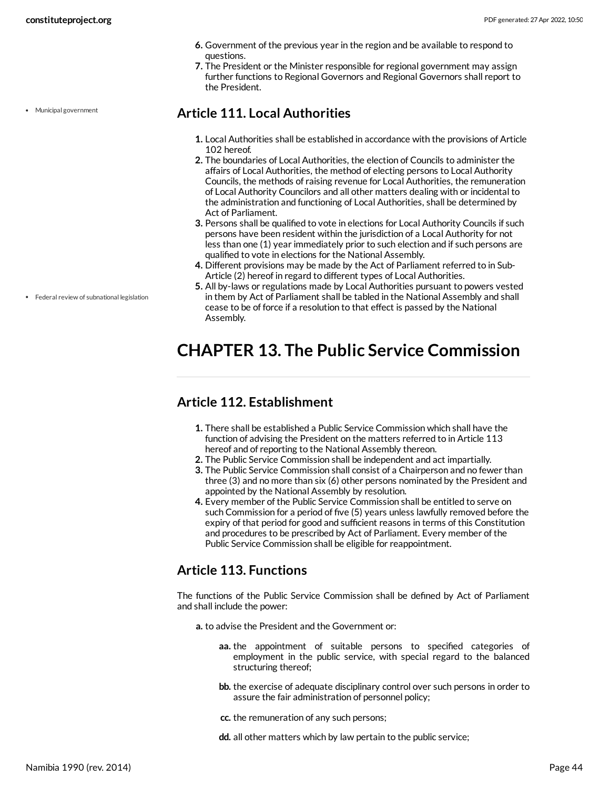Municipal government

- **6.** Government of the previous year in the region and be available to respond to questions.
- **7.** The President or the Minister responsible for regional government may assign further functions to Regional Governors and Regional Governors shall report to the President.

#### <span id="page-43-0"></span>**Article 111. Local Authorities**

- **1.** Local Authorities shall be established in accordance with the provisions of Article 102 hereof.
- **2.** The boundaries of Local Authorities, the election of Councils to administer the affairs of Local Authorities, the method of electing persons to Local Authority Councils, the methods of raising revenue for Local Authorities, the remuneration of Local Authority Councilors and all other matters dealing with or incidental to the administration and functioning of Local Authorities, shall be determined by Act of Parliament.
- **3.** Persons shall be qualified to vote in elections for Local Authority Councils if such persons have been resident within the jurisdiction of a Local Authority for not less than one (1) year immediately prior to such election and if such persons are qualified to vote in elections for the National Assembly.
- **4.** Different provisions may be made by the Act of Parliament referred to in Sub-Article (2) hereof in regard to different types of Local Authorities.
- **5.** All by-laws or regulations made by Local Authorities pursuant to powers vested in them by Act of Parliament shall be tabled in the National Assembly and shall cease to be of force if a resolution to that effect is passed by the National Assembly.

# <span id="page-43-1"></span>**CHAPTER 13. The Public Service Commission**

#### <span id="page-43-2"></span>**Article 112. Establishment**

- **1.** There shall be established a Public Service Commission which shall have the function of advising the President on the matters referred to in Article 113 hereof and of reporting to the National Assembly thereon.
- **2.** The Public Service Commission shall be independent and act impartially.
- **3.** The Public Service Commission shall consist of a Chairperson and no fewer than three (3) and no more than six (6) other persons nominated by the President and appointed by the National Assembly by resolution.
- **4.** Every member of the Public Service Commission shall be entitled to serve on such Commission for a period of five (5) years unless lawfully removed before the expiry of that period for good and sufficient reasons in terms of this Constitution and procedures to be prescribed by Act of Parliament. Every member of the Public Service Commission shall be eligible for reappointment.

### <span id="page-43-3"></span>**Article 113. Functions**

The functions of the Public Service Commission shall be defined by Act of Parliament and shall include the power:

- **a.** to advise the President and the Government or:
	- **aa.** the appointment of suitable persons to specified categories of employment in the public service, with special regard to the balanced structuring thereof;
	- **bb.** the exercise of adequate disciplinary control over such persons in order to assure the fair administration of personnel policy;
	- **cc.** the remuneration of any such persons;
	- **dd.** all other matters which by law pertain to the public service;

Federal review of subnational legislation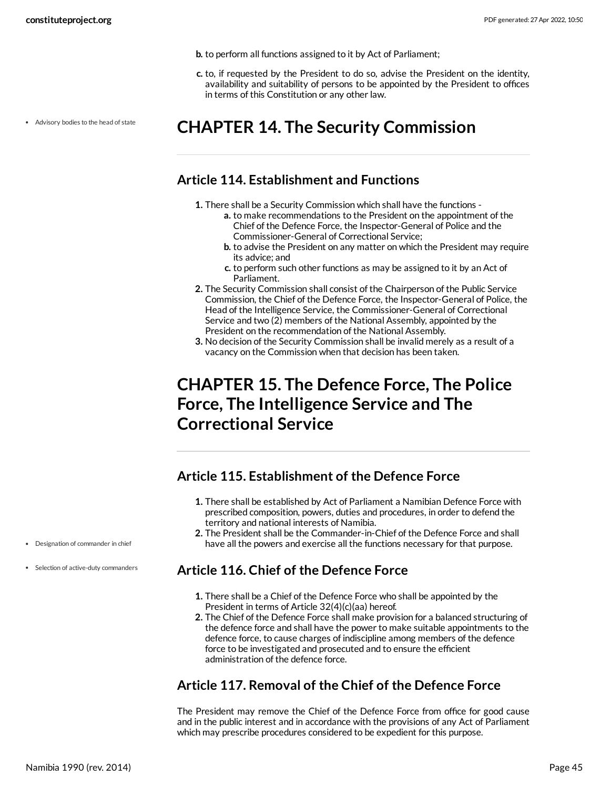**b.** to perform all functions assigned to it by Act of Parliament;

**c.** to, if requested by the President to do so, advise the President on the identity, availability and suitability of persons to be appointed by the President to offices in terms of this Constitution or any other law.

Advisory bodies to the head of state

### <span id="page-44-0"></span>**CHAPTER 14. The Security Commission**

#### <span id="page-44-1"></span>**Article 114. Establishment and Functions**

- **1.** There shall be a Security Commission which shall have the functions
	- **a.** to make recommendations to the President on the appointment of the Chief of the Defence Force, the Inspector-General of Police and the Commissioner-General of Correctional Service;
	- **b.** to advise the President on any matter on which the President may require its advice; and
	- **c.** to perform such other functions as may be assigned to it by an Act of Parliament.
- **2.** The Security Commission shall consist of the Chairperson of the Public Service Commission, the Chief of the Defence Force, the Inspector-General of Police, the Head of the Intelligence Service, the Commissioner-General of Correctional Service and two (2) members of the National Assembly, appointed by the President on the recommendation of the National Assembly.
- **3.** No decision of the Security Commission shall be invalid merely as a result of a vacancy on the Commission when that decision has been taken.

## <span id="page-44-2"></span>**CHAPTER 15. The Defence Force, The Police Force, The Intelligence Service and The Correctional Service**

#### <span id="page-44-3"></span>**Article 115. Establishment of the Defence Force**

- **1.** There shall be established by Act of Parliament a Namibian Defence Force with prescribed composition, powers, duties and procedures, in order to defend the territory and national interests of Namibia.
- **2.** The President shall be the Commander-in-Chief of the Defence Force and shall have all the powers and exercise all the functions necessary for that purpose.

#### <span id="page-44-4"></span>**Article 116. Chief of the Defence Force**

- **1.** There shall be a Chief of the Defence Force who shall be appointed by the President in terms of Article 32(4)(c)(aa) hereof.
- **2.** The Chief of the Defence Force shall make provision for a balanced structuring of the defence force and shall have the power to make suitable appointments to the defence force, to cause charges of indiscipline among members of the defence force to be investigated and prosecuted and to ensure the efficient administration of the defence force.

#### <span id="page-44-5"></span>**Article 117. Removal of the Chief of the Defence Force**

The President may remove the Chief of the Defence Force from office for good cause and in the public interest and in accordance with the provisions of any Act of Parliament which may prescribe procedures considered to be expedient for this purpose.

Designation of commander in chief

• Selection of active-duty commanders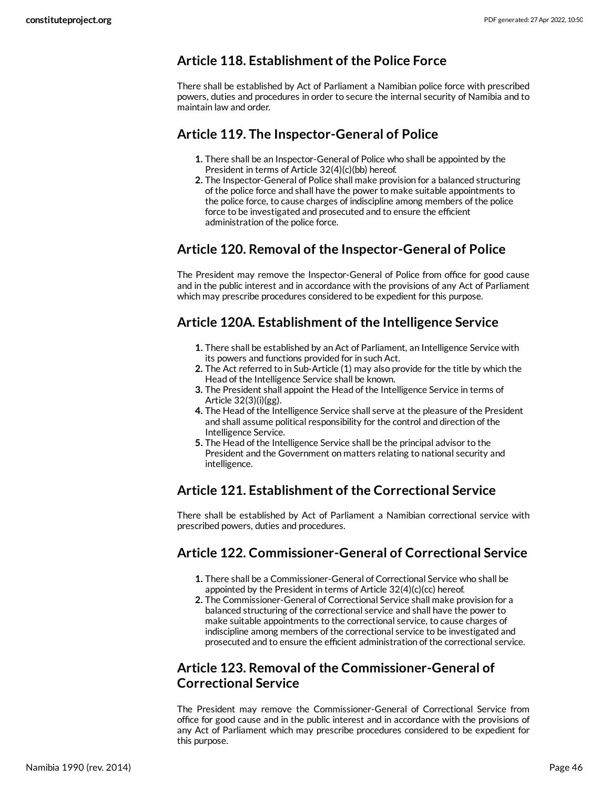#### <span id="page-45-0"></span>**Article 118. Establishment of the Police Force**

There shall be established by Act of Parliament a Namibian police force with prescribed powers, duties and procedures in order to secure the internal security of Namibia and to maintain law and order.

#### <span id="page-45-1"></span>**Article 119. The Inspector-General of Police**

- **1.** There shall be an Inspector-General of Police who shall be appointed by the President in terms of Article 32(4)(c)(bb) hereof.
- **2.** The Inspector-General of Police shall make provision for a balanced structuring of the police force and shall have the power to make suitable appointments to the police force, to cause charges of indiscipline among members of the police force to be investigated and prosecuted and to ensure the efficient administration of the police force.

#### <span id="page-45-2"></span>**Article 120. Removal of the Inspector-General of Police**

The President may remove the Inspector-General of Police from office for good cause and in the public interest and in accordance with the provisions of any Act of Parliament which may prescribe procedures considered to be expedient for this purpose.

### <span id="page-45-3"></span>**Article 120A. Establishment of the Intelligence Service**

- **1.** There shall be established by an Act of Parliament, an Intelligence Service with its powers and functions provided for in such Act.
- **2.** The Act referred to in Sub-Article (1) may also provide for the title by which the Head of the Intelligence Service shall be known.
- **3.** The President shall appoint the Head of the Intelligence Service in terms of Article 32(3)(i)(gg).
- **4.** The Head of the Intelligence Service shall serve at the pleasure of the President and shall assume political responsibility for the control and direction of the Intelligence Service.
- **5.** The Head of the Intelligence Service shall be the principal advisor to the President and the Government on matters relating to national security and intelligence.

### <span id="page-45-4"></span>**Article 121. Establishment of the Correctional Service**

There shall be established by Act of Parliament a Namibian correctional service with prescribed powers, duties and procedures.

#### <span id="page-45-5"></span>**Article 122. Commissioner-General of Correctional Service**

- **1.** There shall be a Commissioner-General of Correctional Service who shall be appointed by the President in terms of Article 32(4)(c)(cc) hereof.
- **2.** The Commissioner-General of Correctional Service shall make provision for a balanced structuring of the correctional service and shall have the power to make suitable appointments to the correctional service, to cause charges of indiscipline among members of the correctional service to be investigated and prosecuted and to ensure the efficient administration of the correctional service.

#### <span id="page-45-6"></span>**Article 123. Removal of the Commissioner-General of Correctional Service**

The President may remove the Commissioner-General of Correctional Service from office for good cause and in the public interest and in accordance with the provisions of any Act of Parliament which may prescribe procedures considered to be expedient for this purpose.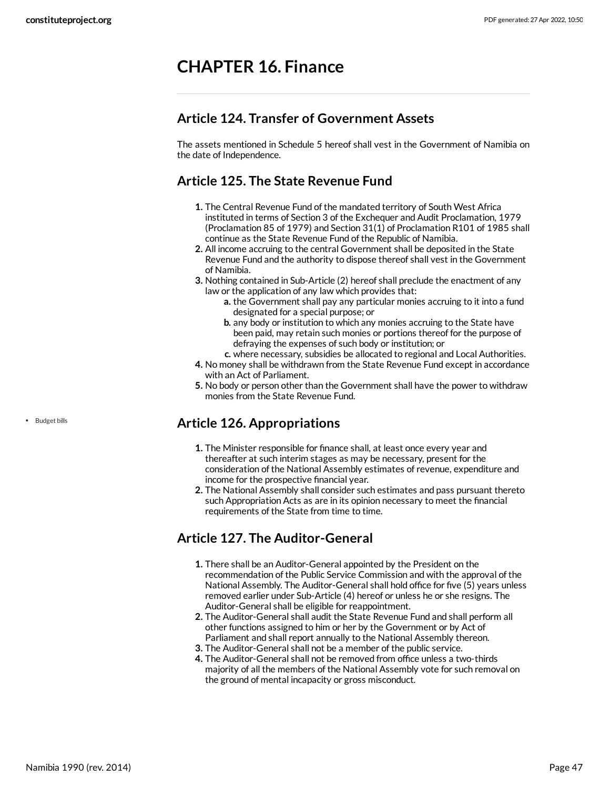### <span id="page-46-0"></span>**CHAPTER 16. Finance**

#### <span id="page-46-1"></span>**Article 124. Transfer of Government Assets**

The assets mentioned in Schedule 5 hereof shall vest in the Government of Namibia on the date of Independence.

#### <span id="page-46-2"></span>**Article 125. The State Revenue Fund**

- **1.** The Central Revenue Fund of the mandated territory of South West Africa instituted in terms of Section 3 of the Exchequer and Audit Proclamation, 1979 (Proclamation 85 of 1979) and Section 31(1) of Proclamation R101 of 1985 shall continue as the State Revenue Fund of the Republic of Namibia.
- **2.** All income accruing to the central Government shall be deposited in the State Revenue Fund and the authority to dispose thereof shall vest in the Government of Namibia.
- **3.** Nothing contained in Sub-Article (2) hereof shall preclude the enactment of any law or the application of any law which provides that:
	- **a.** the Government shall pay any particular monies accruing to it into a fund designated for a special purpose; or
	- **b.** any body or institution to which any monies accruing to the State have been paid, may retain such monies or portions thereof for the purpose of defraying the expenses of such body or institution; or
	- **c.** where necessary, subsidies be allocated to regional and Local Authorities.
- **4.** No money shall be withdrawn from the State Revenue Fund except in accordance with an Act of Parliament.
- **5.** No body or person other than the Government shall have the power to withdraw monies from the State Revenue Fund.

### <span id="page-46-3"></span>**Article 126. Appropriations**

- **1.** The Minister responsible for finance shall, at least once every year and thereafter at such interim stages as may be necessary, present for the consideration of the National Assembly estimates of revenue, expenditure and income for the prospective financial year.
- **2.** The National Assembly shall consider such estimates and pass pursuant thereto such Appropriation Acts as are in its opinion necessary to meet the financial requirements of the State from time to time.

### <span id="page-46-4"></span>**Article 127. The Auditor-General**

- **1.** There shall be an Auditor-General appointed by the President on the recommendation of the Public Service Commission and with the approval of the National Assembly. The Auditor-General shall hold office for five (5) years unless removed earlier under Sub-Article (4) hereof or unless he or she resigns. The Auditor-General shall be eligible for reappointment.
- **2.** The Auditor-General shall audit the State Revenue Fund and shall perform all other functions assigned to him or her by the Government or by Act of Parliament and shall report annually to the National Assembly thereon.
- **3.** The Auditor-General shall not be a member of the public service.
- **4.** The Auditor-General shall not be removed from office unless a two-thirds majority of all the members of the National Assembly vote for such removal on the ground of mental incapacity or gross misconduct.

• Budget bills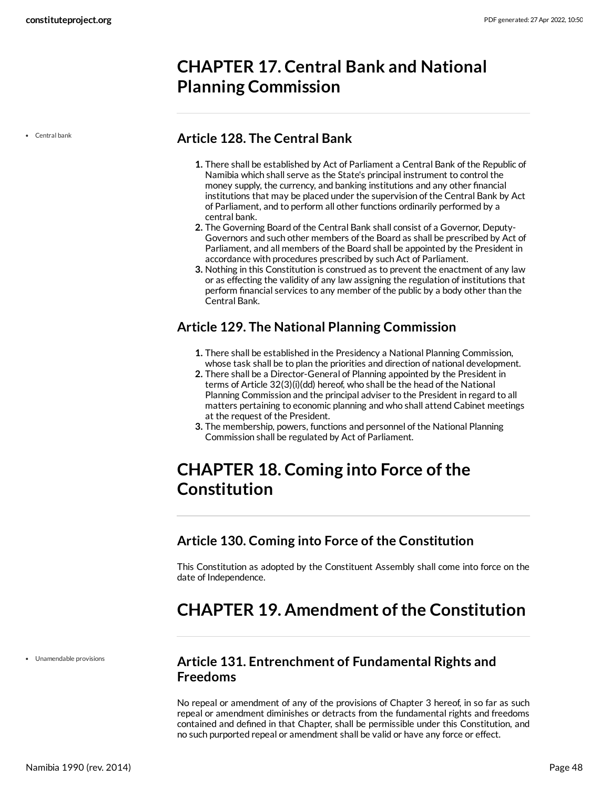### <span id="page-47-0"></span>**CHAPTER 17. Central Bank and National Planning Commission**

Central bank

#### <span id="page-47-1"></span>**Article 128. The Central Bank**

- **1.** There shall be established by Act of Parliament a Central Bank of the Republic of Namibia which shall serve as the State's principal instrument to control the money supply, the currency, and banking institutions and any other financial institutions that may be placed under the supervision of the Central Bank by Act of Parliament, and to perform all other functions ordinarily performed by a central bank.
- **2.** The Governing Board of the Central Bank shall consist of a Governor, Deputy-Governors and such other members of the Board as shall be prescribed by Act of Parliament, and all members of the Board shall be appointed by the President in accordance with procedures prescribed by such Act of Parliament.
- **3.** Nothing in this Constitution is construed as to prevent the enactment of any law or as effecting the validity of any law assigning the regulation of institutions that perform financial services to any member of the public by a body other than the Central Bank.

### <span id="page-47-2"></span>**Article 129. The National Planning Commission**

- **1.** There shall be established in the Presidency a National Planning Commission, whose task shall be to plan the priorities and direction of national development.
- **2.** There shall be a Director-General of Planning appointed by the President in terms of Article 32(3)(i)(dd) hereof, who shall be the head of the National Planning Commission and the principal adviser to the President in regard to all matters pertaining to economic planning and who shall attend Cabinet meetings at the request of the President.
- **3.** The membership, powers, functions and personnel of the National Planning Commission shall be regulated by Act of Parliament.

# <span id="page-47-3"></span>**CHAPTER 18. Coming into Force of the Constitution**

#### <span id="page-47-4"></span>**Article 130. Coming into Force of the Constitution**

This Constitution as adopted by the Constituent Assembly shall come into force on the date of Independence.

# <span id="page-47-5"></span>**CHAPTER 19. Amendment ofthe Constitution**

Unamendable provisions

#### <span id="page-47-6"></span>**Article 131. Entrenchment of Fundamental Rights and Freedoms**

No repeal or amendment of any of the provisions of Chapter 3 hereof, in so far as such repeal or amendment diminishes or detracts from the fundamental rights and freedoms contained and defined in that Chapter, shall be permissible under this Constitution, and no such purported repeal or amendment shall be valid or have any force or effect.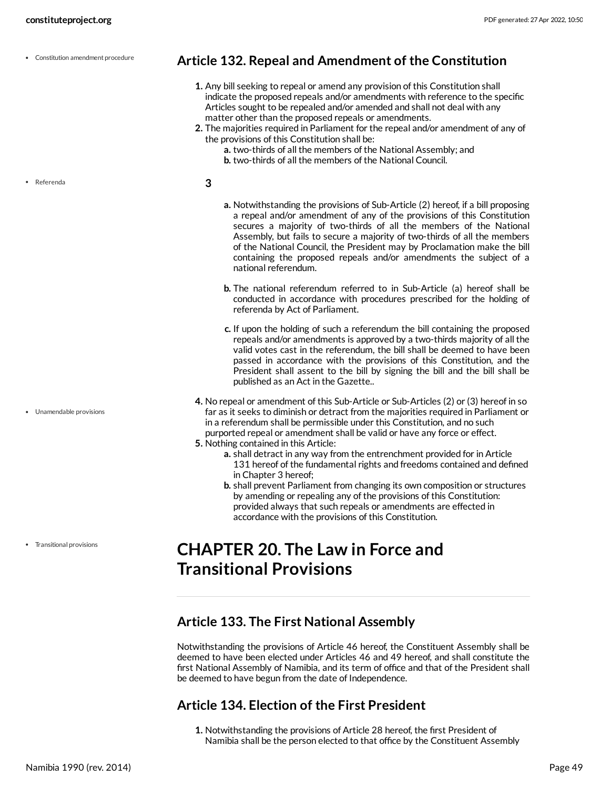- Constitution amendment procedure
	-

Referenda

Unamendable provisions

Transitional provisions

#### <span id="page-48-0"></span>**Article 132. Repeal and Amendment of the Constitution**

- **1.** Any bill seeking to repeal or amend any provision of this Constitution shall indicate the proposed repeals and/or amendments with reference to the specific Articles sought to be repealed and/or amended and shall not deal with any matter other than the proposed repeals or amendments.
- **2.** The majorities required in Parliament for the repeal and/or amendment of any of the provisions of this Constitution shall be:
	- **a.** two-thirds of all the members of the National Assembly; and **b.** two-thirds of all the members of the National Council.
	- **3**
	-
- <span id="page-48-4"></span>**a.** Notwithstanding the provisions of Sub-Article (2) hereof, if a bill proposing a repeal and/or amendment of any of the provisions of this Constitution secures a majority of two-thirds of all the members of the National Assembly, but fails to secure a majority of two-thirds of all the members of the National Council, the President may by Proclamation make the bill containing the proposed repeals and/or amendments the subject of a national referendum.
- **b.** The national referendum referred to in Sub-Article (a) hereof shall be conducted in accordance with procedures prescribed for the holding of referenda by Act of Parliament.
- **c.** If upon the holding of such a referendum the bill containing the proposed repeals and/or amendments is approved by a two-thirds majority of all the valid votes cast in the referendum, the bill shall be deemed to have been passed in accordance with the provisions of this Constitution, and the President shall assent to the bill by signing the bill and the bill shall be published as an Act in the Gazette..
- **4.** No repeal or amendment of this Sub-Article or Sub-Articles (2) or (3) hereof in so far as it seeks to diminish or detract from the majorities required in Parliament or in a referendum shall be permissible under this Constitution, and no such purported repeal or amendment shall be valid or have any force or effect. **5.** Nothing contained in this Article:
	- **a.** shall detract in any way from the entrenchment provided for in Article 131 hereof of the fundamental rights and freedoms contained and defined in Chapter 3 hereof;
	- **b.** shall prevent Parliament from changing its own composition or structures by amending or repealing any of the provisions of this Constitution: provided always that such repeals or amendments are effected in accordance with the provisions of this Constitution.

# <span id="page-48-1"></span>**CHAPTER 20. The Law in Force and Transitional Provisions**

#### <span id="page-48-2"></span>**Article 133. The First National Assembly**

Notwithstanding the provisions of Article 46 hereof, the Constituent Assembly shall be deemed to have been elected under Articles 46 and 49 hereof, and shall constitute the first National Assembly of Namibia, and its term of office and that of the President shall be deemed to have begun from the date of Independence.

#### <span id="page-48-3"></span>**Article 134. Election of the First President**

**1.** Notwithstanding the provisions of Article 28 hereof, the first President of Namibia shall be the person elected to that office by the Constituent Assembly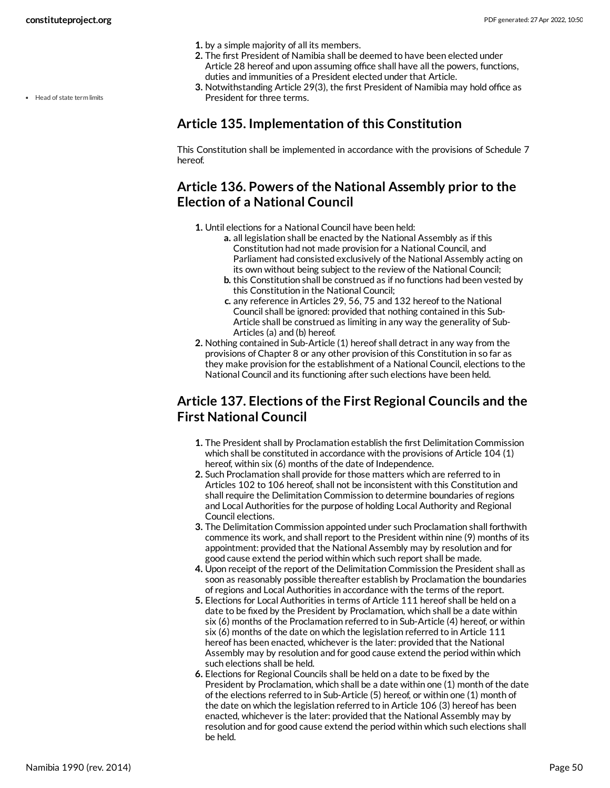- **1.** by a simple majority of all its members.
- **2.** The first President of Namibia shall be deemed to have been elected under Article 28 hereof and upon assuming office shall have all the powers, functions, duties and immunities of a President elected under that Article.
- **3.** Notwithstanding Article 29(3), the first President of Namibia may hold office as President for three terms.

#### <span id="page-49-0"></span>**Article 135. Implementation of this Constitution**

This Constitution shall be implemented in accordance with the provisions of Schedule 7 hereof.

#### <span id="page-49-1"></span>**Article 136. Powers of the National Assembly prior to the Election of a National Council**

- **1.** Until elections for a National Council have been held:
	- **a.** all legislation shall be enacted by the National Assembly as if this Constitution had not made provision for a National Council, and Parliament had consisted exclusively of the National Assembly acting on its own without being subject to the review of the National Council;
	- **b.** this Constitution shall be construed as if no functions had been vested by this Constitution in the National Council;
	- **c.** any reference in Articles 29, 56, 75 and 132 hereof to the National Council shall be ignored: provided that nothing contained in this Sub-Article shall be construed as limiting in any way the generality of Sub-Articles (a) and (b) hereof.
- **2.** Nothing contained in Sub-Article (1) hereof shall detract in any way from the provisions of Chapter 8 or any other provision of this Constitution in so far as they make provision for the establishment of a National Council, elections to the National Council and its functioning after such elections have been held.

#### <span id="page-49-2"></span>**Article 137. Elections of the First Regional Councils and the First National Council**

- **1.** The President shall by Proclamation establish the first Delimitation Commission which shall be constituted in accordance with the provisions of Article 104 (1) hereof, within six (6) months of the date of Independence.
- **2.** Such Proclamation shall provide for those matters which are referred to in Articles 102 to 106 hereof, shall not be inconsistent with this Constitution and shall require the Delimitation Commission to determine boundaries of regions and Local Authorities for the purpose of holding Local Authority and Regional Council elections.
- **3.** The Delimitation Commission appointed under such Proclamation shall forthwith commence its work, and shall report to the President within nine (9) months of its appointment: provided that the National Assembly may by resolution and for good cause extend the period within which such report shall be made.
- **4.** Upon receipt of the report of the Delimitation Commission the President shall as soon as reasonably possible thereafter establish by Proclamation the boundaries of regions and Local Authorities in accordance with the terms of the report.
- **5.** Elections for Local Authorities in terms of Article 111 hereof shall be held on a date to be fixed by the President by Proclamation, which shall be a date within six (6) months of the Proclamation referred to in Sub-Article (4) hereof, or within six (6) months of the date on which the legislation referred to in Article 111 hereof has been enacted, whichever is the later: provided that the National Assembly may by resolution and for good cause extend the period within which such elections shall be held.
- **6.** Elections for Regional Councils shall be held on a date to be fixed by the President by Proclamation, which shall be a date within one (1) month of the date of the elections referred to in Sub-Article (5) hereof, or within one (1) month of the date on which the legislation referred to in Article 106 (3) hereof has been enacted, whichever is the later: provided that the National Assembly may by resolution and for good cause extend the period within which such elections shall be held.

• Head of state term limits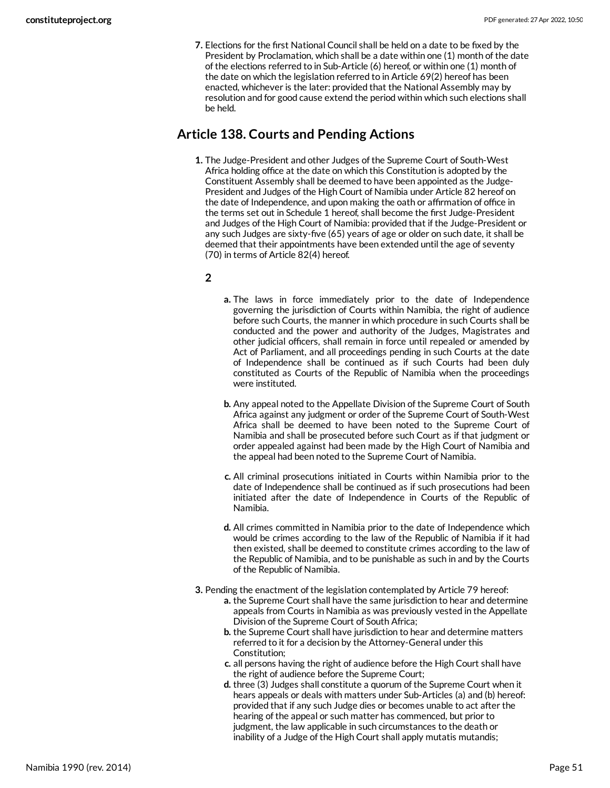**7.** Elections for the first National Council shall be held on a date to be fixed by the President by Proclamation, which shall be a date within one (1) month of the date of the elections referred to in Sub-Article (6) hereof, or within one (1) month of the date on which the legislation referred to in Article 69(2) hereof has been enacted, whichever is the later: provided that the National Assembly may by resolution and for good cause extend the period within which such elections shall be held.

#### <span id="page-50-0"></span>**Article 138. Courts and Pending Actions**

**1.** The Judge-President and other Judges of the Supreme Court of South-West Africa holding office at the date on which this Constitution is adopted by the Constituent Assembly shall be deemed to have been appointed as the Judge-President and Judges of the High Court of Namibia under Article 82 hereof on the date of Independence, and upon making the oath or affirmation of office in the terms set out in Schedule 1 hereof, shall become the first Judge-President and Judges of the High Court of Namibia: provided that if the Judge-President or any such Judges are sixty-five (65) years of age or older on such date, it shall be deemed that their appointments have been extended until the age of seventy (70) in terms of Article 82(4) hereof.

#### **2**

- **a.** The laws in force immediately prior to the date of Independence governing the jurisdiction of Courts within Namibia, the right of audience before such Courts, the manner in which procedure in such Courts shall be conducted and the power and authority of the Judges, Magistrates and other judicial officers, shall remain in force until repealed or amended by Act of Parliament, and all proceedings pending in such Courts at the date of Independence shall be continued as if such Courts had been duly constituted as Courts of the Republic of Namibia when the proceedings were instituted.
- **b.** Any appeal noted to the Appellate Division of the Supreme Court of South Africa against any judgment or order of the Supreme Court of South-West Africa shall be deemed to have been noted to the Supreme Court of Namibia and shall be prosecuted before such Court as if that judgment or order appealed against had been made by the High Court of Namibia and the appeal had been noted to the Supreme Court of Namibia.
- **c.** All criminal prosecutions initiated in Courts within Namibia prior to the date of Independence shall be continued as if such prosecutions had been initiated after the date of Independence in Courts of the Republic of Namibia.
- **d.** All crimes committed in Namibia prior to the date of Independence which would be crimes according to the law of the Republic of Namibia if it had then existed, shall be deemed to constitute crimes according to the law of the Republic of Namibia, and to be punishable as such in and by the Courts of the Republic of Namibia.
- **3.** Pending the enactment of the legislation contemplated by Article 79 hereof:
	- **a.** the Supreme Court shall have the same jurisdiction to hear and determine appeals from Courts in Namibia as was previously vested in the Appellate Division of the Supreme Court of South Africa;
	- **b.** the Supreme Court shall have jurisdiction to hear and determine matters referred to it for a decision by the Attorney-General under this Constitution;
	- **c.** all persons having the right of audience before the High Court shall have the right of audience before the Supreme Court;
	- **d.** three (3) Judges shall constitute a quorum of the Supreme Court when it hears appeals or deals with matters under Sub-Articles (a) and (b) hereof: provided that if any such Judge dies or becomes unable to act after the hearing of the appeal or such matter has commenced, but prior to judgment, the law applicable in such circumstances to the death or inability of a Judge of the High Court shall apply mutatis mutandis;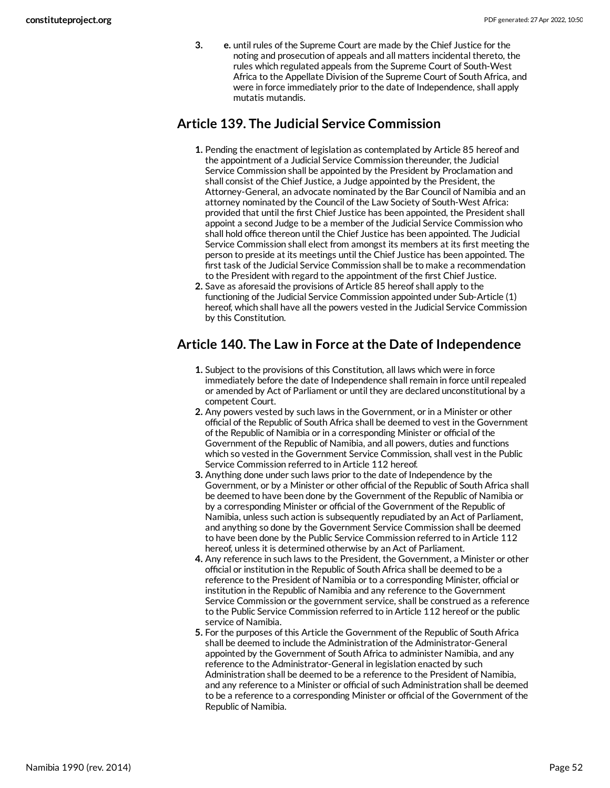**3. e.** until rules of the Supreme Court are made by the Chief Justice for the noting and prosecution of appeals and all matters incidental thereto, the rules which regulated appeals from the Supreme Court of South-West Africa to the Appellate Division of the Supreme Court of South Africa, and were in force immediately prior to the date of Independence, shall apply mutatis mutandis.

#### <span id="page-51-0"></span>**Article 139. The Judicial Service Commission**

- **1.** Pending the enactment of legislation as contemplated by Article 85 hereof and the appointment of a Judicial Service Commission thereunder, the Judicial Service Commission shall be appointed by the President by Proclamation and shall consist of the Chief Justice, a Judge appointed by the President, the Attorney-General, an advocate nominated by the Bar Council of Namibia and an attorney nominated by the Council of the Law Society of South-West Africa: provided that until the first Chief Justice has been appointed, the President shall appoint a second Judge to be a member of the Judicial Service Commission who shall hold office thereon until the Chief Justice has been appointed. The Judicial Service Commission shall elect from amongst its members at its first meeting the person to preside at its meetings until the Chief Justice has been appointed. The first task of the Judicial Service Commission shall be to make a recommendation to the President with regard to the appointment of the first Chief Justice.
- **2.** Save as aforesaid the provisions of Article 85 hereof shall apply to the functioning of the Judicial Service Commission appointed under Sub-Article (1) hereof, which shall have all the powers vested in the Judicial Service Commission by this Constitution.

#### <span id="page-51-1"></span>**Article 140. The Law in Force at the Date of Independence**

- **1.** Subject to the provisions of this Constitution, all laws which were in force immediately before the date of Independence shall remain in force until repealed or amended by Act of Parliament or until they are declared unconstitutional by a competent Court.
- **2.** Any powers vested by such laws in the Government, or in a Minister or other official of the Republic of South Africa shall be deemed to vest in the Government of the Republic of Namibia or in a corresponding Minister or official of the Government of the Republic of Namibia, and all powers, duties and functions which so vested in the Government Service Commission, shall vest in the Public Service Commission referred to in Article 112 hereof.
- **3.** Anything done under such laws prior to the date of Independence by the Government, or by a Minister or other official of the Republic of South Africa shall be deemed to have been done by the Government of the Republic of Namibia or by a corresponding Minister or official of the Government of the Republic of Namibia, unless such action is subsequently repudiated by an Act of Parliament, and anything so done by the Government Service Commission shall be deemed to have been done by the Public Service Commission referred to in Article 112 hereof, unless it is determined otherwise by an Act of Parliament.
- **4.** Any reference in such laws to the President, the Government, a Minister or other official or institution in the Republic of South Africa shall be deemed to be a reference to the President of Namibia or to a corresponding Minister, official or institution in the Republic of Namibia and any reference to the Government Service Commission or the government service, shall be construed as a reference to the Public Service Commission referred to in Article 112 hereof or the public service of Namibia.
- **5.** For the purposes of this Article the Government of the Republic of South Africa shall be deemed to include the Administration of the Administrator-General appointed by the Government of South Africa to administer Namibia, and any reference to the Administrator-General in legislation enacted by such Administration shall be deemed to be a reference to the President of Namibia, and any reference to a Minister or official of such Administration shall be deemed to be a reference to a corresponding Minister or official of the Government of the Republic of Namibia.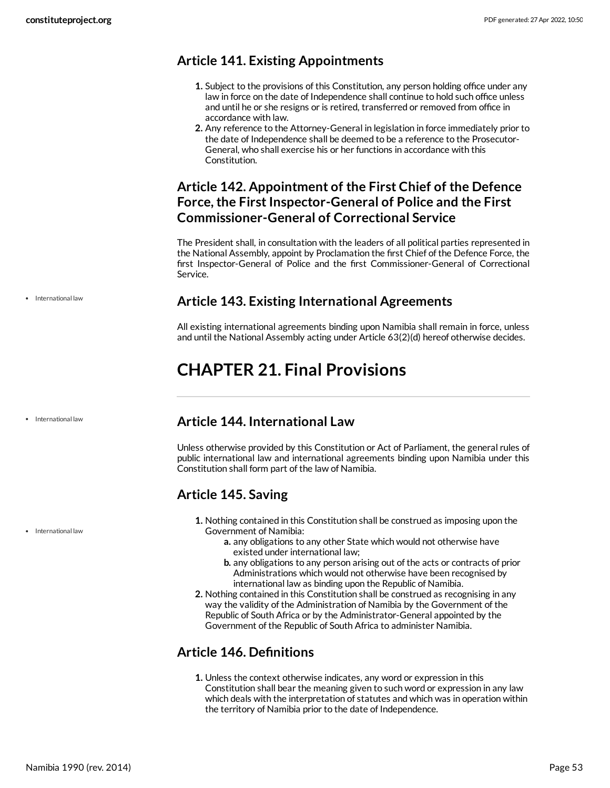#### <span id="page-52-0"></span>**Article 141. Existing Appointments**

- **1.** Subject to the provisions of this Constitution, any person holding office under any law in force on the date of Independence shall continue to hold such office unless and until he or she resigns or is retired, transferred or removed from office in accordance with law.
- **2.** Any reference to the Attorney-General in legislation in force immediately prior to the date of Independence shall be deemed to be a reference to the Prosecutor-General, who shall exercise his or her functions in accordance with this Constitution.

#### <span id="page-52-1"></span>**Article 142. Appointment of the First Chief of the Defence Force, the First Inspector-General of Police and the First Commissioner-General of Correctional Service**

The President shall, in consultation with the leaders of all political parties represented in the National Assembly, appoint by Proclamation the first Chief of the Defence Force, the first Inspector-General of Police and the first Commissioner-General of Correctional Service.

#### <span id="page-52-2"></span>**Article 143. Existing International Agreements**

All existing international agreements binding upon Namibia shall remain in force, unless and until the National Assembly acting under Article 63(2)(d) hereof otherwise decides.

# <span id="page-52-3"></span>**CHAPTER 21. Final Provisions**

#### • International law

• International law

• International law

<span id="page-52-4"></span>**Article 144. International Law**

Unless otherwise provided by this Constitution or Act of Parliament, the general rules of public international law and international agreements binding upon Namibia under this Constitution shall form part of the law of Namibia.

#### <span id="page-52-5"></span>**Article 145. Saving**

- **1.** Nothing contained in this Constitution shall be construed as imposing upon the Government of Namibia:
	- **a.** any obligations to any other State which would not otherwise have existed under international law;
	- **b.** any obligations to any person arising out of the acts or contracts of prior Administrations which would not otherwise have been recognised by international law as binding upon the Republic of Namibia.
- **2.** Nothing contained in this Constitution shall be construed as recognising in any way the validity of the Administration of Namibia by the Government of the Republic of South Africa or by the Administrator-General appointed by the Government of the Republic of South Africa to administer Namibia.

#### <span id="page-52-6"></span>**Article 146. Definitions**

**1.** Unless the context otherwise indicates, any word or expression in this Constitution shall bear the meaning given to such word or expression in any law which deals with the interpretation of statutes and which was in operation within the territory of Namibia prior to the date of Independence.

Namibia 1990 (rev. 2014) Page 53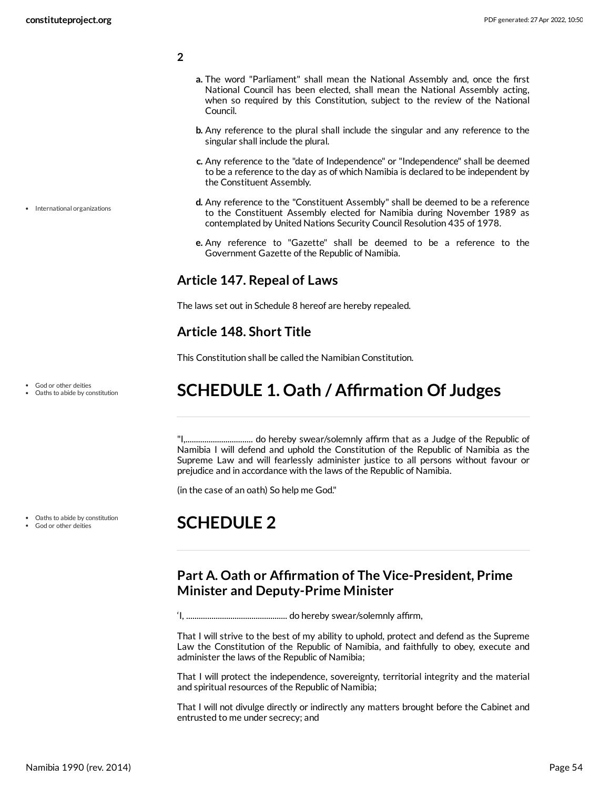• International organizations

**2**

- <span id="page-53-5"></span>**a.** The word "Parliament" shall mean the National Assembly and, once the first National Council has been elected, shall mean the National Assembly acting, when so required by this Constitution, subject to the review of the National Council.
- **b.** Any reference to the plural shall include the singular and any reference to the singular shall include the plural.
- **c.** Any reference to the "date of Independence" or "Independence" shall be deemed to be a reference to the day as of which Namibia is declared to be independent by the Constituent Assembly.
- **d.** Any reference to the "Constituent Assembly" shall be deemed to be a reference to the Constituent Assembly elected for Namibia during November 1989 as contemplated by United Nations Security Council Resolution 435 of 1978.
- **e.** Any reference to "Gazette" shall be deemed to be a reference to the Government Gazette of the Republic of Namibia.

#### <span id="page-53-0"></span>**Article 147. Repeal of Laws**

The laws set out in Schedule 8 hereof are hereby repealed.

#### <span id="page-53-1"></span>**Article 148. Short Title**

This Constitution shall be called the Namibian Constitution.

### <span id="page-53-2"></span>**SCHEDULE 1. Oath / Affirmation Of Judges**

"I,................................ do hereby swear/solemnly affirm that as a Judge of the Republic of Namibia I will defend and uphold the Constitution of the Republic of Namibia as the Supreme Law and will fearlessly administer justice to all persons without favour or prejudice and in accordance with the laws of the Republic of Namibia.

(in the case of an oath) So help me God."

#### Oaths to abide by constitution God or other deities

### <span id="page-53-3"></span>**SCHEDULE 2**

#### <span id="page-53-4"></span>**Part A. Oath or Affirmation of The Vice-President, Prime Minister and Deputy-Prime Minister**

'I, ................................................ do hereby swear/solemnly affirm,

That I will strive to the best of my ability to uphold, protect and defend as the Supreme Law the Constitution of the Republic of Namibia, and faithfully to obey, execute and administer the laws of the Republic of Namibia;

That I will protect the independence, sovereignty, territorial integrity and the material and spiritual resources of the Republic of Namibia;

That I will not divulge directly or indirectly any matters brought before the Cabinet and entrusted to me under secrecy; and

God or other deities Oaths to abide by constitution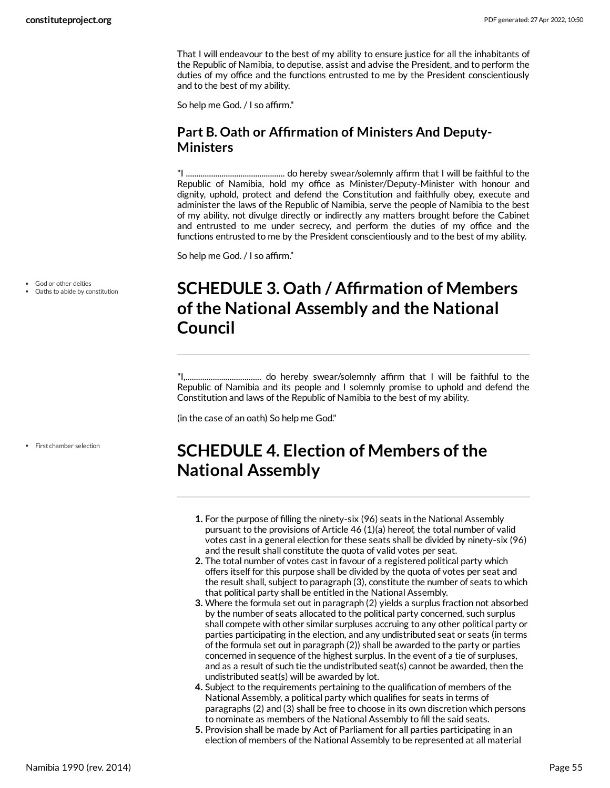That I will endeavour to the best of my ability to ensure justice for all the inhabitants of the Republic of Namibia, to deputise, assist and advise the President, and to perform the duties of my office and the functions entrusted to me by the President conscientiously and to the best of my ability.

So help me God. / I so affirm."

#### <span id="page-54-0"></span>**Part B. Oath or Affirmation of Ministers And Deputy-Ministers**

"I ............................................... do hereby swear/solemnly affirm that I will be faithful to the Republic of Namibia, hold my office as Minister/Deputy-Minister with honour and dignity, uphold, protect and defend the Constitution and faithfully obey, execute and administer the laws of the Republic of Namibia, serve the people of Namibia to the best of my ability, not divulge directly or indirectly any matters brought before the Cabinet and entrusted to me under secrecy, and perform the duties of my office and the functions entrusted to me by the President conscientiously and to the best of my ability.

So help me God. / I so affirm."

God or other deities

First chamber selection

Oaths to abide by constitution

### <span id="page-54-1"></span>**SCHEDULE 3. Oath / Affirmation of Members ofthe National Assembly and the National Council**

"I,.................................... do hereby swear/solemnly affirm that I will be faithful to the Republic of Namibia and its people and I solemnly promise to uphold and defend the Constitution and laws of the Republic of Namibia to the best of my ability.

(in the case of an oath) So help me God."

# <span id="page-54-2"></span>**SCHEDULE 4. Election of Members of the National Assembly**

- **1.** For the purpose of filling the ninety-six (96) seats in the National Assembly pursuant to the provisions of Article 46 (1)(a) hereof, the total number of valid votes cast in a general election for these seats shall be divided by ninety-six (96) and the result shall constitute the quota of valid votes per seat.
- **2.** The total number of votes cast in favour of a registered political party which offers itself for this purpose shall be divided by the quota of votes per seat and the result shall, subject to paragraph (3), constitute the number of seats to which that political party shall be entitled in the National Assembly.
- **3.** Where the formula set out in paragraph (2) yields a surplus fraction not absorbed by the number of seats allocated to the political party concerned, such surplus shall compete with other similar surpluses accruing to any other political party or parties participating in the election, and any undistributed seat or seats (in terms of the formula set out in paragraph (2)) shall be awarded to the party or parties concerned in sequence of the highest surplus. In the event of a tie of surpluses, and as a result of such tie the undistributed seat(s) cannot be awarded, then the undistributed seat(s) will be awarded by lot.
- **4.** Subject to the requirements pertaining to the qualification of members of the National Assembly, a political party which qualifies for seats in terms of paragraphs (2) and (3) shall be free to choose in its own discretion which persons to nominate as members of the National Assembly to fill the said seats.
- **5.** Provision shall be made by Act of Parliament for all parties participating in an election of members of the National Assembly to be represented at all material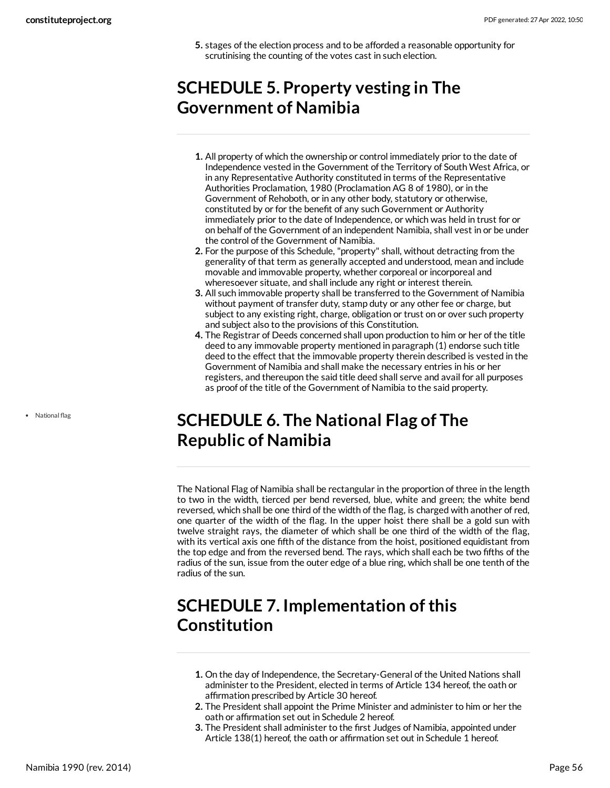**5.** stages of the election process and to be afforded a reasonable opportunity for scrutinising the counting of the votes cast in such election.

## <span id="page-55-0"></span>**SCHEDULE 5. Property vesting in The Government of Namibia**

- **1.** All property of which the ownership or control immediately prior to the date of Independence vested in the Government of the Territory of South West Africa, or in any Representative Authority constituted in terms of the Representative Authorities Proclamation, 1980 (Proclamation AG 8 of 1980), or in the Government of Rehoboth, or in any other body, statutory or otherwise, constituted by or for the benefit of any such Government or Authority immediately prior to the date of Independence, or which was held in trust for or on behalf of the Government of an independent Namibia, shall vest in or be under the control of the Government of Namibia.
- **2.** For the purpose of this Schedule, "property" shall, without detracting from the generality of that term as generally accepted and understood, mean and include movable and immovable property, whether corporeal or incorporeal and wheresoever situate, and shall include any right or interest therein.
- **3.** All such immovable property shall be transferred to the Government of Namibia without payment of transfer duty, stamp duty or any other fee or charge, but subject to any existing right, charge, obligation or trust on or over such property and subject also to the provisions of this Constitution.
- **4.** The Registrar of Deeds concerned shall upon production to him or her of the title deed to any immovable property mentioned in paragraph (1) endorse such title deed to the effect that the immovable property therein described is vested in the Government of Namibia and shall make the necessary entries in his or her registers, and thereupon the said title deed shall serve and avail for all purposes as proof of the title of the Government of Namibia to the said property.

# <span id="page-55-1"></span>**SCHEDULE 6. The National Flag of The Republic of Namibia**

The National Flag of Namibia shall be rectangular in the proportion of three in the length to two in the width, tierced per bend reversed, blue, white and green; the white bend reversed, which shall be one third of the width of the flag, is charged with another of red, one quarter of the width of the flag. In the upper hoist there shall be a gold sun with twelve straight rays, the diameter of which shall be one third of the width of the flag, with its vertical axis one fifth of the distance from the hoist, positioned equidistant from the top edge and from the reversed bend. The rays, which shall each be two fifths of the radius of the sun, issue from the outer edge of a blue ring, which shall be one tenth of the radius of the sun.

# <span id="page-55-2"></span>**SCHEDULE 7. Implementation of this Constitution**

- **1.** On the day of Independence, the Secretary-General of the United Nations shall administer to the President, elected in terms of Article 134 hereof, the oath or affirmation prescribed by Article 30 hereof.
- **2.** The President shall appoint the Prime Minister and administer to him or her the oath or affirmation set out in Schedule 2 hereof.
- **3.** The President shall administer to the first Judges of Namibia, appointed under Article 138(1) hereof, the oath or affirmation set out in Schedule 1 hereof.

• National flag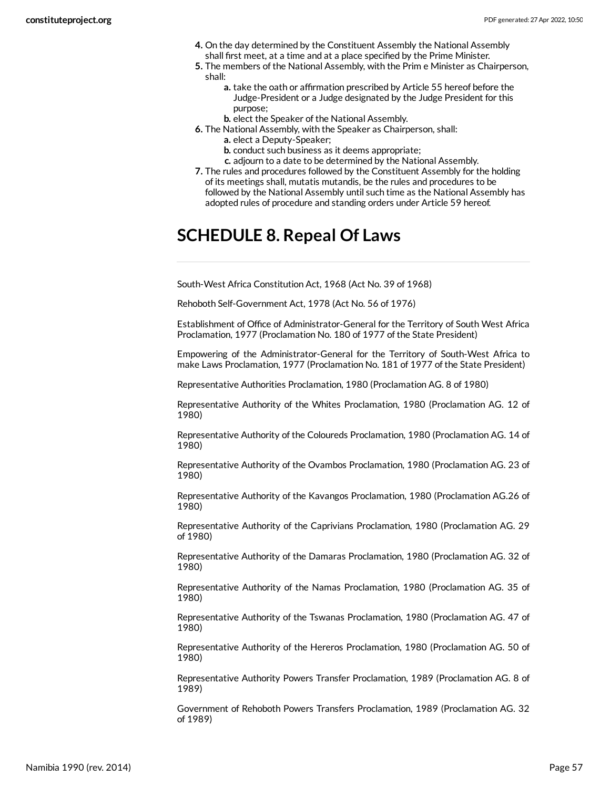- **4.** On the day determined by the Constituent Assembly the National Assembly shall first meet, at a time and at a place specified by the Prime Minister.
- **5.** The members of the National Assembly, with the Prim e Minister as Chairperson, shall:
	- **a.** take the oath or affirmation prescribed by Article 55 hereof before the Judge-President or a Judge designated by the Judge President for this purpose;
	- **b.** elect the Speaker of the National Assembly.
- **6.** The National Assembly, with the Speaker as Chairperson, shall:
	- **a.** elect a Deputy-Speaker;
	- **b.** conduct such business as it deems appropriate;
	- **c.** adjourn to a date to be determined by the National Assembly.
- **7.** The rules and procedures followed by the Constituent Assembly for the holding of its meetings shall, mutatis mutandis, be the rules and procedures to be followed by the National Assembly until such time as the National Assembly has adopted rules of procedure and standing orders under Article 59 hereof.

### <span id="page-56-0"></span>**SCHEDULE 8. Repeal Of Laws**

South-West Africa Constitution Act, 1968 (Act No. 39 of 1968)

Rehoboth Self-Government Act, 1978 (Act No. 56 of 1976)

Establishment of Office of Administrator-General for the Territory of South West Africa Proclamation, 1977 (Proclamation No. 180 of 1977 of the State President)

Empowering of the Administrator-General for the Territory of South-West Africa to make Laws Proclamation, 1977 (Proclamation No. 181 of 1977 of the State President)

Representative Authorities Proclamation, 1980 (Proclamation AG. 8 of 1980)

Representative Authority of the Whites Proclamation, 1980 (Proclamation AG. 12 of 1980)

Representative Authority of the Coloureds Proclamation, 1980 (Proclamation AG. 14 of 1980)

Representative Authority of the Ovambos Proclamation, 1980 (Proclamation AG. 23 of 1980)

Representative Authority of the Kavangos Proclamation, 1980 (Proclamation AG.26 of 1980)

Representative Authority of the Caprivians Proclamation, 1980 (Proclamation AG. 29 of 1980)

Representative Authority of the Damaras Proclamation, 1980 (Proclamation AG. 32 of 1980)

Representative Authority of the Namas Proclamation, 1980 (Proclamation AG. 35 of 1980)

Representative Authority of the Tswanas Proclamation, 1980 (Proclamation AG. 47 of 1980)

Representative Authority of the Hereros Proclamation, 1980 (Proclamation AG. 50 of 1980)

Representative Authority Powers Transfer Proclamation, 1989 (Proclamation AG. 8 of 1989)

Government of Rehoboth Powers Transfers Proclamation, 1989 (Proclamation AG. 32 of 1989)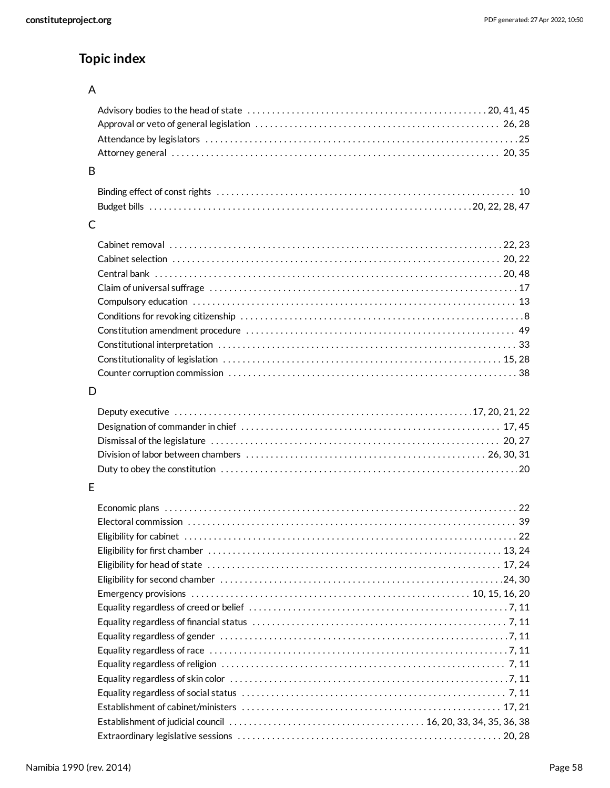### **Topic index**

#### A

#### B

#### C

#### D

#### E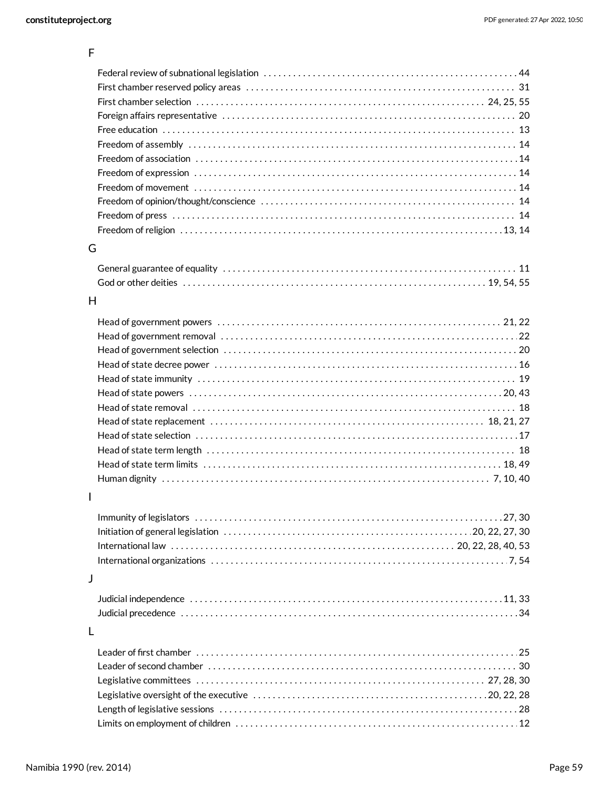#### F

| G  |                                                         |
|----|---------------------------------------------------------|
|    |                                                         |
|    |                                                         |
| H  |                                                         |
|    |                                                         |
|    |                                                         |
|    |                                                         |
|    |                                                         |
|    |                                                         |
|    |                                                         |
|    |                                                         |
|    |                                                         |
|    |                                                         |
|    | Head of state selection ……………………………………………………………………………17 |
|    |                                                         |
|    |                                                         |
|    |                                                         |
| I. |                                                         |
|    |                                                         |
|    |                                                         |
|    |                                                         |
|    |                                                         |
|    |                                                         |
| J  |                                                         |
|    |                                                         |
|    |                                                         |
|    |                                                         |
| L  |                                                         |
|    |                                                         |
|    |                                                         |
|    |                                                         |
|    |                                                         |
|    |                                                         |
|    |                                                         |

[12](#page-11-2) Limits on employment of children . . . . . . . . . . . . . . . . . . . . . . . . . . . . . . . . . . . . . . . . . . . . . . . . . . . . . . . . . .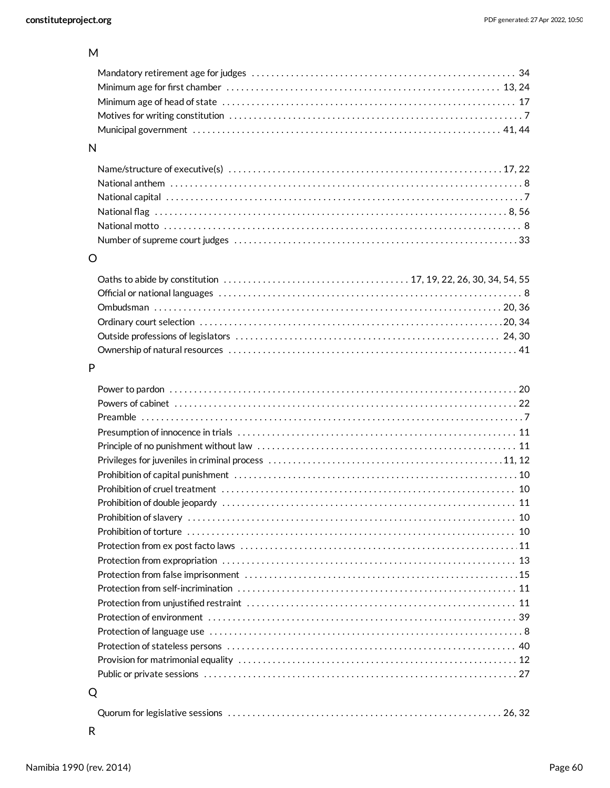#### M

#### N

#### O

#### P

### Q

|--|--|--|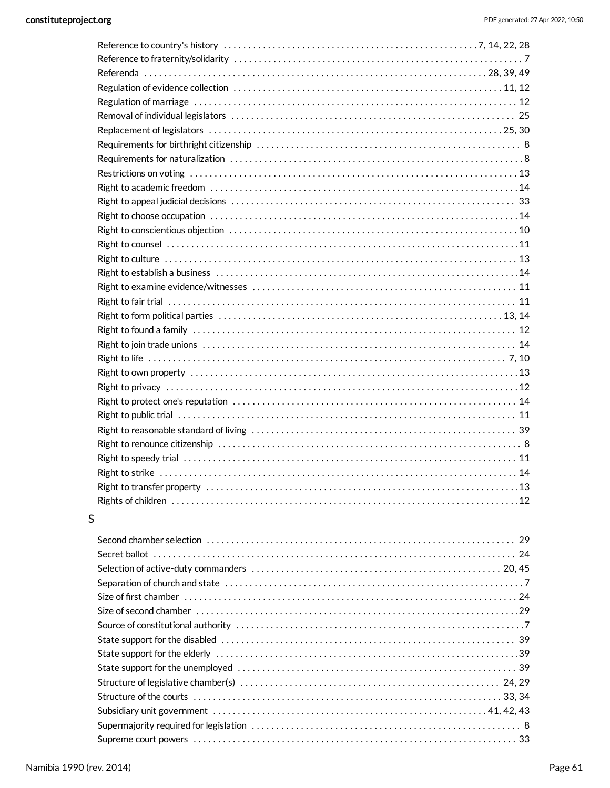#### $\sf S$